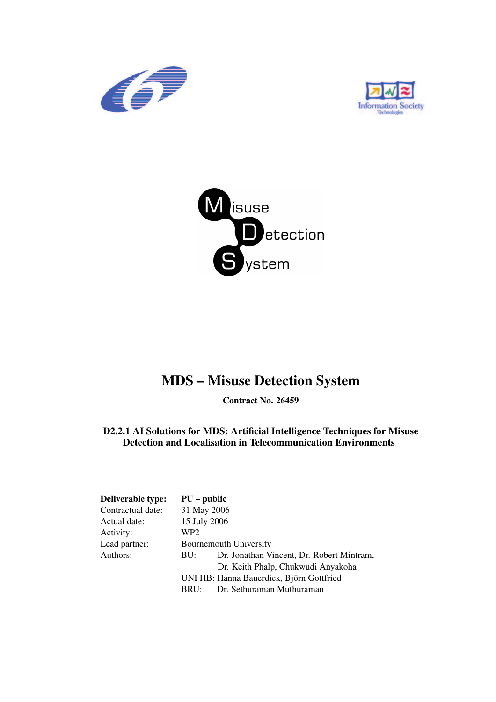





### **MDS – Misuse Detection System**

**Contract No. 26459**

**D2.2.1 AI Solutions for MDS: Artificial Intelligence Techniques for Misuse Detection and Localisation in Telecommunication Environments**

| Deliverable type: | $PU$ – public |                                           |
|-------------------|---------------|-------------------------------------------|
| Contractual date: | 31 May 2006   |                                           |
| Actual date:      | 15 July 2006  |                                           |
| Activity:         | WP2           |                                           |
| Lead partner:     |               | <b>Bournemouth University</b>             |
| Authors:          | BU:           | Dr. Jonathan Vincent, Dr. Robert Mintram, |
|                   |               | Dr. Keith Phalp, Chukwudi Anyakoha        |
|                   |               | UNI HB: Hanna Bauerdick, Björn Gottfried  |
|                   | BRU:          | Dr. Sethuraman Muthuraman                 |
|                   |               |                                           |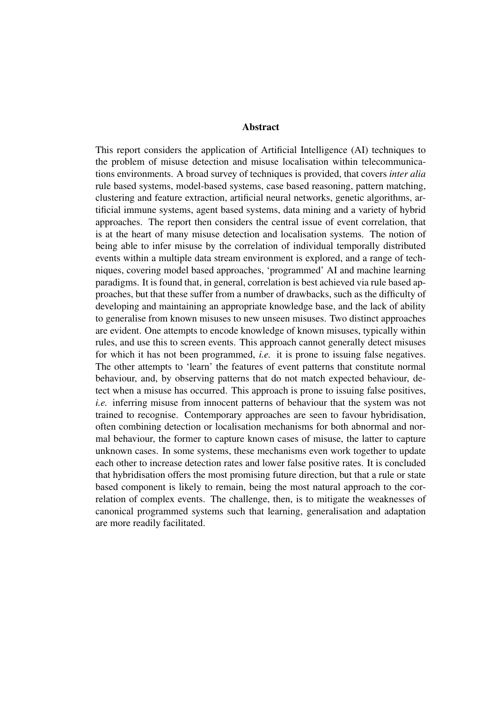#### **Abstract**

This report considers the application of Artificial Intelligence (AI) techniques to the problem of misuse detection and misuse localisation within telecommunications environments. A broad survey of techniques is provided, that covers *inter alia* rule based systems, model-based systems, case based reasoning, pattern matching, clustering and feature extraction, artificial neural networks, genetic algorithms, artificial immune systems, agent based systems, data mining and a variety of hybrid approaches. The report then considers the central issue of event correlation, that is at the heart of many misuse detection and localisation systems. The notion of being able to infer misuse by the correlation of individual temporally distributed events within a multiple data stream environment is explored, and a range of techniques, covering model based approaches, 'programmed' AI and machine learning paradigms. It is found that, in general, correlation is best achieved via rule based approaches, but that these suffer from a number of drawbacks, such as the difficulty of developing and maintaining an appropriate knowledge base, and the lack of ability to generalise from known misuses to new unseen misuses. Two distinct approaches are evident. One attempts to encode knowledge of known misuses, typically within rules, and use this to screen events. This approach cannot generally detect misuses for which it has not been programmed, *i.e.* it is prone to issuing false negatives. The other attempts to 'learn' the features of event patterns that constitute normal behaviour, and, by observing patterns that do not match expected behaviour, detect when a misuse has occurred. This approach is prone to issuing false positives, *i.e.* inferring misuse from innocent patterns of behaviour that the system was not trained to recognise. Contemporary approaches are seen to favour hybridisation, often combining detection or localisation mechanisms for both abnormal and normal behaviour, the former to capture known cases of misuse, the latter to capture unknown cases. In some systems, these mechanisms even work together to update each other to increase detection rates and lower false positive rates. It is concluded that hybridisation offers the most promising future direction, but that a rule or state based component is likely to remain, being the most natural approach to the correlation of complex events. The challenge, then, is to mitigate the weaknesses of canonical programmed systems such that learning, generalisation and adaptation are more readily facilitated.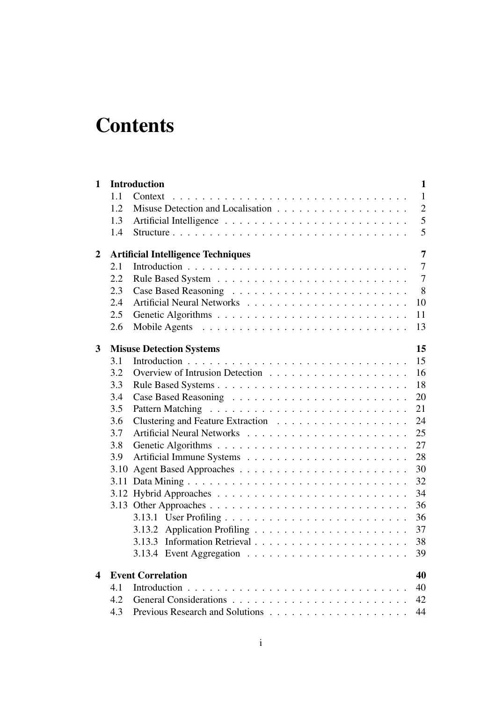# **Contents**

| 1                |      | <b>Introduction</b><br>1                                                          |
|------------------|------|-----------------------------------------------------------------------------------|
|                  | 1.1  | $\mathbf{1}$<br>Context                                                           |
|                  | 1.2  | $\overline{2}$                                                                    |
|                  | 1.3  | 5                                                                                 |
|                  | 1.4  | 5                                                                                 |
| $\boldsymbol{2}$ |      | 7<br><b>Artificial Intelligence Techniques</b>                                    |
|                  | 2.1  | $\overline{7}$                                                                    |
|                  | 2.2  | $\tau$                                                                            |
|                  | 2.3  | 8                                                                                 |
|                  | 2.4  | 10                                                                                |
|                  | 2.5  | 11                                                                                |
|                  | 2.6  | 13                                                                                |
| 3                |      | 15<br><b>Misuse Detection Systems</b>                                             |
|                  | 3.1  | 15                                                                                |
|                  | 3.2  | 16                                                                                |
|                  | 3.3  | 18                                                                                |
|                  | 3.4  | 20                                                                                |
|                  | 3.5  | 21                                                                                |
|                  | 3.6  | 24                                                                                |
|                  | 3.7  | 25                                                                                |
|                  | 3.8  | 27                                                                                |
|                  | 3.9  | 28                                                                                |
|                  | 3.10 | 30                                                                                |
|                  | 3.11 | 32                                                                                |
|                  |      | 34                                                                                |
|                  |      | 36                                                                                |
|                  |      | 36                                                                                |
|                  |      | 37                                                                                |
|                  |      | 38                                                                                |
|                  |      | 3.13.4 Event Aggregation $\ldots \ldots \ldots \ldots \ldots \ldots \ldots$<br>39 |
| 4                |      | <b>Event Correlation</b><br>40                                                    |
|                  | 4.1  | 40                                                                                |
|                  | 4.2  | 42                                                                                |
|                  | 4.3  | 44                                                                                |
|                  |      |                                                                                   |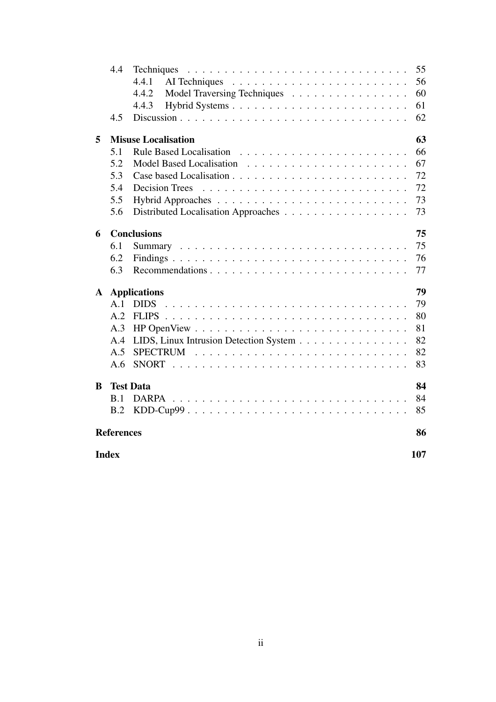|                         | 4.4                 | Techniques                             | 55 |  |  |  |
|-------------------------|---------------------|----------------------------------------|----|--|--|--|
|                         |                     | 4.4.1                                  | 56 |  |  |  |
|                         |                     | 4.4.2<br>Model Traversing Techniques   | 60 |  |  |  |
|                         |                     | 4.4.3                                  | 61 |  |  |  |
|                         | 4.5                 |                                        | 62 |  |  |  |
| 5                       |                     | <b>Misuse Localisation</b>             | 63 |  |  |  |
|                         | 5.1                 |                                        | 66 |  |  |  |
|                         | 5.2                 |                                        | 67 |  |  |  |
|                         | 5.3                 |                                        | 72 |  |  |  |
|                         | 5.4                 | <b>Decision Trees</b>                  | 72 |  |  |  |
|                         | 5.5                 |                                        | 73 |  |  |  |
|                         | 5.6                 | Distributed Localisation Approaches    | 73 |  |  |  |
| 6                       |                     | <b>Conclusions</b>                     | 75 |  |  |  |
|                         | 6.1                 |                                        | 75 |  |  |  |
|                         | 6.2                 |                                        | 76 |  |  |  |
|                         | 6.3                 |                                        | 77 |  |  |  |
| $\mathbf{A}$            |                     | <b>Applications</b>                    | 79 |  |  |  |
|                         | A.1                 | <b>DIDS</b>                            | 79 |  |  |  |
|                         | A.2                 |                                        | 80 |  |  |  |
|                         | A.3                 |                                        | 81 |  |  |  |
|                         | A.4                 | LIDS, Linux Intrusion Detection System | 82 |  |  |  |
|                         | A.5                 |                                        | 82 |  |  |  |
|                         | A.6                 |                                        | 83 |  |  |  |
| B                       |                     | <b>Test Data</b>                       | 84 |  |  |  |
|                         | B.1                 | <b>DARPA</b>                           | 84 |  |  |  |
|                         | B.2                 |                                        | 85 |  |  |  |
| <b>References</b><br>86 |                     |                                        |    |  |  |  |
|                         | <b>Index</b><br>107 |                                        |    |  |  |  |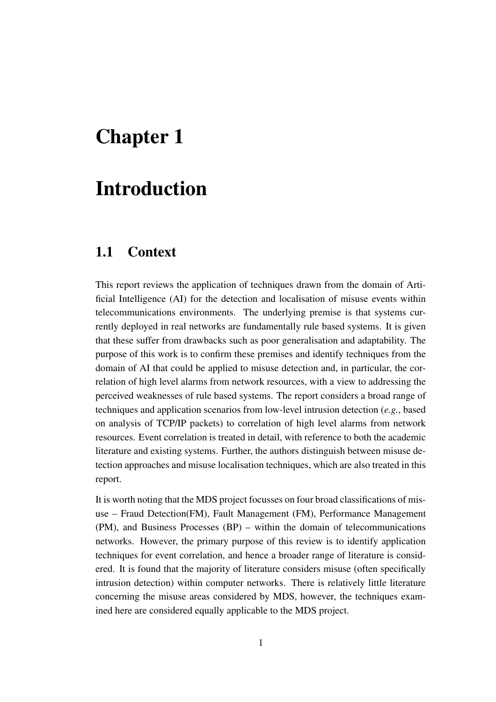## **Chapter 1**

### **Introduction**

#### **1.1 Context**

This report reviews the application of techniques drawn from the domain of Artificial Intelligence (AI) for the detection and localisation of misuse events within telecommunications environments. The underlying premise is that systems currently deployed in real networks are fundamentally rule based systems. It is given that these suffer from drawbacks such as poor generalisation and adaptability. The purpose of this work is to confirm these premises and identify techniques from the domain of AI that could be applied to misuse detection and, in particular, the correlation of high level alarms from network resources, with a view to addressing the perceived weaknesses of rule based systems. The report considers a broad range of techniques and application scenarios from low-level intrusion detection (*e.g.*, based on analysis of TCP/IP packets) to correlation of high level alarms from network resources. Event correlation is treated in detail, with reference to both the academic literature and existing systems. Further, the authors distinguish between misuse detection approaches and misuse localisation techniques, which are also treated in this report.

It is worth noting that the MDS project focusses on four broad classifications of misuse – Fraud Detection(FM), Fault Management (FM), Performance Management (PM), and Business Processes (BP) – within the domain of telecommunications networks. However, the primary purpose of this review is to identify application techniques for event correlation, and hence a broader range of literature is considered. It is found that the majority of literature considers misuse (often specifically intrusion detection) within computer networks. There is relatively little literature concerning the misuse areas considered by MDS, however, the techniques examined here are considered equally applicable to the MDS project.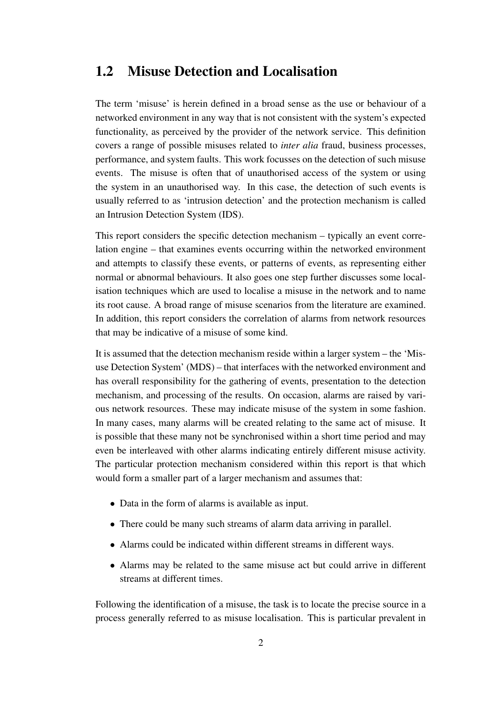#### **1.2 Misuse Detection and Localisation**

The term 'misuse' is herein defined in a broad sense as the use or behaviour of a networked environment in any way that is not consistent with the system's expected functionality, as perceived by the provider of the network service. This definition covers a range of possible misuses related to *inter alia* fraud, business processes, performance, and system faults. This work focusses on the detection of such misuse events. The misuse is often that of unauthorised access of the system or using the system in an unauthorised way. In this case, the detection of such events is usually referred to as 'intrusion detection' and the protection mechanism is called an Intrusion Detection System (IDS).

This report considers the specific detection mechanism – typically an event correlation engine – that examines events occurring within the networked environment and attempts to classify these events, or patterns of events, as representing either normal or abnormal behaviours. It also goes one step further discusses some localisation techniques which are used to localise a misuse in the network and to name its root cause. A broad range of misuse scenarios from the literature are examined. In addition, this report considers the correlation of alarms from network resources that may be indicative of a misuse of some kind.

It is assumed that the detection mechanism reside within a larger system – the 'Misuse Detection System' (MDS) – that interfaces with the networked environment and has overall responsibility for the gathering of events, presentation to the detection mechanism, and processing of the results. On occasion, alarms are raised by various network resources. These may indicate misuse of the system in some fashion. In many cases, many alarms will be created relating to the same act of misuse. It is possible that these many not be synchronised within a short time period and may even be interleaved with other alarms indicating entirely different misuse activity. The particular protection mechanism considered within this report is that which would form a smaller part of a larger mechanism and assumes that:

- Data in the form of alarms is available as input.
- There could be many such streams of alarm data arriving in parallel.
- Alarms could be indicated within different streams in different ways.
- Alarms may be related to the same misuse act but could arrive in different streams at different times.

Following the identification of a misuse, the task is to locate the precise source in a process generally referred to as misuse localisation. This is particular prevalent in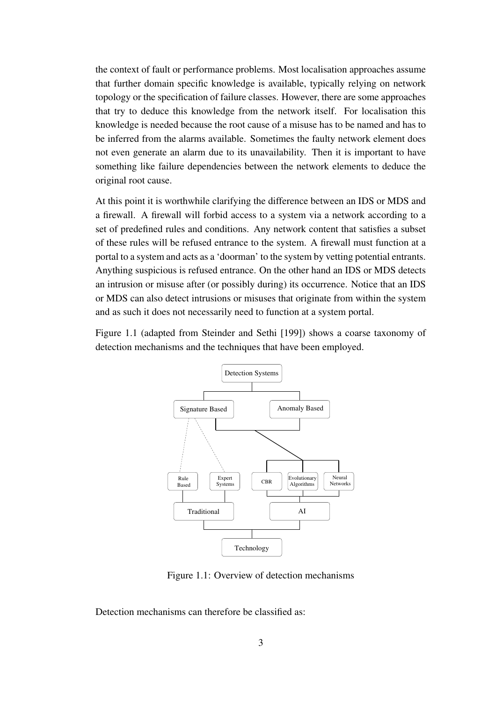the context of fault or performance problems. Most localisation approaches assume that further domain specific knowledge is available, typically relying on network topology or the specification of failure classes. However, there are some approaches that try to deduce this knowledge from the network itself. For localisation this knowledge is needed because the root cause of a misuse has to be named and has to be inferred from the alarms available. Sometimes the faulty network element does not even generate an alarm due to its unavailability. Then it is important to have something like failure dependencies between the network elements to deduce the original root cause.

At this point it is worthwhile clarifying the difference between an IDS or MDS and a firewall. A firewall will forbid access to a system via a network according to a set of predefined rules and conditions. Any network content that satisfies a subset of these rules will be refused entrance to the system. A firewall must function at a portal to a system and acts as a 'doorman' to the system by vetting potential entrants. Anything suspicious is refused entrance. On the other hand an IDS or MDS detects an intrusion or misuse after (or possibly during) its occurrence. Notice that an IDS or MDS can also detect intrusions or misuses that originate from within the system and as such it does not necessarily need to function at a system portal.

Figure 1.1 (adapted from Steinder and Sethi [199]) shows a coarse taxonomy of detection mechanisms and the techniques that have been employed.



Figure 1.1: Overview of detection mechanisms

Detection mechanisms can therefore be classified as: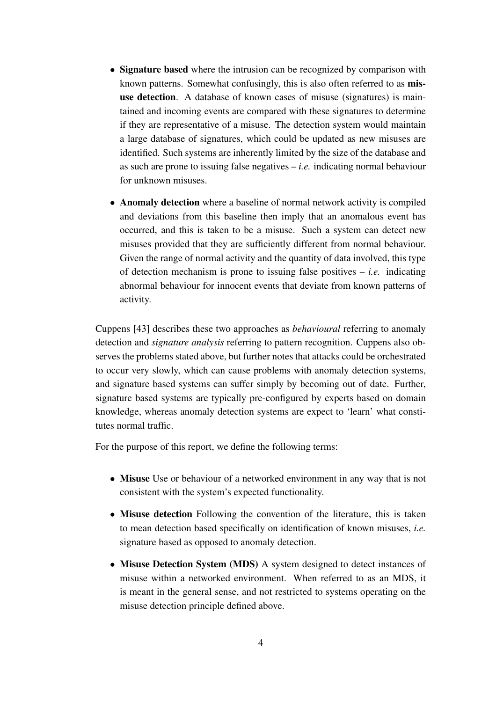- **Signature based** where the intrusion can be recognized by comparison with known patterns. Somewhat confusingly, this is also often referred to as **misuse detection**. A database of known cases of misuse (signatures) is maintained and incoming events are compared with these signatures to determine if they are representative of a misuse. The detection system would maintain a large database of signatures, which could be updated as new misuses are identified. Such systems are inherently limited by the size of the database and as such are prone to issuing false negatives – *i.e.* indicating normal behaviour for unknown misuses.
- **Anomaly detection** where a baseline of normal network activity is compiled and deviations from this baseline then imply that an anomalous event has occurred, and this is taken to be a misuse. Such a system can detect new misuses provided that they are sufficiently different from normal behaviour. Given the range of normal activity and the quantity of data involved, this type of detection mechanism is prone to issuing false positives  $- i.e.$  indicating abnormal behaviour for innocent events that deviate from known patterns of activity.

Cuppens [43] describes these two approaches as *behavioural* referring to anomaly detection and *signature analysis* referring to pattern recognition. Cuppens also observes the problems stated above, but further notes that attacks could be orchestrated to occur very slowly, which can cause problems with anomaly detection systems, and signature based systems can suffer simply by becoming out of date. Further, signature based systems are typically pre-configured by experts based on domain knowledge, whereas anomaly detection systems are expect to 'learn' what constitutes normal traffic.

For the purpose of this report, we define the following terms:

- **Misuse** Use or behaviour of a networked environment in any way that is not consistent with the system's expected functionality.
- **Misuse detection** Following the convention of the literature, this is taken to mean detection based specifically on identification of known misuses, *i.e.* signature based as opposed to anomaly detection.
- **Misuse Detection System (MDS)** A system designed to detect instances of misuse within a networked environment. When referred to as an MDS, it is meant in the general sense, and not restricted to systems operating on the misuse detection principle defined above.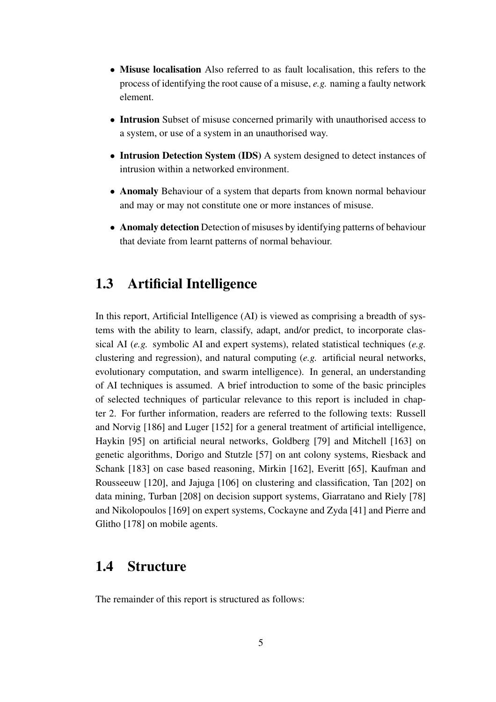- **Misuse localisation** Also referred to as fault localisation, this refers to the process of identifying the root cause of a misuse, *e.g.* naming a faulty network element.
- **Intrusion** Subset of misuse concerned primarily with unauthorised access to a system, or use of a system in an unauthorised way.
- **Intrusion Detection System (IDS)** A system designed to detect instances of intrusion within a networked environment.
- **Anomaly** Behaviour of a system that departs from known normal behaviour and may or may not constitute one or more instances of misuse.
- **Anomaly detection** Detection of misuses by identifying patterns of behaviour that deviate from learnt patterns of normal behaviour.

#### **1.3 Artificial Intelligence**

In this report, Artificial Intelligence (AI) is viewed as comprising a breadth of systems with the ability to learn, classify, adapt, and/or predict, to incorporate classical AI (*e.g.* symbolic AI and expert systems), related statistical techniques (*e.g.* clustering and regression), and natural computing (*e.g.* artificial neural networks, evolutionary computation, and swarm intelligence). In general, an understanding of AI techniques is assumed. A brief introduction to some of the basic principles of selected techniques of particular relevance to this report is included in chapter 2. For further information, readers are referred to the following texts: Russell and Norvig [186] and Luger [152] for a general treatment of artificial intelligence, Haykin [95] on artificial neural networks, Goldberg [79] and Mitchell [163] on genetic algorithms, Dorigo and Stutzle [57] on ant colony systems, Riesback and Schank [183] on case based reasoning, Mirkin [162], Everitt [65], Kaufman and Rousseeuw [120], and Jajuga [106] on clustering and classification, Tan [202] on data mining, Turban [208] on decision support systems, Giarratano and Riely [78] and Nikolopoulos [169] on expert systems, Cockayne and Zyda [41] and Pierre and Glitho [178] on mobile agents.

#### **1.4 Structure**

The remainder of this report is structured as follows: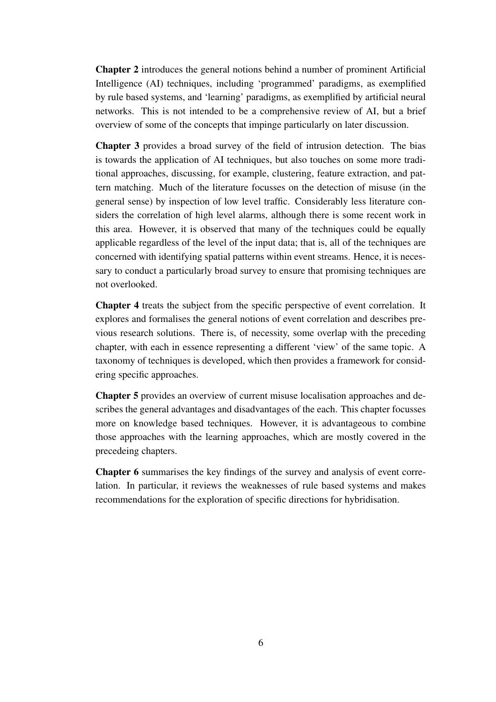**Chapter 2** introduces the general notions behind a number of prominent Artificial Intelligence (AI) techniques, including 'programmed' paradigms, as exemplified by rule based systems, and 'learning' paradigms, as exemplified by artificial neural networks. This is not intended to be a comprehensive review of AI, but a brief overview of some of the concepts that impinge particularly on later discussion.

**Chapter 3** provides a broad survey of the field of intrusion detection. The bias is towards the application of AI techniques, but also touches on some more traditional approaches, discussing, for example, clustering, feature extraction, and pattern matching. Much of the literature focusses on the detection of misuse (in the general sense) by inspection of low level traffic. Considerably less literature considers the correlation of high level alarms, although there is some recent work in this area. However, it is observed that many of the techniques could be equally applicable regardless of the level of the input data; that is, all of the techniques are concerned with identifying spatial patterns within event streams. Hence, it is necessary to conduct a particularly broad survey to ensure that promising techniques are not overlooked.

**Chapter 4** treats the subject from the specific perspective of event correlation. It explores and formalises the general notions of event correlation and describes previous research solutions. There is, of necessity, some overlap with the preceding chapter, with each in essence representing a different 'view' of the same topic. A taxonomy of techniques is developed, which then provides a framework for considering specific approaches.

**Chapter 5** provides an overview of current misuse localisation approaches and describes the general advantages and disadvantages of the each. This chapter focusses more on knowledge based techniques. However, it is advantageous to combine those approaches with the learning approaches, which are mostly covered in the precedeing chapters.

**Chapter 6** summarises the key findings of the survey and analysis of event correlation. In particular, it reviews the weaknesses of rule based systems and makes recommendations for the exploration of specific directions for hybridisation.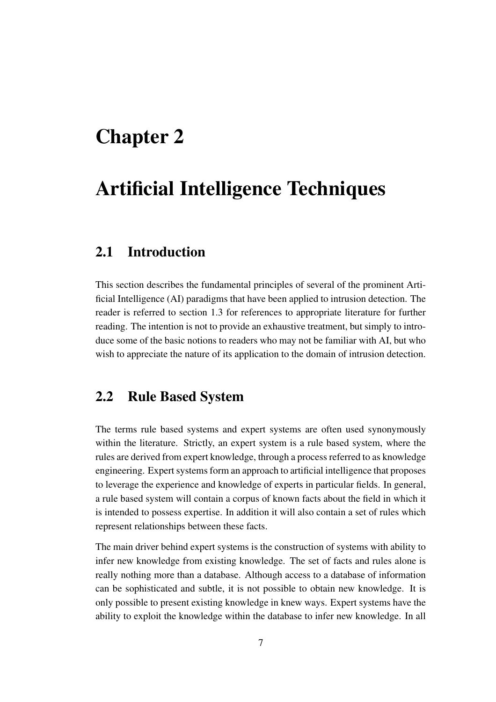## **Chapter 2**

### **Artificial Intelligence Techniques**

#### **2.1 Introduction**

This section describes the fundamental principles of several of the prominent Artificial Intelligence (AI) paradigms that have been applied to intrusion detection. The reader is referred to section 1.3 for references to appropriate literature for further reading. The intention is not to provide an exhaustive treatment, but simply to introduce some of the basic notions to readers who may not be familiar with AI, but who wish to appreciate the nature of its application to the domain of intrusion detection.

#### **2.2 Rule Based System**

The terms rule based systems and expert systems are often used synonymously within the literature. Strictly, an expert system is a rule based system, where the rules are derived from expert knowledge, through a process referred to as knowledge engineering. Expert systems form an approach to artificial intelligence that proposes to leverage the experience and knowledge of experts in particular fields. In general, a rule based system will contain a corpus of known facts about the field in which it is intended to possess expertise. In addition it will also contain a set of rules which represent relationships between these facts.

The main driver behind expert systems is the construction of systems with ability to infer new knowledge from existing knowledge. The set of facts and rules alone is really nothing more than a database. Although access to a database of information can be sophisticated and subtle, it is not possible to obtain new knowledge. It is only possible to present existing knowledge in knew ways. Expert systems have the ability to exploit the knowledge within the database to infer new knowledge. In all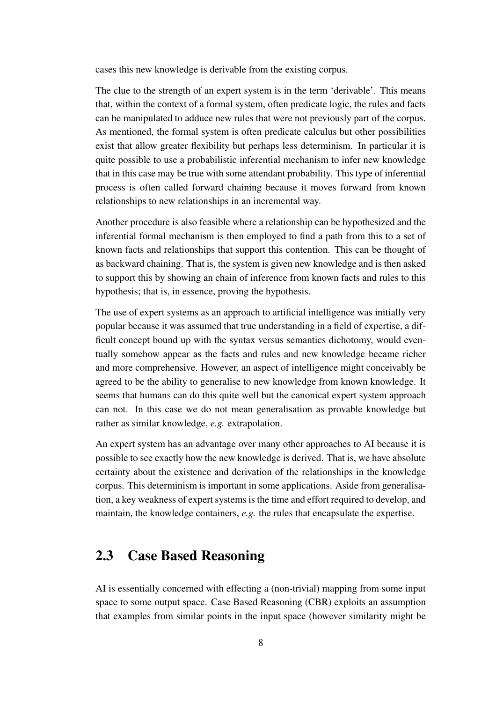cases this new knowledge is derivable from the existing corpus.

The clue to the strength of an expert system is in the term 'derivable'. This means that, within the context of a formal system, often predicate logic, the rules and facts can be manipulated to adduce new rules that were not previously part of the corpus. As mentioned, the formal system is often predicate calculus but other possibilities exist that allow greater flexibility but perhaps less determinism. In particular it is quite possible to use a probabilistic inferential mechanism to infer new knowledge that in this case may be true with some attendant probability. This type of inferential process is often called forward chaining because it moves forward from known relationships to new relationships in an incremental way.

Another procedure is also feasible where a relationship can be hypothesized and the inferential formal mechanism is then employed to find a path from this to a set of known facts and relationships that support this contention. This can be thought of as backward chaining. That is, the system is given new knowledge and is then asked to support this by showing an chain of inference from known facts and rules to this hypothesis; that is, in essence, proving the hypothesis.

The use of expert systems as an approach to artificial intelligence was initially very popular because it was assumed that true understanding in a field of expertise, a difficult concept bound up with the syntax versus semantics dichotomy, would eventually somehow appear as the facts and rules and new knowledge became richer and more comprehensive. However, an aspect of intelligence might conceivably be agreed to be the ability to generalise to new knowledge from known knowledge. It seems that humans can do this quite well but the canonical expert system approach can not. In this case we do not mean generalisation as provable knowledge but rather as similar knowledge, *e.g.* extrapolation.

An expert system has an advantage over many other approaches to AI because it is possible to see exactly how the new knowledge is derived. That is, we have absolute certainty about the existence and derivation of the relationships in the knowledge corpus. This determinism is important in some applications. Aside from generalisation, a key weakness of expert systems is the time and effort required to develop, and maintain, the knowledge containers, *e.g.* the rules that encapsulate the expertise.

#### **2.3 Case Based Reasoning**

AI is essentially concerned with effecting a (non-trivial) mapping from some input space to some output space. Case Based Reasoning (CBR) exploits an assumption that examples from similar points in the input space (however similarity might be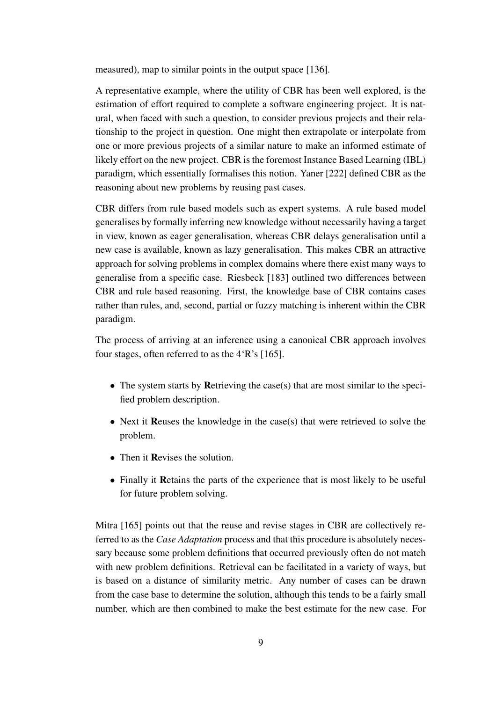measured), map to similar points in the output space [136].

A representative example, where the utility of CBR has been well explored, is the estimation of effort required to complete a software engineering project. It is natural, when faced with such a question, to consider previous projects and their relationship to the project in question. One might then extrapolate or interpolate from one or more previous projects of a similar nature to make an informed estimate of likely effort on the new project. CBR is the foremost Instance Based Learning (IBL) paradigm, which essentially formalises this notion. Yaner [222] defined CBR as the reasoning about new problems by reusing past cases.

CBR differs from rule based models such as expert systems. A rule based model generalises by formally inferring new knowledge without necessarily having a target in view, known as eager generalisation, whereas CBR delays generalisation until a new case is available, known as lazy generalisation. This makes CBR an attractive approach for solving problems in complex domains where there exist many ways to generalise from a specific case. Riesbeck [183] outlined two differences between CBR and rule based reasoning. First, the knowledge base of CBR contains cases rather than rules, and, second, partial or fuzzy matching is inherent within the CBR paradigm.

The process of arriving at an inference using a canonical CBR approach involves four stages, often referred to as the 4'R's [165].

- The system starts by **R**etrieving the case(s) that are most similar to the specified problem description.
- Next it **R**euses the knowledge in the case(s) that were retrieved to solve the problem.
- Then it **Revises** the solution.
- Finally it **R**etains the parts of the experience that is most likely to be useful for future problem solving.

Mitra [165] points out that the reuse and revise stages in CBR are collectively referred to as the *Case Adaptation* process and that this procedure is absolutely necessary because some problem definitions that occurred previously often do not match with new problem definitions. Retrieval can be facilitated in a variety of ways, but is based on a distance of similarity metric. Any number of cases can be drawn from the case base to determine the solution, although this tends to be a fairly small number, which are then combined to make the best estimate for the new case. For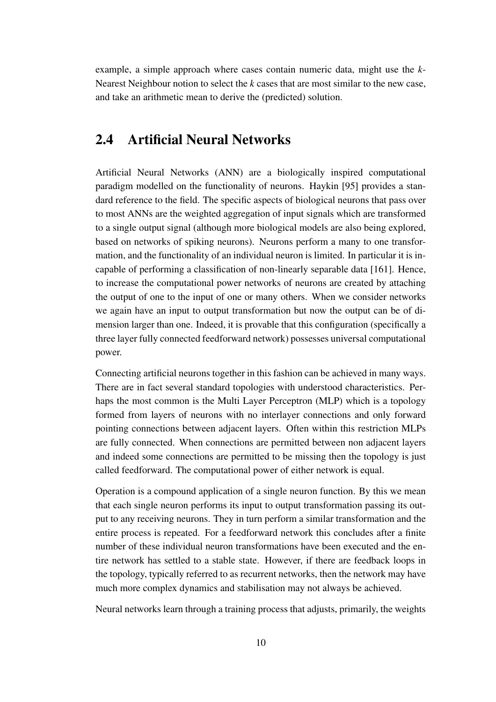example, a simple approach where cases contain numeric data, might use the *k*-Nearest Neighbour notion to select the *k* cases that are most similar to the new case, and take an arithmetic mean to derive the (predicted) solution.

#### **2.4 Artificial Neural Networks**

Artificial Neural Networks (ANN) are a biologically inspired computational paradigm modelled on the functionality of neurons. Haykin [95] provides a standard reference to the field. The specific aspects of biological neurons that pass over to most ANNs are the weighted aggregation of input signals which are transformed to a single output signal (although more biological models are also being explored, based on networks of spiking neurons). Neurons perform a many to one transformation, and the functionality of an individual neuron is limited. In particular it is incapable of performing a classification of non-linearly separable data [161]. Hence, to increase the computational power networks of neurons are created by attaching the output of one to the input of one or many others. When we consider networks we again have an input to output transformation but now the output can be of dimension larger than one. Indeed, it is provable that this configuration (specifically a three layer fully connected feedforward network) possesses universal computational power.

Connecting artificial neurons together in this fashion can be achieved in many ways. There are in fact several standard topologies with understood characteristics. Perhaps the most common is the Multi Layer Perceptron (MLP) which is a topology formed from layers of neurons with no interlayer connections and only forward pointing connections between adjacent layers. Often within this restriction MLPs are fully connected. When connections are permitted between non adjacent layers and indeed some connections are permitted to be missing then the topology is just called feedforward. The computational power of either network is equal.

Operation is a compound application of a single neuron function. By this we mean that each single neuron performs its input to output transformation passing its output to any receiving neurons. They in turn perform a similar transformation and the entire process is repeated. For a feedforward network this concludes after a finite number of these individual neuron transformations have been executed and the entire network has settled to a stable state. However, if there are feedback loops in the topology, typically referred to as recurrent networks, then the network may have much more complex dynamics and stabilisation may not always be achieved.

Neural networks learn through a training process that adjusts, primarily, the weights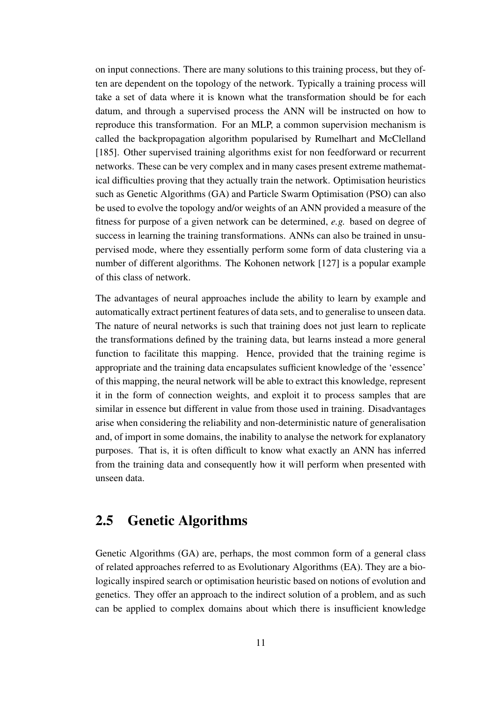on input connections. There are many solutions to this training process, but they often are dependent on the topology of the network. Typically a training process will take a set of data where it is known what the transformation should be for each datum, and through a supervised process the ANN will be instructed on how to reproduce this transformation. For an MLP, a common supervision mechanism is called the backpropagation algorithm popularised by Rumelhart and McClelland [185]. Other supervised training algorithms exist for non feedforward or recurrent networks. These can be very complex and in many cases present extreme mathematical difficulties proving that they actually train the network. Optimisation heuristics such as Genetic Algorithms (GA) and Particle Swarm Optimisation (PSO) can also be used to evolve the topology and/or weights of an ANN provided a measure of the fitness for purpose of a given network can be determined, *e.g.* based on degree of success in learning the training transformations. ANNs can also be trained in unsupervised mode, where they essentially perform some form of data clustering via a number of different algorithms. The Kohonen network [127] is a popular example of this class of network.

The advantages of neural approaches include the ability to learn by example and automatically extract pertinent features of data sets, and to generalise to unseen data. The nature of neural networks is such that training does not just learn to replicate the transformations defined by the training data, but learns instead a more general function to facilitate this mapping. Hence, provided that the training regime is appropriate and the training data encapsulates sufficient knowledge of the 'essence' of this mapping, the neural network will be able to extract this knowledge, represent it in the form of connection weights, and exploit it to process samples that are similar in essence but different in value from those used in training. Disadvantages arise when considering the reliability and non-deterministic nature of generalisation and, of import in some domains, the inability to analyse the network for explanatory purposes. That is, it is often difficult to know what exactly an ANN has inferred from the training data and consequently how it will perform when presented with unseen data.

### **2.5 Genetic Algorithms**

Genetic Algorithms (GA) are, perhaps, the most common form of a general class of related approaches referred to as Evolutionary Algorithms (EA). They are a biologically inspired search or optimisation heuristic based on notions of evolution and genetics. They offer an approach to the indirect solution of a problem, and as such can be applied to complex domains about which there is insufficient knowledge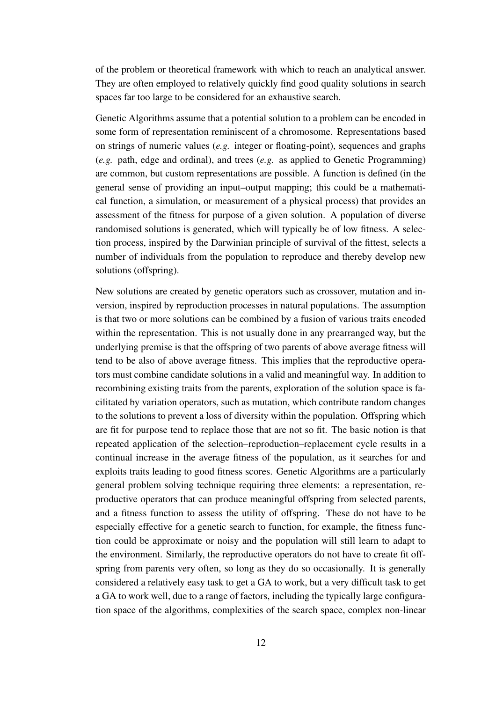of the problem or theoretical framework with which to reach an analytical answer. They are often employed to relatively quickly find good quality solutions in search spaces far too large to be considered for an exhaustive search.

Genetic Algorithms assume that a potential solution to a problem can be encoded in some form of representation reminiscent of a chromosome. Representations based on strings of numeric values (*e.g.* integer or floating-point), sequences and graphs (*e.g.* path, edge and ordinal), and trees (*e.g.* as applied to Genetic Programming) are common, but custom representations are possible. A function is defined (in the general sense of providing an input–output mapping; this could be a mathematical function, a simulation, or measurement of a physical process) that provides an assessment of the fitness for purpose of a given solution. A population of diverse randomised solutions is generated, which will typically be of low fitness. A selection process, inspired by the Darwinian principle of survival of the fittest, selects a number of individuals from the population to reproduce and thereby develop new solutions (offspring).

New solutions are created by genetic operators such as crossover, mutation and inversion, inspired by reproduction processes in natural populations. The assumption is that two or more solutions can be combined by a fusion of various traits encoded within the representation. This is not usually done in any prearranged way, but the underlying premise is that the offspring of two parents of above average fitness will tend to be also of above average fitness. This implies that the reproductive operators must combine candidate solutions in a valid and meaningful way. In addition to recombining existing traits from the parents, exploration of the solution space is facilitated by variation operators, such as mutation, which contribute random changes to the solutions to prevent a loss of diversity within the population. Offspring which are fit for purpose tend to replace those that are not so fit. The basic notion is that repeated application of the selection–reproduction–replacement cycle results in a continual increase in the average fitness of the population, as it searches for and exploits traits leading to good fitness scores. Genetic Algorithms are a particularly general problem solving technique requiring three elements: a representation, reproductive operators that can produce meaningful offspring from selected parents, and a fitness function to assess the utility of offspring. These do not have to be especially effective for a genetic search to function, for example, the fitness function could be approximate or noisy and the population will still learn to adapt to the environment. Similarly, the reproductive operators do not have to create fit offspring from parents very often, so long as they do so occasionally. It is generally considered a relatively easy task to get a GA to work, but a very difficult task to get a GA to work well, due to a range of factors, including the typically large configuration space of the algorithms, complexities of the search space, complex non-linear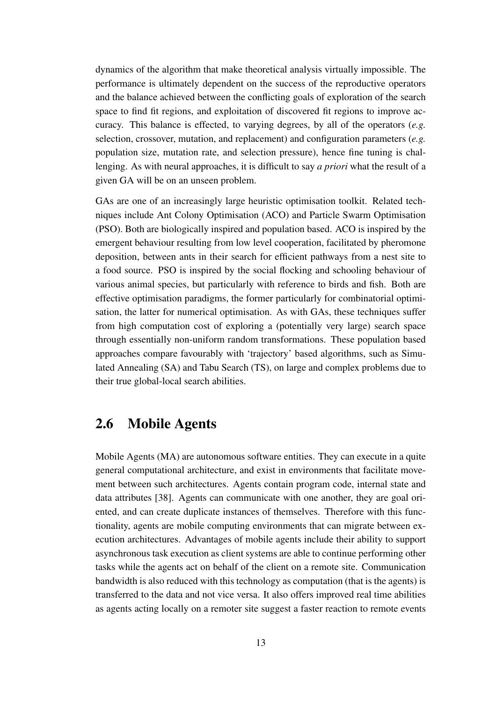dynamics of the algorithm that make theoretical analysis virtually impossible. The performance is ultimately dependent on the success of the reproductive operators and the balance achieved between the conflicting goals of exploration of the search space to find fit regions, and exploitation of discovered fit regions to improve accuracy. This balance is effected, to varying degrees, by all of the operators (*e.g.* selection, crossover, mutation, and replacement) and configuration parameters (*e.g.* population size, mutation rate, and selection pressure), hence fine tuning is challenging. As with neural approaches, it is difficult to say *a priori* what the result of a given GA will be on an unseen problem.

GAs are one of an increasingly large heuristic optimisation toolkit. Related techniques include Ant Colony Optimisation (ACO) and Particle Swarm Optimisation (PSO). Both are biologically inspired and population based. ACO is inspired by the emergent behaviour resulting from low level cooperation, facilitated by pheromone deposition, between ants in their search for efficient pathways from a nest site to a food source. PSO is inspired by the social flocking and schooling behaviour of various animal species, but particularly with reference to birds and fish. Both are effective optimisation paradigms, the former particularly for combinatorial optimisation, the latter for numerical optimisation. As with GAs, these techniques suffer from high computation cost of exploring a (potentially very large) search space through essentially non-uniform random transformations. These population based approaches compare favourably with 'trajectory' based algorithms, such as Simulated Annealing (SA) and Tabu Search (TS), on large and complex problems due to their true global-local search abilities.

#### **2.6 Mobile Agents**

Mobile Agents (MA) are autonomous software entities. They can execute in a quite general computational architecture, and exist in environments that facilitate movement between such architectures. Agents contain program code, internal state and data attributes [38]. Agents can communicate with one another, they are goal oriented, and can create duplicate instances of themselves. Therefore with this functionality, agents are mobile computing environments that can migrate between execution architectures. Advantages of mobile agents include their ability to support asynchronous task execution as client systems are able to continue performing other tasks while the agents act on behalf of the client on a remote site. Communication bandwidth is also reduced with this technology as computation (that is the agents) is transferred to the data and not vice versa. It also offers improved real time abilities as agents acting locally on a remoter site suggest a faster reaction to remote events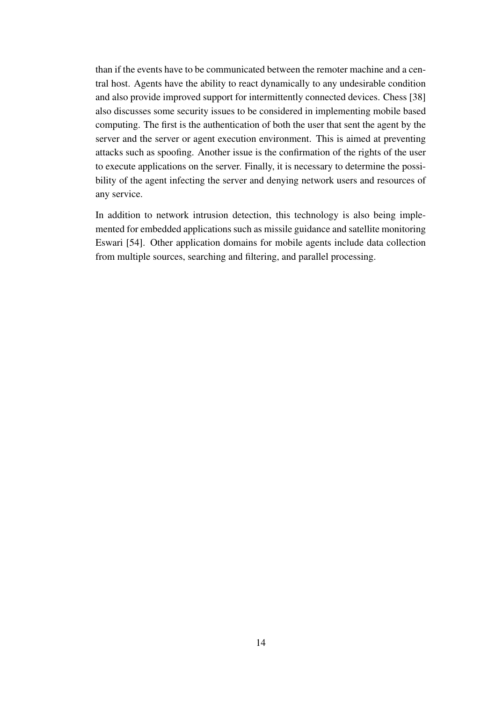than if the events have to be communicated between the remoter machine and a central host. Agents have the ability to react dynamically to any undesirable condition and also provide improved support for intermittently connected devices. Chess [38] also discusses some security issues to be considered in implementing mobile based computing. The first is the authentication of both the user that sent the agent by the server and the server or agent execution environment. This is aimed at preventing attacks such as spoofing. Another issue is the confirmation of the rights of the user to execute applications on the server. Finally, it is necessary to determine the possibility of the agent infecting the server and denying network users and resources of any service.

In addition to network intrusion detection, this technology is also being implemented for embedded applications such as missile guidance and satellite monitoring Eswari [54]. Other application domains for mobile agents include data collection from multiple sources, searching and filtering, and parallel processing.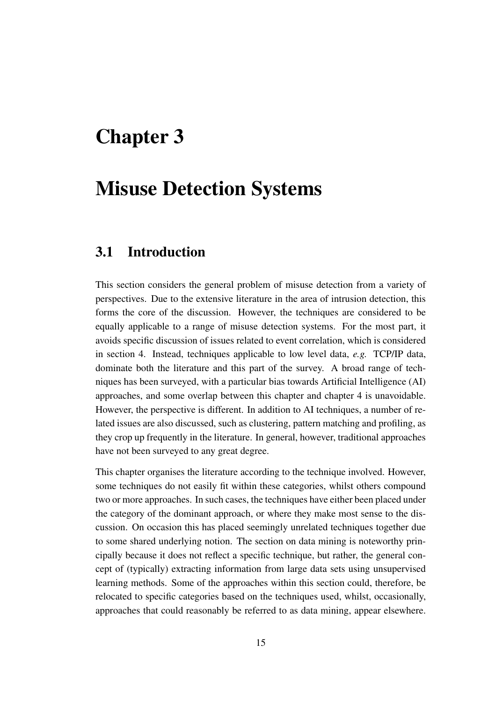### **Chapter 3**

### **Misuse Detection Systems**

#### **3.1 Introduction**

This section considers the general problem of misuse detection from a variety of perspectives. Due to the extensive literature in the area of intrusion detection, this forms the core of the discussion. However, the techniques are considered to be equally applicable to a range of misuse detection systems. For the most part, it avoids specific discussion of issues related to event correlation, which is considered in section 4. Instead, techniques applicable to low level data, *e.g.* TCP/IP data, dominate both the literature and this part of the survey. A broad range of techniques has been surveyed, with a particular bias towards Artificial Intelligence (AI) approaches, and some overlap between this chapter and chapter 4 is unavoidable. However, the perspective is different. In addition to AI techniques, a number of related issues are also discussed, such as clustering, pattern matching and profiling, as they crop up frequently in the literature. In general, however, traditional approaches have not been surveyed to any great degree.

This chapter organises the literature according to the technique involved. However, some techniques do not easily fit within these categories, whilst others compound two or more approaches. In such cases, the techniques have either been placed under the category of the dominant approach, or where they make most sense to the discussion. On occasion this has placed seemingly unrelated techniques together due to some shared underlying notion. The section on data mining is noteworthy principally because it does not reflect a specific technique, but rather, the general concept of (typically) extracting information from large data sets using unsupervised learning methods. Some of the approaches within this section could, therefore, be relocated to specific categories based on the techniques used, whilst, occasionally, approaches that could reasonably be referred to as data mining, appear elsewhere.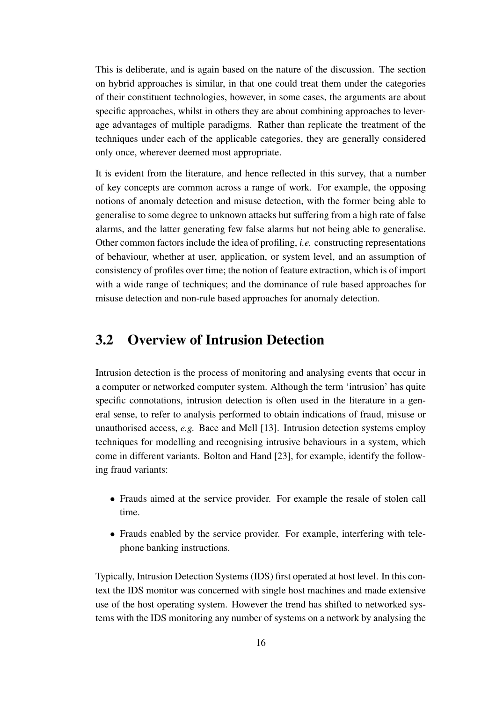This is deliberate, and is again based on the nature of the discussion. The section on hybrid approaches is similar, in that one could treat them under the categories of their constituent technologies, however, in some cases, the arguments are about specific approaches, whilst in others they are about combining approaches to leverage advantages of multiple paradigms. Rather than replicate the treatment of the techniques under each of the applicable categories, they are generally considered only once, wherever deemed most appropriate.

It is evident from the literature, and hence reflected in this survey, that a number of key concepts are common across a range of work. For example, the opposing notions of anomaly detection and misuse detection, with the former being able to generalise to some degree to unknown attacks but suffering from a high rate of false alarms, and the latter generating few false alarms but not being able to generalise. Other common factors include the idea of profiling, *i.e.* constructing representations of behaviour, whether at user, application, or system level, and an assumption of consistency of profiles over time; the notion of feature extraction, which is of import with a wide range of techniques; and the dominance of rule based approaches for misuse detection and non-rule based approaches for anomaly detection.

#### **3.2 Overview of Intrusion Detection**

Intrusion detection is the process of monitoring and analysing events that occur in a computer or networked computer system. Although the term 'intrusion' has quite specific connotations, intrusion detection is often used in the literature in a general sense, to refer to analysis performed to obtain indications of fraud, misuse or unauthorised access, *e.g.* Bace and Mell [13]. Intrusion detection systems employ techniques for modelling and recognising intrusive behaviours in a system, which come in different variants. Bolton and Hand [23], for example, identify the following fraud variants:

- Frauds aimed at the service provider. For example the resale of stolen call time.
- Frauds enabled by the service provider. For example, interfering with telephone banking instructions.

Typically, Intrusion Detection Systems (IDS) first operated at host level. In this context the IDS monitor was concerned with single host machines and made extensive use of the host operating system. However the trend has shifted to networked systems with the IDS monitoring any number of systems on a network by analysing the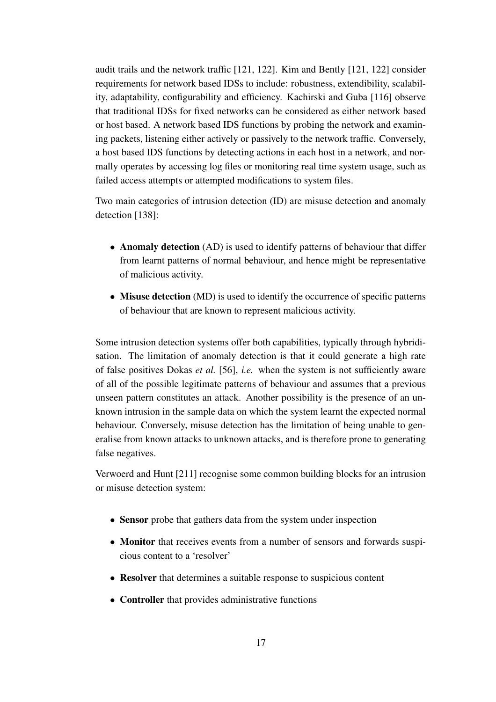audit trails and the network traffic [121, 122]. Kim and Bently [121, 122] consider requirements for network based IDSs to include: robustness, extendibility, scalability, adaptability, configurability and efficiency. Kachirski and Guba [116] observe that traditional IDSs for fixed networks can be considered as either network based or host based. A network based IDS functions by probing the network and examining packets, listening either actively or passively to the network traffic. Conversely, a host based IDS functions by detecting actions in each host in a network, and normally operates by accessing log files or monitoring real time system usage, such as failed access attempts or attempted modifications to system files.

Two main categories of intrusion detection (ID) are misuse detection and anomaly detection [138]:

- **Anomaly detection** (AD) is used to identify patterns of behaviour that differ from learnt patterns of normal behaviour, and hence might be representative of malicious activity.
- **Misuse detection** (MD) is used to identify the occurrence of specific patterns of behaviour that are known to represent malicious activity.

Some intrusion detection systems offer both capabilities, typically through hybridisation. The limitation of anomaly detection is that it could generate a high rate of false positives Dokas *et al.* [56], *i.e.* when the system is not sufficiently aware of all of the possible legitimate patterns of behaviour and assumes that a previous unseen pattern constitutes an attack. Another possibility is the presence of an unknown intrusion in the sample data on which the system learnt the expected normal behaviour. Conversely, misuse detection has the limitation of being unable to generalise from known attacks to unknown attacks, and is therefore prone to generating false negatives.

Verwoerd and Hunt [211] recognise some common building blocks for an intrusion or misuse detection system:

- **Sensor** probe that gathers data from the system under inspection
- **Monitor** that receives events from a number of sensors and forwards suspicious content to a 'resolver'
- **Resolver** that determines a suitable response to suspicious content
- **Controller** that provides administrative functions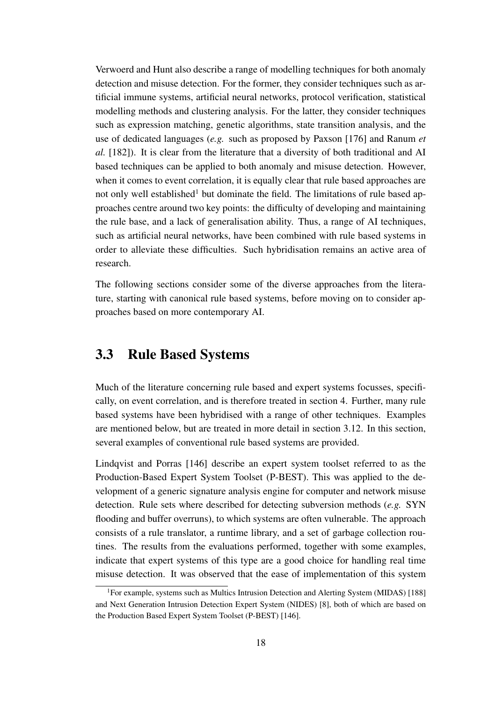Verwoerd and Hunt also describe a range of modelling techniques for both anomaly detection and misuse detection. For the former, they consider techniques such as artificial immune systems, artificial neural networks, protocol verification, statistical modelling methods and clustering analysis. For the latter, they consider techniques such as expression matching, genetic algorithms, state transition analysis, and the use of dedicated languages (*e.g.* such as proposed by Paxson [176] and Ranum *et al.* [182]). It is clear from the literature that a diversity of both traditional and AI based techniques can be applied to both anomaly and misuse detection. However, when it comes to event correlation, it is equally clear that rule based approaches are not only well established<sup>1</sup> but dominate the field. The limitations of rule based approaches centre around two key points: the difficulty of developing and maintaining the rule base, and a lack of generalisation ability. Thus, a range of AI techniques, such as artificial neural networks, have been combined with rule based systems in order to alleviate these difficulties. Such hybridisation remains an active area of research.

The following sections consider some of the diverse approaches from the literature, starting with canonical rule based systems, before moving on to consider approaches based on more contemporary AI.

#### **3.3 Rule Based Systems**

Much of the literature concerning rule based and expert systems focusses, specifically, on event correlation, and is therefore treated in section 4. Further, many rule based systems have been hybridised with a range of other techniques. Examples are mentioned below, but are treated in more detail in section 3.12. In this section, several examples of conventional rule based systems are provided.

Lindqvist and Porras [146] describe an expert system toolset referred to as the Production-Based Expert System Toolset (P-BEST). This was applied to the development of a generic signature analysis engine for computer and network misuse detection. Rule sets where described for detecting subversion methods (*e.g.* SYN flooding and buffer overruns), to which systems are often vulnerable. The approach consists of a rule translator, a runtime library, and a set of garbage collection routines. The results from the evaluations performed, together with some examples, indicate that expert systems of this type are a good choice for handling real time misuse detection. It was observed that the ease of implementation of this system

<sup>1</sup>For example, systems such as Multics Intrusion Detection and Alerting System (MIDAS) [188] and Next Generation Intrusion Detection Expert System (NIDES) [8], both of which are based on the Production Based Expert System Toolset (P-BEST) [146].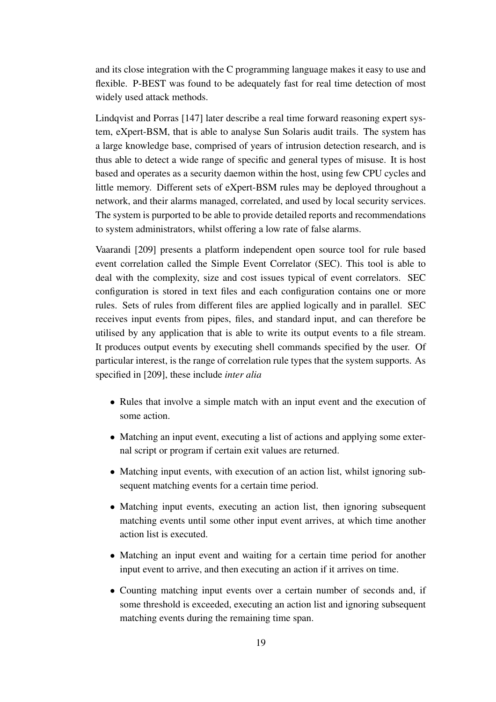and its close integration with the C programming language makes it easy to use and flexible. P-BEST was found to be adequately fast for real time detection of most widely used attack methods.

Lindqvist and Porras [147] later describe a real time forward reasoning expert system, eXpert-BSM, that is able to analyse Sun Solaris audit trails. The system has a large knowledge base, comprised of years of intrusion detection research, and is thus able to detect a wide range of specific and general types of misuse. It is host based and operates as a security daemon within the host, using few CPU cycles and little memory. Different sets of eXpert-BSM rules may be deployed throughout a network, and their alarms managed, correlated, and used by local security services. The system is purported to be able to provide detailed reports and recommendations to system administrators, whilst offering a low rate of false alarms.

Vaarandi [209] presents a platform independent open source tool for rule based event correlation called the Simple Event Correlator (SEC). This tool is able to deal with the complexity, size and cost issues typical of event correlators. SEC configuration is stored in text files and each configuration contains one or more rules. Sets of rules from different files are applied logically and in parallel. SEC receives input events from pipes, files, and standard input, and can therefore be utilised by any application that is able to write its output events to a file stream. It produces output events by executing shell commands specified by the user. Of particular interest, is the range of correlation rule types that the system supports. As specified in [209], these include *inter alia*

- Rules that involve a simple match with an input event and the execution of some action.
- Matching an input event, executing a list of actions and applying some external script or program if certain exit values are returned.
- Matching input events, with execution of an action list, whilst ignoring subsequent matching events for a certain time period.
- Matching input events, executing an action list, then ignoring subsequent matching events until some other input event arrives, at which time another action list is executed.
- Matching an input event and waiting for a certain time period for another input event to arrive, and then executing an action if it arrives on time.
- Counting matching input events over a certain number of seconds and, if some threshold is exceeded, executing an action list and ignoring subsequent matching events during the remaining time span.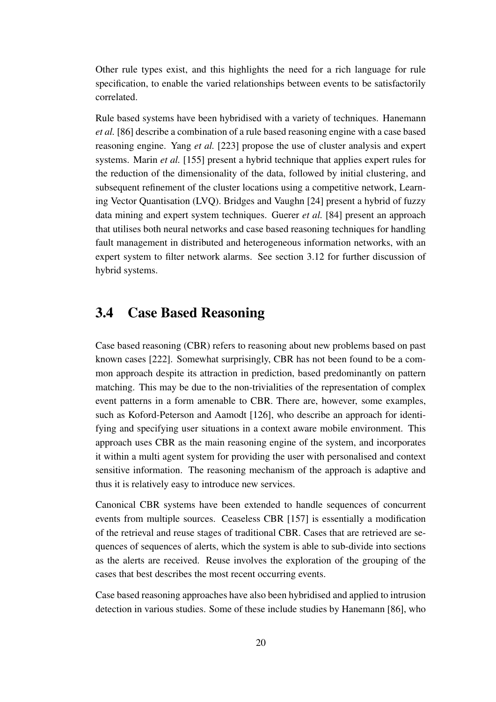Other rule types exist, and this highlights the need for a rich language for rule specification, to enable the varied relationships between events to be satisfactorily correlated.

Rule based systems have been hybridised with a variety of techniques. Hanemann *et al.* [86] describe a combination of a rule based reasoning engine with a case based reasoning engine. Yang *et al.* [223] propose the use of cluster analysis and expert systems. Marin *et al.* [155] present a hybrid technique that applies expert rules for the reduction of the dimensionality of the data, followed by initial clustering, and subsequent refinement of the cluster locations using a competitive network, Learning Vector Quantisation (LVQ). Bridges and Vaughn [24] present a hybrid of fuzzy data mining and expert system techniques. Guerer *et al.* [84] present an approach that utilises both neural networks and case based reasoning techniques for handling fault management in distributed and heterogeneous information networks, with an expert system to filter network alarms. See section 3.12 for further discussion of hybrid systems.

#### **3.4 Case Based Reasoning**

Case based reasoning (CBR) refers to reasoning about new problems based on past known cases [222]. Somewhat surprisingly, CBR has not been found to be a common approach despite its attraction in prediction, based predominantly on pattern matching. This may be due to the non-trivialities of the representation of complex event patterns in a form amenable to CBR. There are, however, some examples, such as Koford-Peterson and Aamodt [126], who describe an approach for identifying and specifying user situations in a context aware mobile environment. This approach uses CBR as the main reasoning engine of the system, and incorporates it within a multi agent system for providing the user with personalised and context sensitive information. The reasoning mechanism of the approach is adaptive and thus it is relatively easy to introduce new services.

Canonical CBR systems have been extended to handle sequences of concurrent events from multiple sources. Ceaseless CBR [157] is essentially a modification of the retrieval and reuse stages of traditional CBR. Cases that are retrieved are sequences of sequences of alerts, which the system is able to sub-divide into sections as the alerts are received. Reuse involves the exploration of the grouping of the cases that best describes the most recent occurring events.

Case based reasoning approaches have also been hybridised and applied to intrusion detection in various studies. Some of these include studies by Hanemann [86], who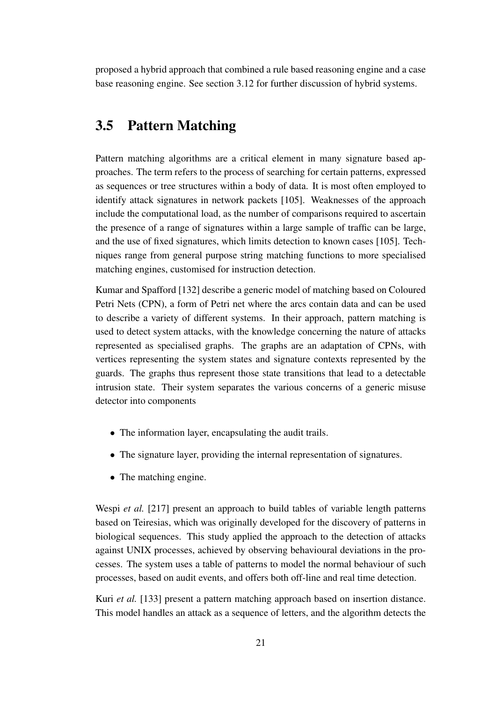proposed a hybrid approach that combined a rule based reasoning engine and a case base reasoning engine. See section 3.12 for further discussion of hybrid systems.

### **3.5 Pattern Matching**

Pattern matching algorithms are a critical element in many signature based approaches. The term refers to the process of searching for certain patterns, expressed as sequences or tree structures within a body of data. It is most often employed to identify attack signatures in network packets [105]. Weaknesses of the approach include the computational load, as the number of comparisons required to ascertain the presence of a range of signatures within a large sample of traffic can be large, and the use of fixed signatures, which limits detection to known cases [105]. Techniques range from general purpose string matching functions to more specialised matching engines, customised for instruction detection.

Kumar and Spafford [132] describe a generic model of matching based on Coloured Petri Nets (CPN), a form of Petri net where the arcs contain data and can be used to describe a variety of different systems. In their approach, pattern matching is used to detect system attacks, with the knowledge concerning the nature of attacks represented as specialised graphs. The graphs are an adaptation of CPNs, with vertices representing the system states and signature contexts represented by the guards. The graphs thus represent those state transitions that lead to a detectable intrusion state. Their system separates the various concerns of a generic misuse detector into components

- The information layer, encapsulating the audit trails.
- The signature layer, providing the internal representation of signatures.
- The matching engine.

Wespi *et al.* [217] present an approach to build tables of variable length patterns based on Teiresias, which was originally developed for the discovery of patterns in biological sequences. This study applied the approach to the detection of attacks against UNIX processes, achieved by observing behavioural deviations in the processes. The system uses a table of patterns to model the normal behaviour of such processes, based on audit events, and offers both off-line and real time detection.

Kuri *et al.* [133] present a pattern matching approach based on insertion distance. This model handles an attack as a sequence of letters, and the algorithm detects the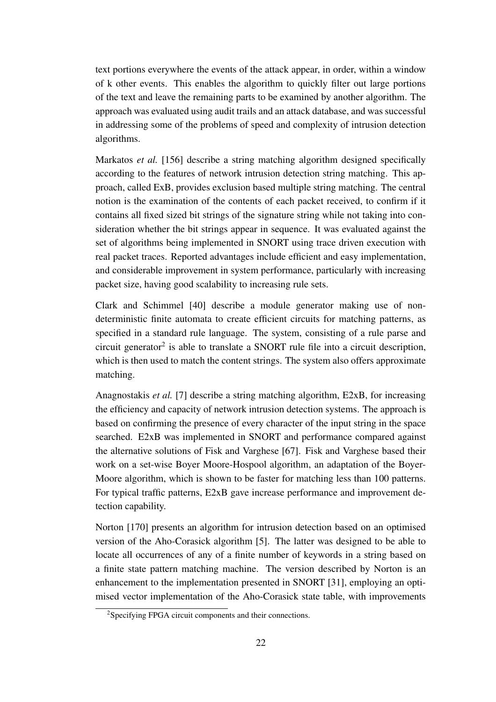text portions everywhere the events of the attack appear, in order, within a window of k other events. This enables the algorithm to quickly filter out large portions of the text and leave the remaining parts to be examined by another algorithm. The approach was evaluated using audit trails and an attack database, and was successful in addressing some of the problems of speed and complexity of intrusion detection algorithms.

Markatos *et al.* [156] describe a string matching algorithm designed specifically according to the features of network intrusion detection string matching. This approach, called ExB, provides exclusion based multiple string matching. The central notion is the examination of the contents of each packet received, to confirm if it contains all fixed sized bit strings of the signature string while not taking into consideration whether the bit strings appear in sequence. It was evaluated against the set of algorithms being implemented in SNORT using trace driven execution with real packet traces. Reported advantages include efficient and easy implementation, and considerable improvement in system performance, particularly with increasing packet size, having good scalability to increasing rule sets.

Clark and Schimmel [40] describe a module generator making use of nondeterministic finite automata to create efficient circuits for matching patterns, as specified in a standard rule language. The system, consisting of a rule parse and circuit generator<sup>2</sup> is able to translate a SNORT rule file into a circuit description, which is then used to match the content strings. The system also offers approximate matching.

Anagnostakis *et al.* [7] describe a string matching algorithm, E2xB, for increasing the efficiency and capacity of network intrusion detection systems. The approach is based on confirming the presence of every character of the input string in the space searched. E2xB was implemented in SNORT and performance compared against the alternative solutions of Fisk and Varghese [67]. Fisk and Varghese based their work on a set-wise Boyer Moore-Hospool algorithm, an adaptation of the Boyer-Moore algorithm, which is shown to be faster for matching less than 100 patterns. For typical traffic patterns, E2xB gave increase performance and improvement detection capability.

Norton [170] presents an algorithm for intrusion detection based on an optimised version of the Aho-Corasick algorithm [5]. The latter was designed to be able to locate all occurrences of any of a finite number of keywords in a string based on a finite state pattern matching machine. The version described by Norton is an enhancement to the implementation presented in SNORT [31], employing an optimised vector implementation of the Aho-Corasick state table, with improvements

<sup>2</sup>Specifying FPGA circuit components and their connections.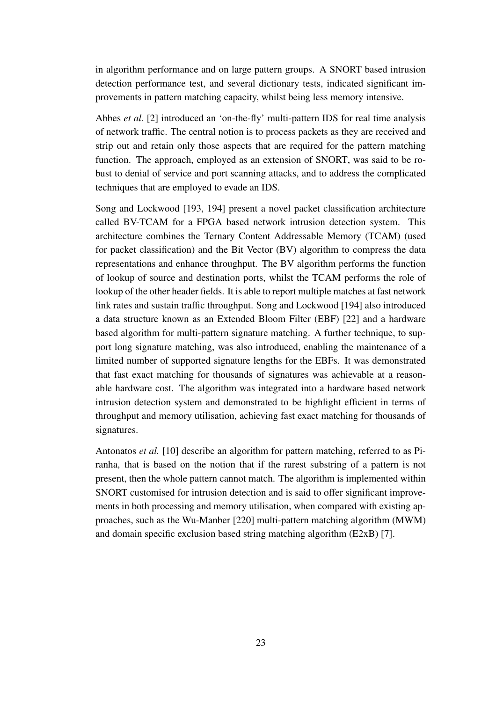in algorithm performance and on large pattern groups. A SNORT based intrusion detection performance test, and several dictionary tests, indicated significant improvements in pattern matching capacity, whilst being less memory intensive.

Abbes *et al.* [2] introduced an 'on-the-fly' multi-pattern IDS for real time analysis of network traffic. The central notion is to process packets as they are received and strip out and retain only those aspects that are required for the pattern matching function. The approach, employed as an extension of SNORT, was said to be robust to denial of service and port scanning attacks, and to address the complicated techniques that are employed to evade an IDS.

Song and Lockwood [193, 194] present a novel packet classification architecture called BV-TCAM for a FPGA based network intrusion detection system. This architecture combines the Ternary Content Addressable Memory (TCAM) (used for packet classification) and the Bit Vector (BV) algorithm to compress the data representations and enhance throughput. The BV algorithm performs the function of lookup of source and destination ports, whilst the TCAM performs the role of lookup of the other header fields. It is able to report multiple matches at fast network link rates and sustain traffic throughput. Song and Lockwood [194] also introduced a data structure known as an Extended Bloom Filter (EBF) [22] and a hardware based algorithm for multi-pattern signature matching. A further technique, to support long signature matching, was also introduced, enabling the maintenance of a limited number of supported signature lengths for the EBFs. It was demonstrated that fast exact matching for thousands of signatures was achievable at a reasonable hardware cost. The algorithm was integrated into a hardware based network intrusion detection system and demonstrated to be highlight efficient in terms of throughput and memory utilisation, achieving fast exact matching for thousands of signatures.

Antonatos *et al.* [10] describe an algorithm for pattern matching, referred to as Piranha, that is based on the notion that if the rarest substring of a pattern is not present, then the whole pattern cannot match. The algorithm is implemented within SNORT customised for intrusion detection and is said to offer significant improvements in both processing and memory utilisation, when compared with existing approaches, such as the Wu-Manber [220] multi-pattern matching algorithm (MWM) and domain specific exclusion based string matching algorithm (E2xB) [7].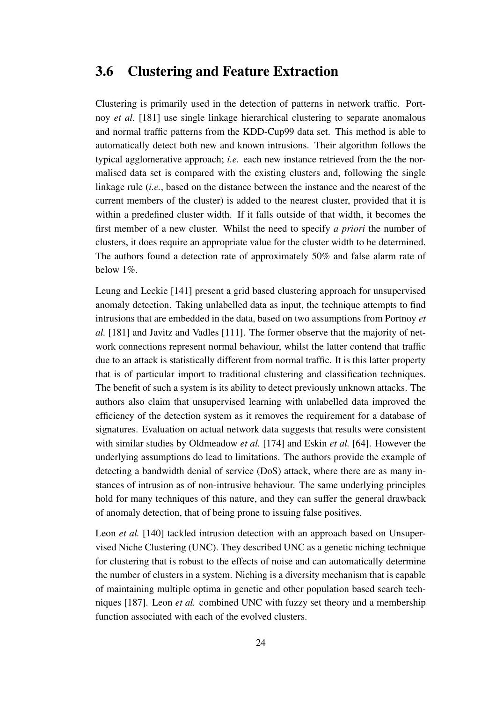#### **3.6 Clustering and Feature Extraction**

Clustering is primarily used in the detection of patterns in network traffic. Portnoy *et al.* [181] use single linkage hierarchical clustering to separate anomalous and normal traffic patterns from the KDD-Cup99 data set. This method is able to automatically detect both new and known intrusions. Their algorithm follows the typical agglomerative approach; *i.e.* each new instance retrieved from the the normalised data set is compared with the existing clusters and, following the single linkage rule (*i.e.*, based on the distance between the instance and the nearest of the current members of the cluster) is added to the nearest cluster, provided that it is within a predefined cluster width. If it falls outside of that width, it becomes the first member of a new cluster. Whilst the need to specify *a priori* the number of clusters, it does require an appropriate value for the cluster width to be determined. The authors found a detection rate of approximately 50% and false alarm rate of below 1%.

Leung and Leckie [141] present a grid based clustering approach for unsupervised anomaly detection. Taking unlabelled data as input, the technique attempts to find intrusions that are embedded in the data, based on two assumptions from Portnoy *et al.* [181] and Javitz and Vadles [111]. The former observe that the majority of network connections represent normal behaviour, whilst the latter contend that traffic due to an attack is statistically different from normal traffic. It is this latter property that is of particular import to traditional clustering and classification techniques. The benefit of such a system is its ability to detect previously unknown attacks. The authors also claim that unsupervised learning with unlabelled data improved the efficiency of the detection system as it removes the requirement for a database of signatures. Evaluation on actual network data suggests that results were consistent with similar studies by Oldmeadow *et al.* [174] and Eskin *et al.* [64]. However the underlying assumptions do lead to limitations. The authors provide the example of detecting a bandwidth denial of service (DoS) attack, where there are as many instances of intrusion as of non-intrusive behaviour. The same underlying principles hold for many techniques of this nature, and they can suffer the general drawback of anomaly detection, that of being prone to issuing false positives.

Leon *et al.* [140] tackled intrusion detection with an approach based on Unsupervised Niche Clustering (UNC). They described UNC as a genetic niching technique for clustering that is robust to the effects of noise and can automatically determine the number of clusters in a system. Niching is a diversity mechanism that is capable of maintaining multiple optima in genetic and other population based search techniques [187]. Leon *et al.* combined UNC with fuzzy set theory and a membership function associated with each of the evolved clusters.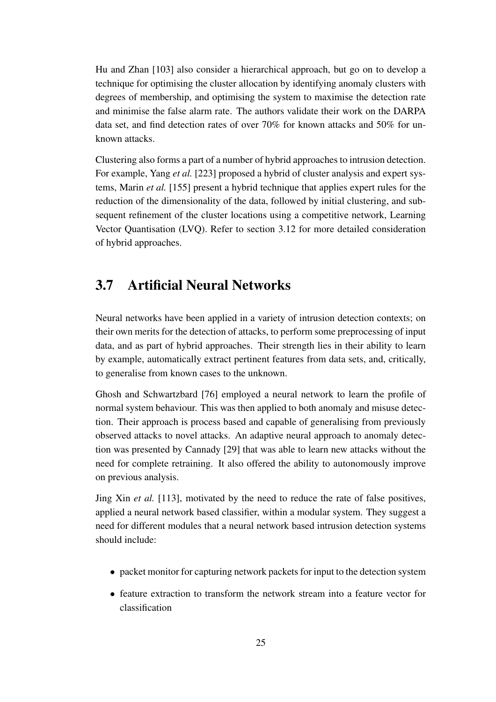Hu and Zhan [103] also consider a hierarchical approach, but go on to develop a technique for optimising the cluster allocation by identifying anomaly clusters with degrees of membership, and optimising the system to maximise the detection rate and minimise the false alarm rate. The authors validate their work on the DARPA data set, and find detection rates of over 70% for known attacks and 50% for unknown attacks.

Clustering also forms a part of a number of hybrid approaches to intrusion detection. For example, Yang *et al.* [223] proposed a hybrid of cluster analysis and expert systems, Marin *et al.* [155] present a hybrid technique that applies expert rules for the reduction of the dimensionality of the data, followed by initial clustering, and subsequent refinement of the cluster locations using a competitive network, Learning Vector Quantisation (LVQ). Refer to section 3.12 for more detailed consideration of hybrid approaches.

#### **3.7 Artificial Neural Networks**

Neural networks have been applied in a variety of intrusion detection contexts; on their own merits for the detection of attacks, to perform some preprocessing of input data, and as part of hybrid approaches. Their strength lies in their ability to learn by example, automatically extract pertinent features from data sets, and, critically, to generalise from known cases to the unknown.

Ghosh and Schwartzbard [76] employed a neural network to learn the profile of normal system behaviour. This was then applied to both anomaly and misuse detection. Their approach is process based and capable of generalising from previously observed attacks to novel attacks. An adaptive neural approach to anomaly detection was presented by Cannady [29] that was able to learn new attacks without the need for complete retraining. It also offered the ability to autonomously improve on previous analysis.

Jing Xin *et al.* [113], motivated by the need to reduce the rate of false positives, applied a neural network based classifier, within a modular system. They suggest a need for different modules that a neural network based intrusion detection systems should include:

- $\bullet$  packet monitor for capturing network packets for input to the detection system
- feature extraction to transform the network stream into a feature vector for classification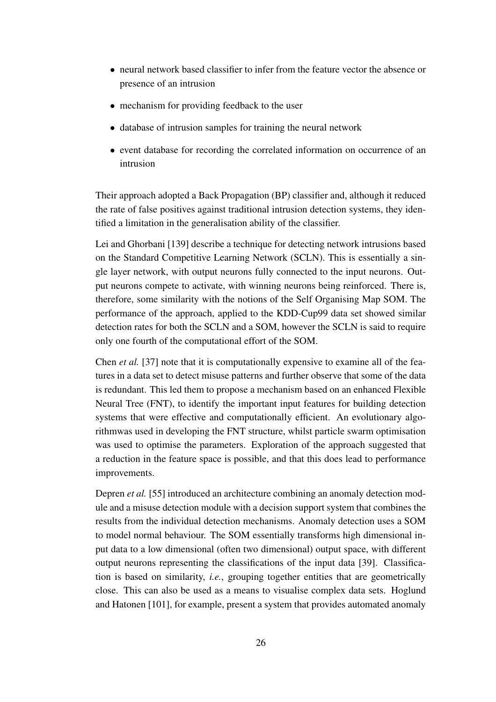- neural network based classifier to infer from the feature vector the absence or presence of an intrusion
- mechanism for providing feedback to the user
- database of intrusion samples for training the neural network
- event database for recording the correlated information on occurrence of an intrusion

Their approach adopted a Back Propagation (BP) classifier and, although it reduced the rate of false positives against traditional intrusion detection systems, they identified a limitation in the generalisation ability of the classifier.

Lei and Ghorbani [139] describe a technique for detecting network intrusions based on the Standard Competitive Learning Network (SCLN). This is essentially a single layer network, with output neurons fully connected to the input neurons. Output neurons compete to activate, with winning neurons being reinforced. There is, therefore, some similarity with the notions of the Self Organising Map SOM. The performance of the approach, applied to the KDD-Cup99 data set showed similar detection rates for both the SCLN and a SOM, however the SCLN is said to require only one fourth of the computational effort of the SOM.

Chen *et al.* [37] note that it is computationally expensive to examine all of the features in a data set to detect misuse patterns and further observe that some of the data is redundant. This led them to propose a mechanism based on an enhanced Flexible Neural Tree (FNT), to identify the important input features for building detection systems that were effective and computationally efficient. An evolutionary algorithmwas used in developing the FNT structure, whilst particle swarm optimisation was used to optimise the parameters. Exploration of the approach suggested that a reduction in the feature space is possible, and that this does lead to performance improvements.

Depren *et al.* [55] introduced an architecture combining an anomaly detection module and a misuse detection module with a decision support system that combines the results from the individual detection mechanisms. Anomaly detection uses a SOM to model normal behaviour. The SOM essentially transforms high dimensional input data to a low dimensional (often two dimensional) output space, with different output neurons representing the classifications of the input data [39]. Classification is based on similarity, *i.e.*, grouping together entities that are geometrically close. This can also be used as a means to visualise complex data sets. Hoglund and Hatonen [101], for example, present a system that provides automated anomaly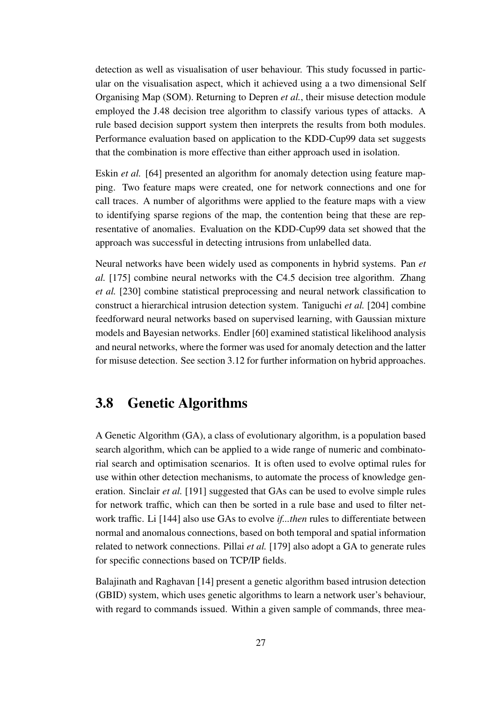detection as well as visualisation of user behaviour. This study focussed in particular on the visualisation aspect, which it achieved using a a two dimensional Self Organising Map (SOM). Returning to Depren *et al.*, their misuse detection module employed the J.48 decision tree algorithm to classify various types of attacks. A rule based decision support system then interprets the results from both modules. Performance evaluation based on application to the KDD-Cup99 data set suggests that the combination is more effective than either approach used in isolation.

Eskin *et al.* [64] presented an algorithm for anomaly detection using feature mapping. Two feature maps were created, one for network connections and one for call traces. A number of algorithms were applied to the feature maps with a view to identifying sparse regions of the map, the contention being that these are representative of anomalies. Evaluation on the KDD-Cup99 data set showed that the approach was successful in detecting intrusions from unlabelled data.

Neural networks have been widely used as components in hybrid systems. Pan *et al.* [175] combine neural networks with the C4.5 decision tree algorithm. Zhang *et al.* [230] combine statistical preprocessing and neural network classification to construct a hierarchical intrusion detection system. Taniguchi *et al.* [204] combine feedforward neural networks based on supervised learning, with Gaussian mixture models and Bayesian networks. Endler [60] examined statistical likelihood analysis and neural networks, where the former was used for anomaly detection and the latter for misuse detection. See section 3.12 for further information on hybrid approaches.

#### **3.8 Genetic Algorithms**

A Genetic Algorithm (GA), a class of evolutionary algorithm, is a population based search algorithm, which can be applied to a wide range of numeric and combinatorial search and optimisation scenarios. It is often used to evolve optimal rules for use within other detection mechanisms, to automate the process of knowledge generation. Sinclair *et al.* [191] suggested that GAs can be used to evolve simple rules for network traffic, which can then be sorted in a rule base and used to filter network traffic. Li [144] also use GAs to evolve *if...then* rules to differentiate between normal and anomalous connections, based on both temporal and spatial information related to network connections. Pillai *et al.* [179] also adopt a GA to generate rules for specific connections based on TCP/IP fields.

Balajinath and Raghavan [14] present a genetic algorithm based intrusion detection (GBID) system, which uses genetic algorithms to learn a network user's behaviour, with regard to commands issued. Within a given sample of commands, three mea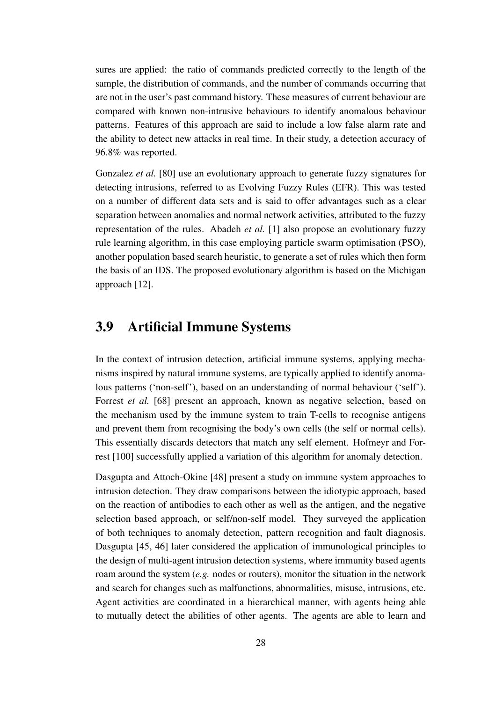sures are applied: the ratio of commands predicted correctly to the length of the sample, the distribution of commands, and the number of commands occurring that are not in the user's past command history. These measures of current behaviour are compared with known non-intrusive behaviours to identify anomalous behaviour patterns. Features of this approach are said to include a low false alarm rate and the ability to detect new attacks in real time. In their study, a detection accuracy of 96.8% was reported.

Gonzalez *et al.* [80] use an evolutionary approach to generate fuzzy signatures for detecting intrusions, referred to as Evolving Fuzzy Rules (EFR). This was tested on a number of different data sets and is said to offer advantages such as a clear separation between anomalies and normal network activities, attributed to the fuzzy representation of the rules. Abadeh *et al.* [1] also propose an evolutionary fuzzy rule learning algorithm, in this case employing particle swarm optimisation (PSO), another population based search heuristic, to generate a set of rules which then form the basis of an IDS. The proposed evolutionary algorithm is based on the Michigan approach [12].

#### **3.9 Artificial Immune Systems**

In the context of intrusion detection, artificial immune systems, applying mechanisms inspired by natural immune systems, are typically applied to identify anomalous patterns ('non-self'), based on an understanding of normal behaviour ('self'). Forrest *et al.* [68] present an approach, known as negative selection, based on the mechanism used by the immune system to train T-cells to recognise antigens and prevent them from recognising the body's own cells (the self or normal cells). This essentially discards detectors that match any self element. Hofmeyr and Forrest [100] successfully applied a variation of this algorithm for anomaly detection.

Dasgupta and Attoch-Okine [48] present a study on immune system approaches to intrusion detection. They draw comparisons between the idiotypic approach, based on the reaction of antibodies to each other as well as the antigen, and the negative selection based approach, or self/non-self model. They surveyed the application of both techniques to anomaly detection, pattern recognition and fault diagnosis. Dasgupta [45, 46] later considered the application of immunological principles to the design of multi-agent intrusion detection systems, where immunity based agents roam around the system (*e.g.* nodes or routers), monitor the situation in the network and search for changes such as malfunctions, abnormalities, misuse, intrusions, etc. Agent activities are coordinated in a hierarchical manner, with agents being able to mutually detect the abilities of other agents. The agents are able to learn and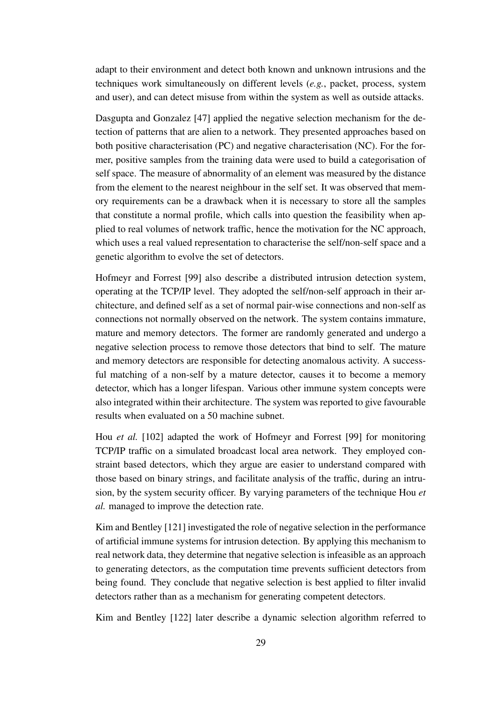adapt to their environment and detect both known and unknown intrusions and the techniques work simultaneously on different levels (*e.g.*, packet, process, system and user), and can detect misuse from within the system as well as outside attacks.

Dasgupta and Gonzalez [47] applied the negative selection mechanism for the detection of patterns that are alien to a network. They presented approaches based on both positive characterisation (PC) and negative characterisation (NC). For the former, positive samples from the training data were used to build a categorisation of self space. The measure of abnormality of an element was measured by the distance from the element to the nearest neighbour in the self set. It was observed that memory requirements can be a drawback when it is necessary to store all the samples that constitute a normal profile, which calls into question the feasibility when applied to real volumes of network traffic, hence the motivation for the NC approach, which uses a real valued representation to characterise the self/non-self space and a genetic algorithm to evolve the set of detectors.

Hofmeyr and Forrest [99] also describe a distributed intrusion detection system, operating at the TCP/IP level. They adopted the self/non-self approach in their architecture, and defined self as a set of normal pair-wise connections and non-self as connections not normally observed on the network. The system contains immature, mature and memory detectors. The former are randomly generated and undergo a negative selection process to remove those detectors that bind to self. The mature and memory detectors are responsible for detecting anomalous activity. A successful matching of a non-self by a mature detector, causes it to become a memory detector, which has a longer lifespan. Various other immune system concepts were also integrated within their architecture. The system was reported to give favourable results when evaluated on a 50 machine subnet.

Hou *et al.* [102] adapted the work of Hofmeyr and Forrest [99] for monitoring TCP/IP traffic on a simulated broadcast local area network. They employed constraint based detectors, which they argue are easier to understand compared with those based on binary strings, and facilitate analysis of the traffic, during an intrusion, by the system security officer. By varying parameters of the technique Hou *et al.* managed to improve the detection rate.

Kim and Bentley [121] investigated the role of negative selection in the performance of artificial immune systems for intrusion detection. By applying this mechanism to real network data, they determine that negative selection is infeasible as an approach to generating detectors, as the computation time prevents sufficient detectors from being found. They conclude that negative selection is best applied to filter invalid detectors rather than as a mechanism for generating competent detectors.

Kim and Bentley [122] later describe a dynamic selection algorithm referred to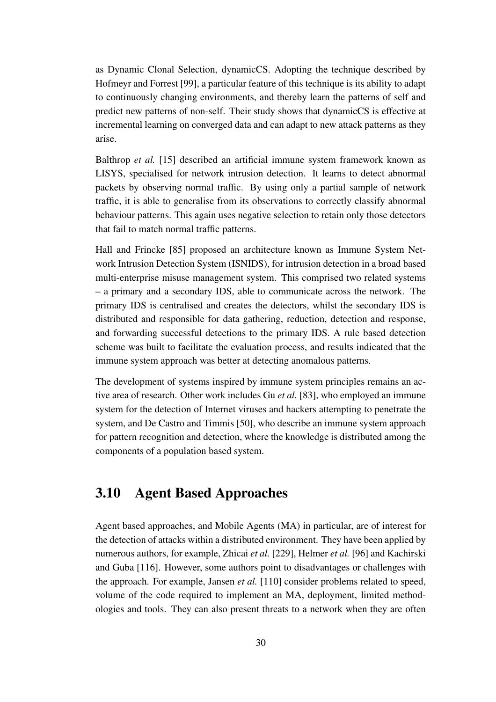as Dynamic Clonal Selection, dynamicCS. Adopting the technique described by Hofmeyr and Forrest [99], a particular feature of this technique is its ability to adapt to continuously changing environments, and thereby learn the patterns of self and predict new patterns of non-self. Their study shows that dynamicCS is effective at incremental learning on converged data and can adapt to new attack patterns as they arise.

Balthrop *et al.* [15] described an artificial immune system framework known as LISYS, specialised for network intrusion detection. It learns to detect abnormal packets by observing normal traffic. By using only a partial sample of network traffic, it is able to generalise from its observations to correctly classify abnormal behaviour patterns. This again uses negative selection to retain only those detectors that fail to match normal traffic patterns.

Hall and Frincke [85] proposed an architecture known as Immune System Network Intrusion Detection System (ISNIDS), for intrusion detection in a broad based multi-enterprise misuse management system. This comprised two related systems – a primary and a secondary IDS, able to communicate across the network. The primary IDS is centralised and creates the detectors, whilst the secondary IDS is distributed and responsible for data gathering, reduction, detection and response, and forwarding successful detections to the primary IDS. A rule based detection scheme was built to facilitate the evaluation process, and results indicated that the immune system approach was better at detecting anomalous patterns.

The development of systems inspired by immune system principles remains an active area of research. Other work includes Gu *et al.* [83], who employed an immune system for the detection of Internet viruses and hackers attempting to penetrate the system, and De Castro and Timmis [50], who describe an immune system approach for pattern recognition and detection, where the knowledge is distributed among the components of a population based system.

#### **3.10 Agent Based Approaches**

Agent based approaches, and Mobile Agents (MA) in particular, are of interest for the detection of attacks within a distributed environment. They have been applied by numerous authors, for example, Zhicai *et al.* [229], Helmer *et al.* [96] and Kachirski and Guba [116]. However, some authors point to disadvantages or challenges with the approach. For example, Jansen *et al.* [110] consider problems related to speed, volume of the code required to implement an MA, deployment, limited methodologies and tools. They can also present threats to a network when they are often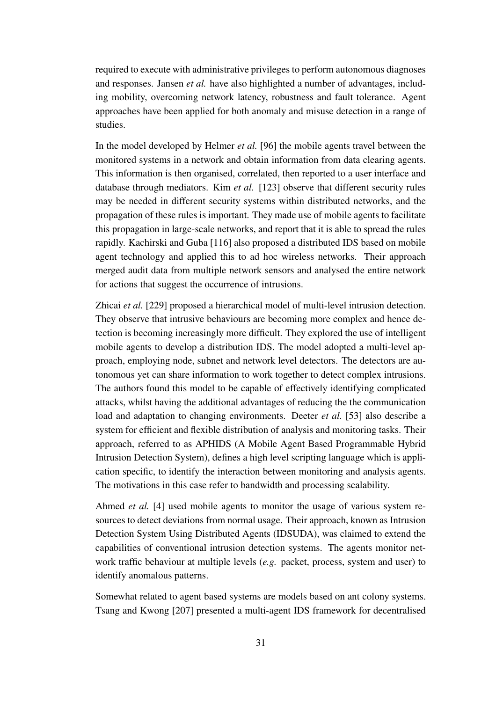required to execute with administrative privileges to perform autonomous diagnoses and responses. Jansen *et al.* have also highlighted a number of advantages, including mobility, overcoming network latency, robustness and fault tolerance. Agent approaches have been applied for both anomaly and misuse detection in a range of studies.

In the model developed by Helmer *et al.* [96] the mobile agents travel between the monitored systems in a network and obtain information from data clearing agents. This information is then organised, correlated, then reported to a user interface and database through mediators. Kim *et al.* [123] observe that different security rules may be needed in different security systems within distributed networks, and the propagation of these rules is important. They made use of mobile agents to facilitate this propagation in large-scale networks, and report that it is able to spread the rules rapidly. Kachirski and Guba [116] also proposed a distributed IDS based on mobile agent technology and applied this to ad hoc wireless networks. Their approach merged audit data from multiple network sensors and analysed the entire network for actions that suggest the occurrence of intrusions.

Zhicai *et al.* [229] proposed a hierarchical model of multi-level intrusion detection. They observe that intrusive behaviours are becoming more complex and hence detection is becoming increasingly more difficult. They explored the use of intelligent mobile agents to develop a distribution IDS. The model adopted a multi-level approach, employing node, subnet and network level detectors. The detectors are autonomous yet can share information to work together to detect complex intrusions. The authors found this model to be capable of effectively identifying complicated attacks, whilst having the additional advantages of reducing the the communication load and adaptation to changing environments. Deeter *et al.* [53] also describe a system for efficient and flexible distribution of analysis and monitoring tasks. Their approach, referred to as APHIDS (A Mobile Agent Based Programmable Hybrid Intrusion Detection System), defines a high level scripting language which is application specific, to identify the interaction between monitoring and analysis agents. The motivations in this case refer to bandwidth and processing scalability.

Ahmed *et al.* [4] used mobile agents to monitor the usage of various system resources to detect deviations from normal usage. Their approach, known as Intrusion Detection System Using Distributed Agents (IDSUDA), was claimed to extend the capabilities of conventional intrusion detection systems. The agents monitor network traffic behaviour at multiple levels (*e.g.* packet, process, system and user) to identify anomalous patterns.

Somewhat related to agent based systems are models based on ant colony systems. Tsang and Kwong [207] presented a multi-agent IDS framework for decentralised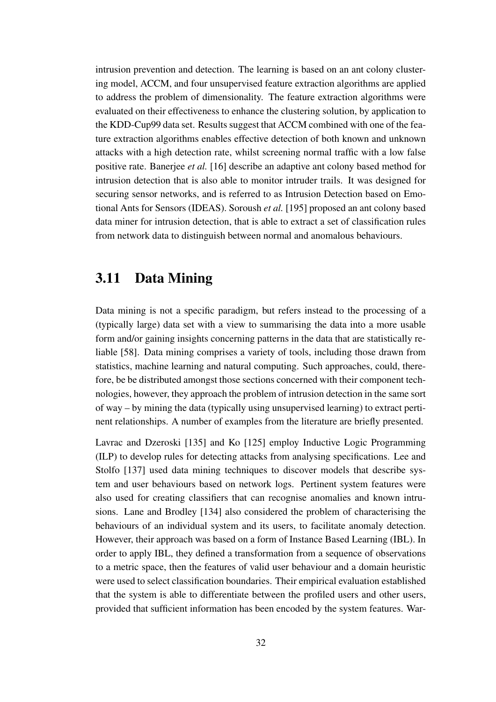intrusion prevention and detection. The learning is based on an ant colony clustering model, ACCM, and four unsupervised feature extraction algorithms are applied to address the problem of dimensionality. The feature extraction algorithms were evaluated on their effectiveness to enhance the clustering solution, by application to the KDD-Cup99 data set. Results suggest that ACCM combined with one of the feature extraction algorithms enables effective detection of both known and unknown attacks with a high detection rate, whilst screening normal traffic with a low false positive rate. Banerjee *et al.* [16] describe an adaptive ant colony based method for intrusion detection that is also able to monitor intruder trails. It was designed for securing sensor networks, and is referred to as Intrusion Detection based on Emotional Ants for Sensors (IDEAS). Soroush *et al.* [195] proposed an ant colony based data miner for intrusion detection, that is able to extract a set of classification rules from network data to distinguish between normal and anomalous behaviours.

#### **3.11 Data Mining**

Data mining is not a specific paradigm, but refers instead to the processing of a (typically large) data set with a view to summarising the data into a more usable form and/or gaining insights concerning patterns in the data that are statistically reliable [58]. Data mining comprises a variety of tools, including those drawn from statistics, machine learning and natural computing. Such approaches, could, therefore, be be distributed amongst those sections concerned with their component technologies, however, they approach the problem of intrusion detection in the same sort of way – by mining the data (typically using unsupervised learning) to extract pertinent relationships. A number of examples from the literature are briefly presented.

Lavrac and Dzeroski [135] and Ko [125] employ Inductive Logic Programming (ILP) to develop rules for detecting attacks from analysing specifications. Lee and Stolfo [137] used data mining techniques to discover models that describe system and user behaviours based on network logs. Pertinent system features were also used for creating classifiers that can recognise anomalies and known intrusions. Lane and Brodley [134] also considered the problem of characterising the behaviours of an individual system and its users, to facilitate anomaly detection. However, their approach was based on a form of Instance Based Learning (IBL). In order to apply IBL, they defined a transformation from a sequence of observations to a metric space, then the features of valid user behaviour and a domain heuristic were used to select classification boundaries. Their empirical evaluation established that the system is able to differentiate between the profiled users and other users, provided that sufficient information has been encoded by the system features. War-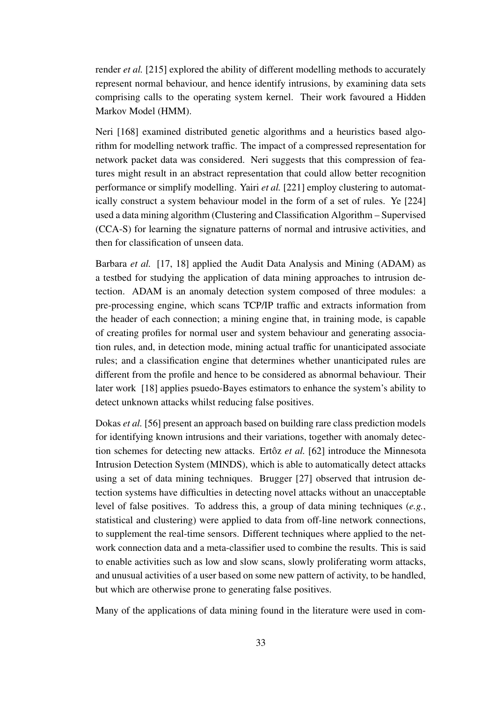render *et al.* [215] explored the ability of different modelling methods to accurately represent normal behaviour, and hence identify intrusions, by examining data sets comprising calls to the operating system kernel. Their work favoured a Hidden Markov Model (HMM).

Neri [168] examined distributed genetic algorithms and a heuristics based algorithm for modelling network traffic. The impact of a compressed representation for network packet data was considered. Neri suggests that this compression of features might result in an abstract representation that could allow better recognition performance or simplify modelling. Yairi *et al.* [221] employ clustering to automatically construct a system behaviour model in the form of a set of rules. Ye [224] used a data mining algorithm (Clustering and Classification Algorithm – Supervised (CCA-S) for learning the signature patterns of normal and intrusive activities, and then for classification of unseen data.

Barbara *et al.* [17, 18] applied the Audit Data Analysis and Mining (ADAM) as a testbed for studying the application of data mining approaches to intrusion detection. ADAM is an anomaly detection system composed of three modules: a pre-processing engine, which scans TCP/IP traffic and extracts information from the header of each connection; a mining engine that, in training mode, is capable of creating profiles for normal user and system behaviour and generating association rules, and, in detection mode, mining actual traffic for unanticipated associate rules; and a classification engine that determines whether unanticipated rules are different from the profile and hence to be considered as abnormal behaviour. Their later work [18] applies psuedo-Bayes estimators to enhance the system's ability to detect unknown attacks whilst reducing false positives.

Dokas *et al.* [56] present an approach based on building rare class prediction models for identifying known intrusions and their variations, together with anomaly detection schemes for detecting new attacks. Ertôz *et al.* [62] introduce the Minnesota Intrusion Detection System (MINDS), which is able to automatically detect attacks using a set of data mining techniques. Brugger [27] observed that intrusion detection systems have difficulties in detecting novel attacks without an unacceptable level of false positives. To address this, a group of data mining techniques (*e.g.*, statistical and clustering) were applied to data from off-line network connections, to supplement the real-time sensors. Different techniques where applied to the network connection data and a meta-classifier used to combine the results. This is said to enable activities such as low and slow scans, slowly proliferating worm attacks, and unusual activities of a user based on some new pattern of activity, to be handled, but which are otherwise prone to generating false positives.

Many of the applications of data mining found in the literature were used in com-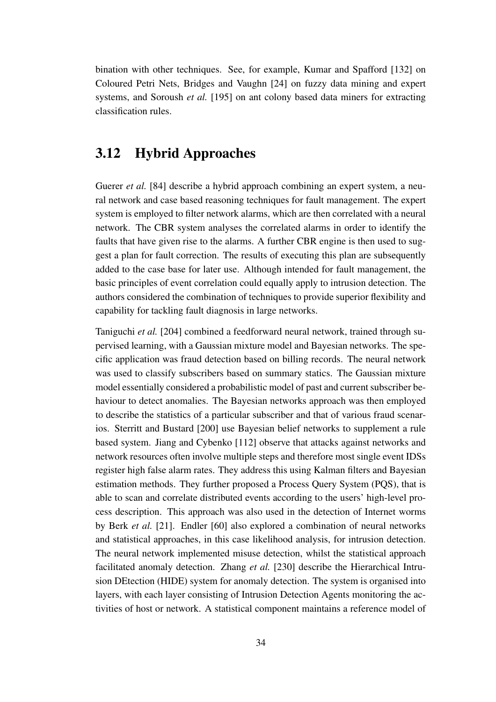bination with other techniques. See, for example, Kumar and Spafford [132] on Coloured Petri Nets, Bridges and Vaughn [24] on fuzzy data mining and expert systems, and Soroush *et al.* [195] on ant colony based data miners for extracting classification rules.

## **3.12 Hybrid Approaches**

Guerer *et al.* [84] describe a hybrid approach combining an expert system, a neural network and case based reasoning techniques for fault management. The expert system is employed to filter network alarms, which are then correlated with a neural network. The CBR system analyses the correlated alarms in order to identify the faults that have given rise to the alarms. A further CBR engine is then used to suggest a plan for fault correction. The results of executing this plan are subsequently added to the case base for later use. Although intended for fault management, the basic principles of event correlation could equally apply to intrusion detection. The authors considered the combination of techniques to provide superior flexibility and capability for tackling fault diagnosis in large networks.

Taniguchi *et al.* [204] combined a feedforward neural network, trained through supervised learning, with a Gaussian mixture model and Bayesian networks. The specific application was fraud detection based on billing records. The neural network was used to classify subscribers based on summary statics. The Gaussian mixture model essentially considered a probabilistic model of past and current subscriber behaviour to detect anomalies. The Bayesian networks approach was then employed to describe the statistics of a particular subscriber and that of various fraud scenarios. Sterritt and Bustard [200] use Bayesian belief networks to supplement a rule based system. Jiang and Cybenko [112] observe that attacks against networks and network resources often involve multiple steps and therefore most single event IDSs register high false alarm rates. They address this using Kalman filters and Bayesian estimation methods. They further proposed a Process Query System (PQS), that is able to scan and correlate distributed events according to the users' high-level process description. This approach was also used in the detection of Internet worms by Berk *et al.* [21]. Endler [60] also explored a combination of neural networks and statistical approaches, in this case likelihood analysis, for intrusion detection. The neural network implemented misuse detection, whilst the statistical approach facilitated anomaly detection. Zhang *et al.* [230] describe the Hierarchical Intrusion DEtection (HIDE) system for anomaly detection. The system is organised into layers, with each layer consisting of Intrusion Detection Agents monitoring the activities of host or network. A statistical component maintains a reference model of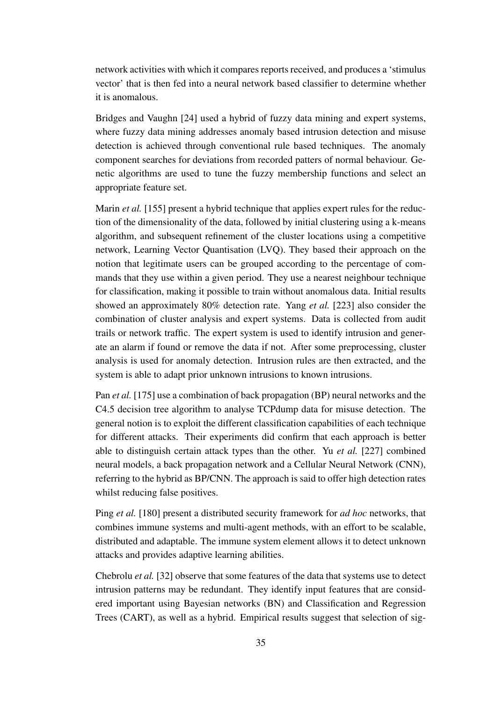network activities with which it compares reports received, and produces a 'stimulus vector' that is then fed into a neural network based classifier to determine whether it is anomalous.

Bridges and Vaughn [24] used a hybrid of fuzzy data mining and expert systems, where fuzzy data mining addresses anomaly based intrusion detection and misuse detection is achieved through conventional rule based techniques. The anomaly component searches for deviations from recorded patters of normal behaviour. Genetic algorithms are used to tune the fuzzy membership functions and select an appropriate feature set.

Marin *et al.* [155] present a hybrid technique that applies expert rules for the reduction of the dimensionality of the data, followed by initial clustering using a k-means algorithm, and subsequent refinement of the cluster locations using a competitive network, Learning Vector Quantisation (LVQ). They based their approach on the notion that legitimate users can be grouped according to the percentage of commands that they use within a given period. They use a nearest neighbour technique for classification, making it possible to train without anomalous data. Initial results showed an approximately 80% detection rate. Yang *et al.* [223] also consider the combination of cluster analysis and expert systems. Data is collected from audit trails or network traffic. The expert system is used to identify intrusion and generate an alarm if found or remove the data if not. After some preprocessing, cluster analysis is used for anomaly detection. Intrusion rules are then extracted, and the system is able to adapt prior unknown intrusions to known intrusions.

Pan *et al.* [175] use a combination of back propagation (BP) neural networks and the C4.5 decision tree algorithm to analyse TCPdump data for misuse detection. The general notion is to exploit the different classification capabilities of each technique for different attacks. Their experiments did confirm that each approach is better able to distinguish certain attack types than the other. Yu *et al.* [227] combined neural models, a back propagation network and a Cellular Neural Network (CNN), referring to the hybrid as BP/CNN. The approach is said to offer high detection rates whilst reducing false positives.

Ping *et al.* [180] present a distributed security framework for *ad hoc* networks, that combines immune systems and multi-agent methods, with an effort to be scalable, distributed and adaptable. The immune system element allows it to detect unknown attacks and provides adaptive learning abilities.

Chebrolu *et al.* [32] observe that some features of the data that systems use to detect intrusion patterns may be redundant. They identify input features that are considered important using Bayesian networks (BN) and Classification and Regression Trees (CART), as well as a hybrid. Empirical results suggest that selection of sig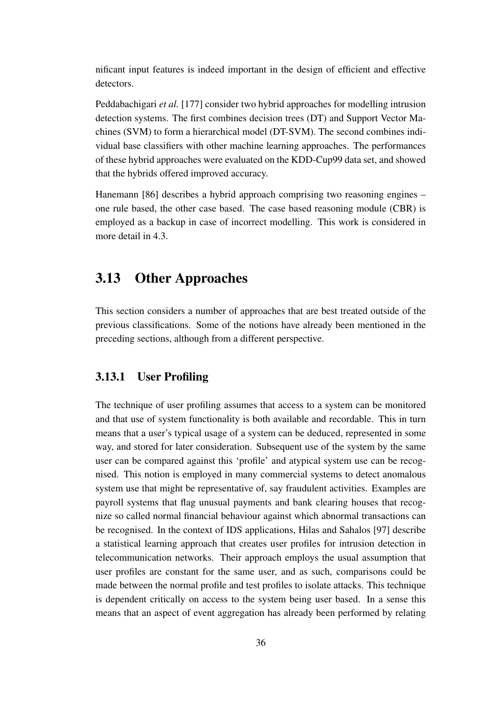nificant input features is indeed important in the design of efficient and effective detectors.

Peddabachigari *et al.* [177] consider two hybrid approaches for modelling intrusion detection systems. The first combines decision trees (DT) and Support Vector Machines (SVM) to form a hierarchical model (DT-SVM). The second combines individual base classifiers with other machine learning approaches. The performances of these hybrid approaches were evaluated on the KDD-Cup99 data set, and showed that the hybrids offered improved accuracy.

Hanemann [86] describes a hybrid approach comprising two reasoning engines – one rule based, the other case based. The case based reasoning module (CBR) is employed as a backup in case of incorrect modelling. This work is considered in more detail in 4.3.

## **3.13 Other Approaches**

This section considers a number of approaches that are best treated outside of the previous classifications. Some of the notions have already been mentioned in the preceding sections, although from a different perspective.

#### **3.13.1 User Profiling**

The technique of user profiling assumes that access to a system can be monitored and that use of system functionality is both available and recordable. This in turn means that a user's typical usage of a system can be deduced, represented in some way, and stored for later consideration. Subsequent use of the system by the same user can be compared against this 'profile' and atypical system use can be recognised. This notion is employed in many commercial systems to detect anomalous system use that might be representative of, say fraudulent activities. Examples are payroll systems that flag unusual payments and bank clearing houses that recognize so called normal financial behaviour against which abnormal transactions can be recognised. In the context of IDS applications, Hilas and Sahalos [97] describe a statistical learning approach that creates user profiles for intrusion detection in telecommunication networks. Their approach employs the usual assumption that user profiles are constant for the same user, and as such, comparisons could be made between the normal profile and test profiles to isolate attacks. This technique is dependent critically on access to the system being user based. In a sense this means that an aspect of event aggregation has already been performed by relating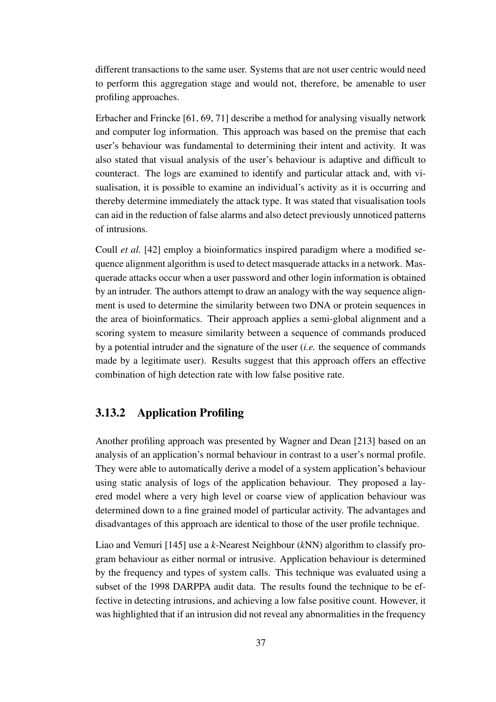different transactions to the same user. Systems that are not user centric would need to perform this aggregation stage and would not, therefore, be amenable to user profiling approaches.

Erbacher and Frincke [61, 69, 71] describe a method for analysing visually network and computer log information. This approach was based on the premise that each user's behaviour was fundamental to determining their intent and activity. It was also stated that visual analysis of the user's behaviour is adaptive and difficult to counteract. The logs are examined to identify and particular attack and, with visualisation, it is possible to examine an individual's activity as it is occurring and thereby determine immediately the attack type. It was stated that visualisation tools can aid in the reduction of false alarms and also detect previously unnoticed patterns of intrusions.

Coull *et al.* [42] employ a bioinformatics inspired paradigm where a modified sequence alignment algorithm is used to detect masquerade attacks in a network. Masquerade attacks occur when a user password and other login information is obtained by an intruder. The authors attempt to draw an analogy with the way sequence alignment is used to determine the similarity between two DNA or protein sequences in the area of bioinformatics. Their approach applies a semi-global alignment and a scoring system to measure similarity between a sequence of commands produced by a potential intruder and the signature of the user (*i.e.* the sequence of commands made by a legitimate user). Results suggest that this approach offers an effective combination of high detection rate with low false positive rate.

### **3.13.2 Application Profiling**

Another profiling approach was presented by Wagner and Dean [213] based on an analysis of an application's normal behaviour in contrast to a user's normal profile. They were able to automatically derive a model of a system application's behaviour using static analysis of logs of the application behaviour. They proposed a layered model where a very high level or coarse view of application behaviour was determined down to a fine grained model of particular activity. The advantages and disadvantages of this approach are identical to those of the user profile technique.

Liao and Vemuri [145] use a *k*-Nearest Neighbour (*k*NN) algorithm to classify program behaviour as either normal or intrusive. Application behaviour is determined by the frequency and types of system calls. This technique was evaluated using a subset of the 1998 DARPPA audit data. The results found the technique to be effective in detecting intrusions, and achieving a low false positive count. However, it was highlighted that if an intrusion did not reveal any abnormalities in the frequency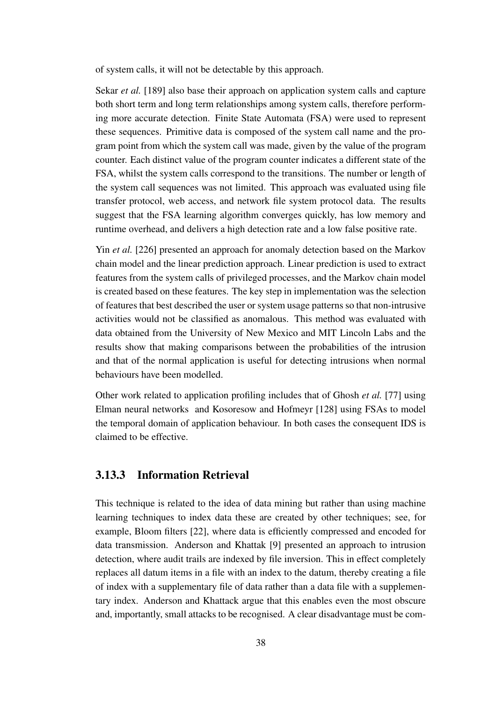of system calls, it will not be detectable by this approach.

Sekar *et al.* [189] also base their approach on application system calls and capture both short term and long term relationships among system calls, therefore performing more accurate detection. Finite State Automata (FSA) were used to represent these sequences. Primitive data is composed of the system call name and the program point from which the system call was made, given by the value of the program counter. Each distinct value of the program counter indicates a different state of the FSA, whilst the system calls correspond to the transitions. The number or length of the system call sequences was not limited. This approach was evaluated using file transfer protocol, web access, and network file system protocol data. The results suggest that the FSA learning algorithm converges quickly, has low memory and runtime overhead, and delivers a high detection rate and a low false positive rate.

Yin *et al.* [226] presented an approach for anomaly detection based on the Markov chain model and the linear prediction approach. Linear prediction is used to extract features from the system calls of privileged processes, and the Markov chain model is created based on these features. The key step in implementation was the selection of features that best described the user or system usage patterns so that non-intrusive activities would not be classified as anomalous. This method was evaluated with data obtained from the University of New Mexico and MIT Lincoln Labs and the results show that making comparisons between the probabilities of the intrusion and that of the normal application is useful for detecting intrusions when normal behaviours have been modelled.

Other work related to application profiling includes that of Ghosh *et al.* [77] using Elman neural networks and Kosoresow and Hofmeyr [128] using FSAs to model the temporal domain of application behaviour. In both cases the consequent IDS is claimed to be effective.

### **3.13.3 Information Retrieval**

This technique is related to the idea of data mining but rather than using machine learning techniques to index data these are created by other techniques; see, for example, Bloom filters [22], where data is efficiently compressed and encoded for data transmission. Anderson and Khattak [9] presented an approach to intrusion detection, where audit trails are indexed by file inversion. This in effect completely replaces all datum items in a file with an index to the datum, thereby creating a file of index with a supplementary file of data rather than a data file with a supplementary index. Anderson and Khattack argue that this enables even the most obscure and, importantly, small attacks to be recognised. A clear disadvantage must be com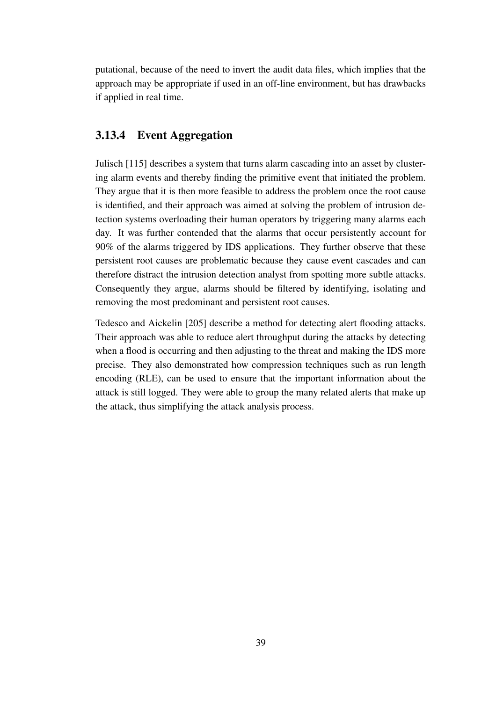putational, because of the need to invert the audit data files, which implies that the approach may be appropriate if used in an off-line environment, but has drawbacks if applied in real time.

### **3.13.4 Event Aggregation**

Julisch [115] describes a system that turns alarm cascading into an asset by clustering alarm events and thereby finding the primitive event that initiated the problem. They argue that it is then more feasible to address the problem once the root cause is identified, and their approach was aimed at solving the problem of intrusion detection systems overloading their human operators by triggering many alarms each day. It was further contended that the alarms that occur persistently account for 90% of the alarms triggered by IDS applications. They further observe that these persistent root causes are problematic because they cause event cascades and can therefore distract the intrusion detection analyst from spotting more subtle attacks. Consequently they argue, alarms should be filtered by identifying, isolating and removing the most predominant and persistent root causes.

Tedesco and Aickelin [205] describe a method for detecting alert flooding attacks. Their approach was able to reduce alert throughput during the attacks by detecting when a flood is occurring and then adjusting to the threat and making the IDS more precise. They also demonstrated how compression techniques such as run length encoding (RLE), can be used to ensure that the important information about the attack is still logged. They were able to group the many related alerts that make up the attack, thus simplifying the attack analysis process.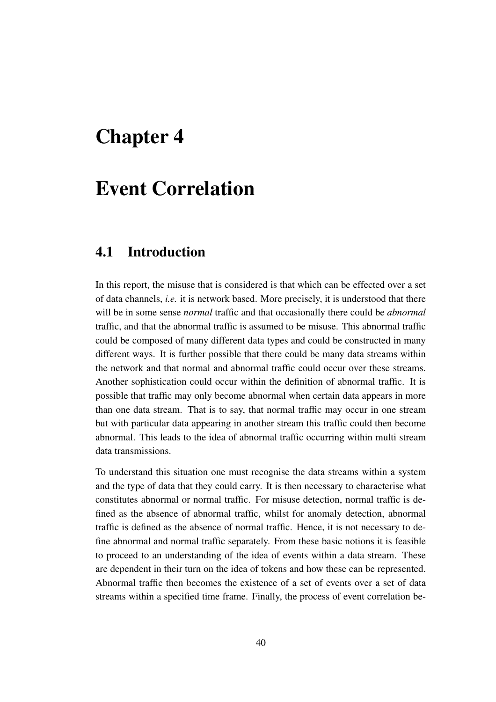## **Chapter 4**

# **Event Correlation**

## **4.1 Introduction**

In this report, the misuse that is considered is that which can be effected over a set of data channels, *i.e.* it is network based. More precisely, it is understood that there will be in some sense *normal* traffic and that occasionally there could be *abnormal* traffic, and that the abnormal traffic is assumed to be misuse. This abnormal traffic could be composed of many different data types and could be constructed in many different ways. It is further possible that there could be many data streams within the network and that normal and abnormal traffic could occur over these streams. Another sophistication could occur within the definition of abnormal traffic. It is possible that traffic may only become abnormal when certain data appears in more than one data stream. That is to say, that normal traffic may occur in one stream but with particular data appearing in another stream this traffic could then become abnormal. This leads to the idea of abnormal traffic occurring within multi stream data transmissions.

To understand this situation one must recognise the data streams within a system and the type of data that they could carry. It is then necessary to characterise what constitutes abnormal or normal traffic. For misuse detection, normal traffic is defined as the absence of abnormal traffic, whilst for anomaly detection, abnormal traffic is defined as the absence of normal traffic. Hence, it is not necessary to define abnormal and normal traffic separately. From these basic notions it is feasible to proceed to an understanding of the idea of events within a data stream. These are dependent in their turn on the idea of tokens and how these can be represented. Abnormal traffic then becomes the existence of a set of events over a set of data streams within a specified time frame. Finally, the process of event correlation be-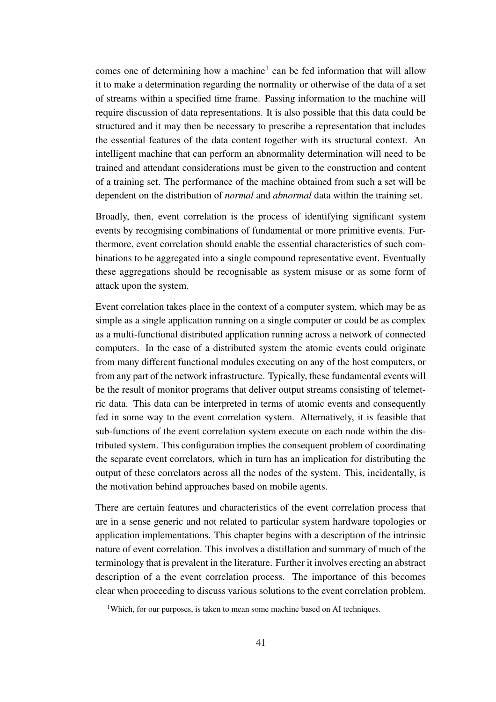comes one of determining how a machine<sup>1</sup> can be fed information that will allow it to make a determination regarding the normality or otherwise of the data of a set of streams within a specified time frame. Passing information to the machine will require discussion of data representations. It is also possible that this data could be structured and it may then be necessary to prescribe a representation that includes the essential features of the data content together with its structural context. An intelligent machine that can perform an abnormality determination will need to be trained and attendant considerations must be given to the construction and content of a training set. The performance of the machine obtained from such a set will be dependent on the distribution of *normal* and *abnormal* data within the training set.

Broadly, then, event correlation is the process of identifying significant system events by recognising combinations of fundamental or more primitive events. Furthermore, event correlation should enable the essential characteristics of such combinations to be aggregated into a single compound representative event. Eventually these aggregations should be recognisable as system misuse or as some form of attack upon the system.

Event correlation takes place in the context of a computer system, which may be as simple as a single application running on a single computer or could be as complex as a multi-functional distributed application running across a network of connected computers. In the case of a distributed system the atomic events could originate from many different functional modules executing on any of the host computers, or from any part of the network infrastructure. Typically, these fundamental events will be the result of monitor programs that deliver output streams consisting of telemetric data. This data can be interpreted in terms of atomic events and consequently fed in some way to the event correlation system. Alternatively, it is feasible that sub-functions of the event correlation system execute on each node within the distributed system. This configuration implies the consequent problem of coordinating the separate event correlators, which in turn has an implication for distributing the output of these correlators across all the nodes of the system. This, incidentally, is the motivation behind approaches based on mobile agents.

There are certain features and characteristics of the event correlation process that are in a sense generic and not related to particular system hardware topologies or application implementations. This chapter begins with a description of the intrinsic nature of event correlation. This involves a distillation and summary of much of the terminology that is prevalent in the literature. Further it involves erecting an abstract description of a the event correlation process. The importance of this becomes clear when proceeding to discuss various solutions to the event correlation problem.

<sup>&</sup>lt;sup>1</sup>Which, for our purposes, is taken to mean some machine based on AI techniques.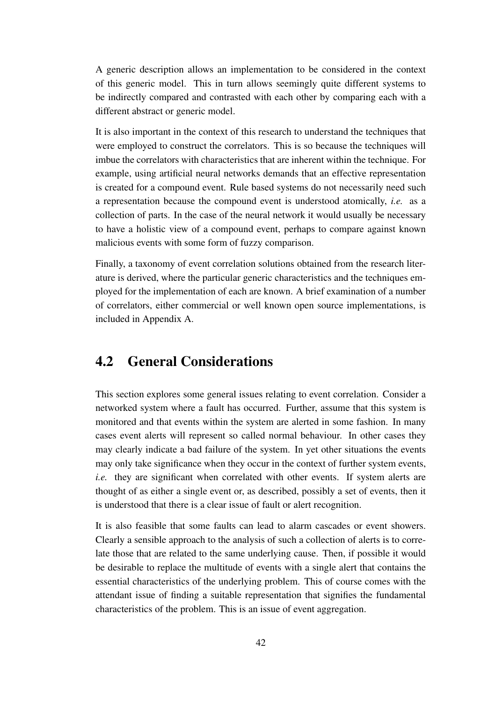A generic description allows an implementation to be considered in the context of this generic model. This in turn allows seemingly quite different systems to be indirectly compared and contrasted with each other by comparing each with a different abstract or generic model.

It is also important in the context of this research to understand the techniques that were employed to construct the correlators. This is so because the techniques will imbue the correlators with characteristics that are inherent within the technique. For example, using artificial neural networks demands that an effective representation is created for a compound event. Rule based systems do not necessarily need such a representation because the compound event is understood atomically, *i.e.* as a collection of parts. In the case of the neural network it would usually be necessary to have a holistic view of a compound event, perhaps to compare against known malicious events with some form of fuzzy comparison.

Finally, a taxonomy of event correlation solutions obtained from the research literature is derived, where the particular generic characteristics and the techniques employed for the implementation of each are known. A brief examination of a number of correlators, either commercial or well known open source implementations, is included in Appendix A.

## **4.2 General Considerations**

This section explores some general issues relating to event correlation. Consider a networked system where a fault has occurred. Further, assume that this system is monitored and that events within the system are alerted in some fashion. In many cases event alerts will represent so called normal behaviour. In other cases they may clearly indicate a bad failure of the system. In yet other situations the events may only take significance when they occur in the context of further system events, *i.e.* they are significant when correlated with other events. If system alerts are thought of as either a single event or, as described, possibly a set of events, then it is understood that there is a clear issue of fault or alert recognition.

It is also feasible that some faults can lead to alarm cascades or event showers. Clearly a sensible approach to the analysis of such a collection of alerts is to correlate those that are related to the same underlying cause. Then, if possible it would be desirable to replace the multitude of events with a single alert that contains the essential characteristics of the underlying problem. This of course comes with the attendant issue of finding a suitable representation that signifies the fundamental characteristics of the problem. This is an issue of event aggregation.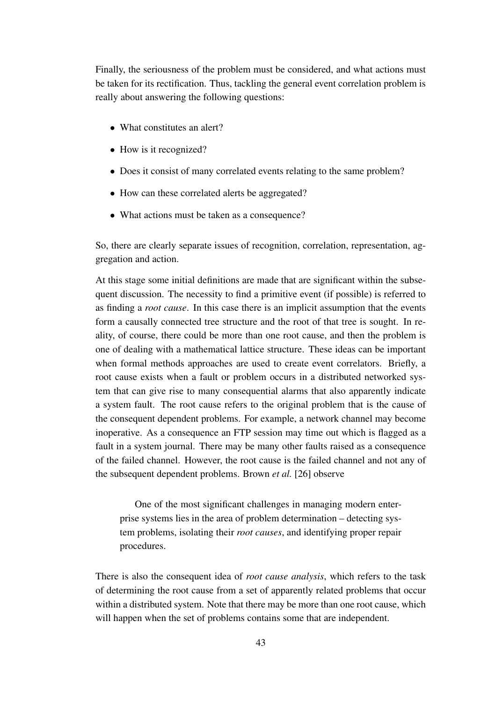Finally, the seriousness of the problem must be considered, and what actions must be taken for its rectification. Thus, tackling the general event correlation problem is really about answering the following questions:

- What constitutes an alert?
- How is it recognized?
- Does it consist of many correlated events relating to the same problem?
- How can these correlated alerts be aggregated?
- What actions must be taken as a consequence?

So, there are clearly separate issues of recognition, correlation, representation, aggregation and action.

At this stage some initial definitions are made that are significant within the subsequent discussion. The necessity to find a primitive event (if possible) is referred to as finding a *root cause*. In this case there is an implicit assumption that the events form a causally connected tree structure and the root of that tree is sought. In reality, of course, there could be more than one root cause, and then the problem is one of dealing with a mathematical lattice structure. These ideas can be important when formal methods approaches are used to create event correlators. Briefly, a root cause exists when a fault or problem occurs in a distributed networked system that can give rise to many consequential alarms that also apparently indicate a system fault. The root cause refers to the original problem that is the cause of the consequent dependent problems. For example, a network channel may become inoperative. As a consequence an FTP session may time out which is flagged as a fault in a system journal. There may be many other faults raised as a consequence of the failed channel. However, the root cause is the failed channel and not any of the subsequent dependent problems. Brown *et al.* [26] observe

One of the most significant challenges in managing modern enterprise systems lies in the area of problem determination – detecting system problems, isolating their *root causes*, and identifying proper repair procedures.

There is also the consequent idea of *root cause analysis*, which refers to the task of determining the root cause from a set of apparently related problems that occur within a distributed system. Note that there may be more than one root cause, which will happen when the set of problems contains some that are independent.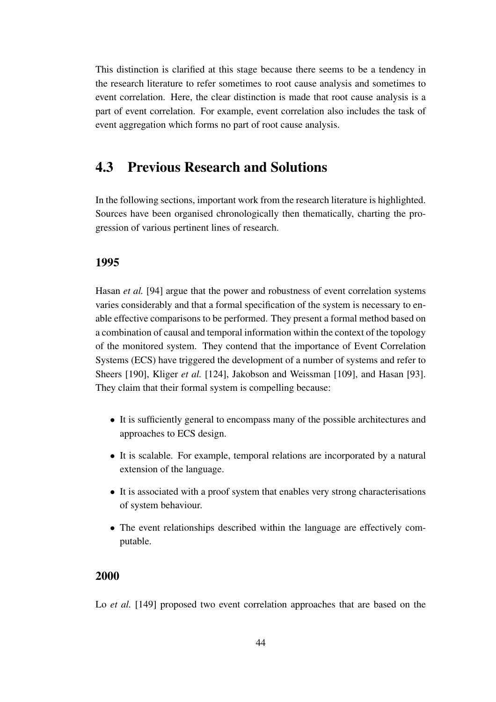This distinction is clarified at this stage because there seems to be a tendency in the research literature to refer sometimes to root cause analysis and sometimes to event correlation. Here, the clear distinction is made that root cause analysis is a part of event correlation. For example, event correlation also includes the task of event aggregation which forms no part of root cause analysis.

## **4.3 Previous Research and Solutions**

In the following sections, important work from the research literature is highlighted. Sources have been organised chronologically then thematically, charting the progression of various pertinent lines of research.

#### **1995**

Hasan *et al.* [94] argue that the power and robustness of event correlation systems varies considerably and that a formal specification of the system is necessary to enable effective comparisons to be performed. They present a formal method based on a combination of causal and temporal information within the context of the topology of the monitored system. They contend that the importance of Event Correlation Systems (ECS) have triggered the development of a number of systems and refer to Sheers [190], Kliger *et al.* [124], Jakobson and Weissman [109], and Hasan [93]. They claim that their formal system is compelling because:

- It is sufficiently general to encompass many of the possible architectures and approaches to ECS design.
- It is scalable. For example, temporal relations are incorporated by a natural extension of the language.
- It is associated with a proof system that enables very strong characterisations of system behaviour.
- The event relationships described within the language are effectively computable.

#### **2000**

Lo *et al.* [149] proposed two event correlation approaches that are based on the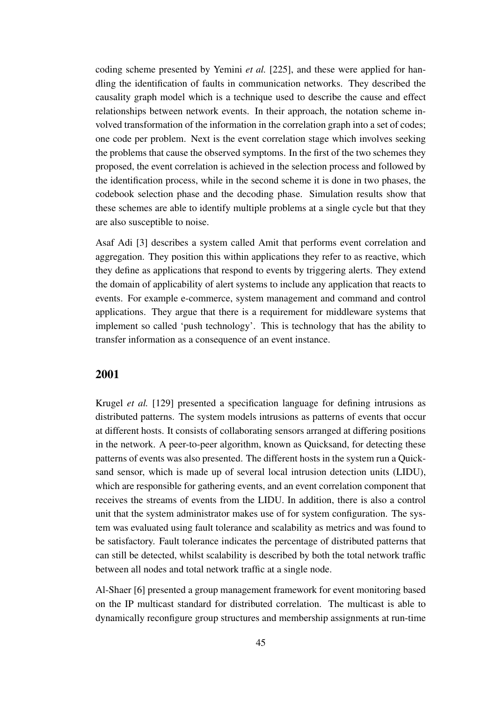coding scheme presented by Yemini *et al.* [225], and these were applied for handling the identification of faults in communication networks. They described the causality graph model which is a technique used to describe the cause and effect relationships between network events. In their approach, the notation scheme involved transformation of the information in the correlation graph into a set of codes; one code per problem. Next is the event correlation stage which involves seeking the problems that cause the observed symptoms. In the first of the two schemes they proposed, the event correlation is achieved in the selection process and followed by the identification process, while in the second scheme it is done in two phases, the codebook selection phase and the decoding phase. Simulation results show that these schemes are able to identify multiple problems at a single cycle but that they are also susceptible to noise.

Asaf Adi [3] describes a system called Amit that performs event correlation and aggregation. They position this within applications they refer to as reactive, which they define as applications that respond to events by triggering alerts. They extend the domain of applicability of alert systems to include any application that reacts to events. For example e-commerce, system management and command and control applications. They argue that there is a requirement for middleware systems that implement so called 'push technology'. This is technology that has the ability to transfer information as a consequence of an event instance.

#### **2001**

Krugel *et al.* [129] presented a specification language for defining intrusions as distributed patterns. The system models intrusions as patterns of events that occur at different hosts. It consists of collaborating sensors arranged at differing positions in the network. A peer-to-peer algorithm, known as Quicksand, for detecting these patterns of events was also presented. The different hosts in the system run a Quicksand sensor, which is made up of several local intrusion detection units (LIDU), which are responsible for gathering events, and an event correlation component that receives the streams of events from the LIDU. In addition, there is also a control unit that the system administrator makes use of for system configuration. The system was evaluated using fault tolerance and scalability as metrics and was found to be satisfactory. Fault tolerance indicates the percentage of distributed patterns that can still be detected, whilst scalability is described by both the total network traffic between all nodes and total network traffic at a single node.

Al-Shaer [6] presented a group management framework for event monitoring based on the IP multicast standard for distributed correlation. The multicast is able to dynamically reconfigure group structures and membership assignments at run-time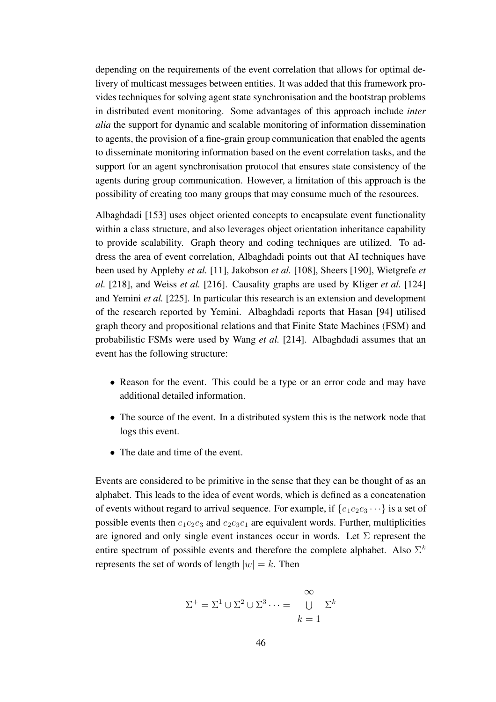depending on the requirements of the event correlation that allows for optimal delivery of multicast messages between entities. It was added that this framework provides techniques for solving agent state synchronisation and the bootstrap problems in distributed event monitoring. Some advantages of this approach include *inter alia* the support for dynamic and scalable monitoring of information dissemination to agents, the provision of a fine-grain group communication that enabled the agents to disseminate monitoring information based on the event correlation tasks, and the support for an agent synchronisation protocol that ensures state consistency of the agents during group communication. However, a limitation of this approach is the possibility of creating too many groups that may consume much of the resources.

Albaghdadi [153] uses object oriented concepts to encapsulate event functionality within a class structure, and also leverages object orientation inheritance capability to provide scalability. Graph theory and coding techniques are utilized. To address the area of event correlation, Albaghdadi points out that AI techniques have been used by Appleby *et al.* [11], Jakobson *et al.* [108], Sheers [190], Wietgrefe *et al.* [218], and Weiss *et al.* [216]. Causality graphs are used by Kliger *et al.* [124] and Yemini *et al.* [225]. In particular this research is an extension and development of the research reported by Yemini. Albaghdadi reports that Hasan [94] utilised graph theory and propositional relations and that Finite State Machines (FSM) and probabilistic FSMs were used by Wang *et al.* [214]. Albaghdadi assumes that an event has the following structure:

- Reason for the event. This could be a type or an error code and may have additional detailed information.
- The source of the event. In a distributed system this is the network node that logs this event.
- The date and time of the event.

Events are considered to be primitive in the sense that they can be thought of as an alphabet. This leads to the idea of event words, which is defined as a concatenation of events without regard to arrival sequence. For example, if  $\{e_1e_2e_3 \cdots\}$  is a set of possible events then  $e_1e_2e_3$  and  $e_2e_3e_1$  are equivalent words. Further, multiplicities are ignored and only single event instances occur in words. Let  $\Sigma$  represent the entire spectrum of possible events and therefore the complete alphabet. Also  $\Sigma^k$ represents the set of words of length  $|w| = k$ . Then

$$
\Sigma^{+} = \Sigma^{1} \cup \Sigma^{2} \cup \Sigma^{3} \cdots = \bigcup_{k=1}^{\infty} \Sigma^{k}
$$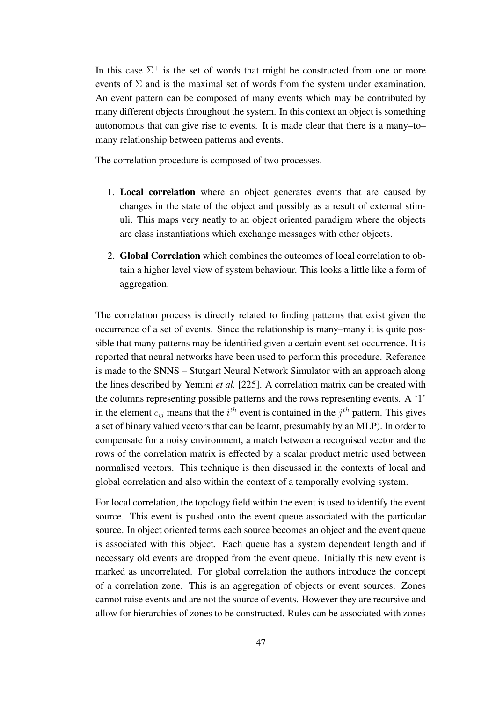In this case  $\Sigma^+$  is the set of words that might be constructed from one or more events of  $\Sigma$  and is the maximal set of words from the system under examination. An event pattern can be composed of many events which may be contributed by many different objects throughout the system. In this context an object is something autonomous that can give rise to events. It is made clear that there is a many–to– many relationship between patterns and events.

The correlation procedure is composed of two processes.

- 1. **Local correlation** where an object generates events that are caused by changes in the state of the object and possibly as a result of external stimuli. This maps very neatly to an object oriented paradigm where the objects are class instantiations which exchange messages with other objects.
- 2. **Global Correlation** which combines the outcomes of local correlation to obtain a higher level view of system behaviour. This looks a little like a form of aggregation.

The correlation process is directly related to finding patterns that exist given the occurrence of a set of events. Since the relationship is many–many it is quite possible that many patterns may be identified given a certain event set occurrence. It is reported that neural networks have been used to perform this procedure. Reference is made to the SNNS – Stutgart Neural Network Simulator with an approach along the lines described by Yemini *et al.* [225]. A correlation matrix can be created with the columns representing possible patterns and the rows representing events. A '1' in the element  $c_{ij}$  means that the  $i^{th}$  event is contained in the  $j^{th}$  pattern. This gives a set of binary valued vectors that can be learnt, presumably by an MLP). In order to compensate for a noisy environment, a match between a recognised vector and the rows of the correlation matrix is effected by a scalar product metric used between normalised vectors. This technique is then discussed in the contexts of local and global correlation and also within the context of a temporally evolving system.

For local correlation, the topology field within the event is used to identify the event source. This event is pushed onto the event queue associated with the particular source. In object oriented terms each source becomes an object and the event queue is associated with this object. Each queue has a system dependent length and if necessary old events are dropped from the event queue. Initially this new event is marked as uncorrelated. For global correlation the authors introduce the concept of a correlation zone. This is an aggregation of objects or event sources. Zones cannot raise events and are not the source of events. However they are recursive and allow for hierarchies of zones to be constructed. Rules can be associated with zones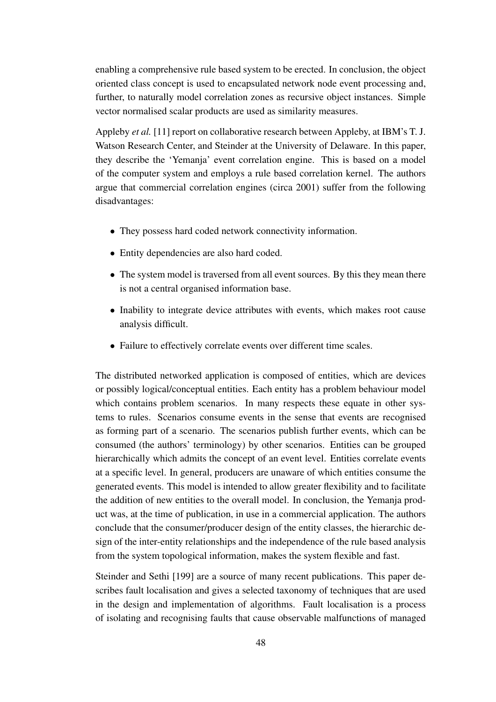enabling a comprehensive rule based system to be erected. In conclusion, the object oriented class concept is used to encapsulated network node event processing and, further, to naturally model correlation zones as recursive object instances. Simple vector normalised scalar products are used as similarity measures.

Appleby *et al.* [11] report on collaborative research between Appleby, at IBM's T. J. Watson Research Center, and Steinder at the University of Delaware. In this paper, they describe the 'Yemanja' event correlation engine. This is based on a model of the computer system and employs a rule based correlation kernel. The authors argue that commercial correlation engines (circa 2001) suffer from the following disadvantages:

- They possess hard coded network connectivity information.
- Entity dependencies are also hard coded.
- The system model is traversed from all event sources. By this they mean there is not a central organised information base.
- Inability to integrate device attributes with events, which makes root cause analysis difficult.
- Failure to effectively correlate events over different time scales.

The distributed networked application is composed of entities, which are devices or possibly logical/conceptual entities. Each entity has a problem behaviour model which contains problem scenarios. In many respects these equate in other systems to rules. Scenarios consume events in the sense that events are recognised as forming part of a scenario. The scenarios publish further events, which can be consumed (the authors' terminology) by other scenarios. Entities can be grouped hierarchically which admits the concept of an event level. Entities correlate events at a specific level. In general, producers are unaware of which entities consume the generated events. This model is intended to allow greater flexibility and to facilitate the addition of new entities to the overall model. In conclusion, the Yemanja product was, at the time of publication, in use in a commercial application. The authors conclude that the consumer/producer design of the entity classes, the hierarchic design of the inter-entity relationships and the independence of the rule based analysis from the system topological information, makes the system flexible and fast.

Steinder and Sethi [199] are a source of many recent publications. This paper describes fault localisation and gives a selected taxonomy of techniques that are used in the design and implementation of algorithms. Fault localisation is a process of isolating and recognising faults that cause observable malfunctions of managed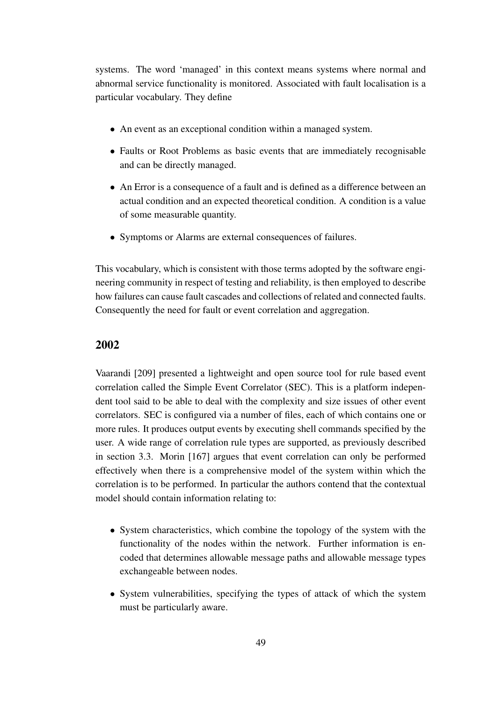systems. The word 'managed' in this context means systems where normal and abnormal service functionality is monitored. Associated with fault localisation is a particular vocabulary. They define

- An event as an exceptional condition within a managed system.
- Faults or Root Problems as basic events that are immediately recognisable and can be directly managed.
- An Error is a consequence of a fault and is defined as a difference between an actual condition and an expected theoretical condition. A condition is a value of some measurable quantity.
- Symptoms or Alarms are external consequences of failures.

This vocabulary, which is consistent with those terms adopted by the software engineering community in respect of testing and reliability, is then employed to describe how failures can cause fault cascades and collections of related and connected faults. Consequently the need for fault or event correlation and aggregation.

#### **2002**

Vaarandi [209] presented a lightweight and open source tool for rule based event correlation called the Simple Event Correlator (SEC). This is a platform independent tool said to be able to deal with the complexity and size issues of other event correlators. SEC is configured via a number of files, each of which contains one or more rules. It produces output events by executing shell commands specified by the user. A wide range of correlation rule types are supported, as previously described in section 3.3. Morin [167] argues that event correlation can only be performed effectively when there is a comprehensive model of the system within which the correlation is to be performed. In particular the authors contend that the contextual model should contain information relating to:

- System characteristics, which combine the topology of the system with the functionality of the nodes within the network. Further information is encoded that determines allowable message paths and allowable message types exchangeable between nodes.
- System vulnerabilities, specifying the types of attack of which the system must be particularly aware.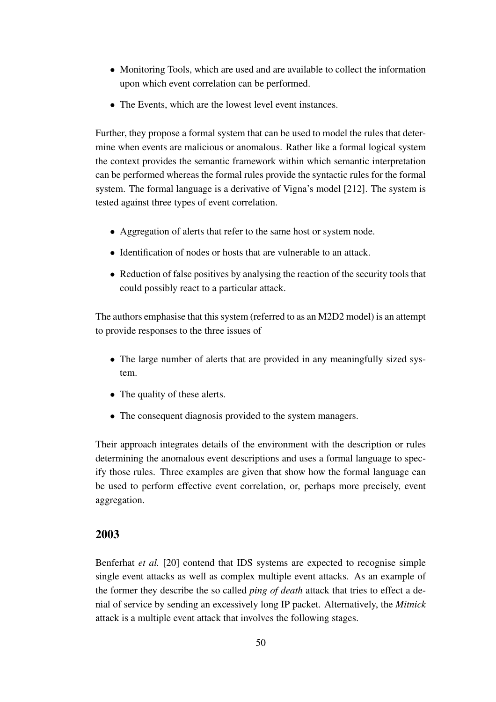- Monitoring Tools, which are used and are available to collect the information upon which event correlation can be performed.
- The Events, which are the lowest level event instances.

Further, they propose a formal system that can be used to model the rules that determine when events are malicious or anomalous. Rather like a formal logical system the context provides the semantic framework within which semantic interpretation can be performed whereas the formal rules provide the syntactic rules for the formal system. The formal language is a derivative of Vigna's model [212]. The system is tested against three types of event correlation.

- Aggregation of alerts that refer to the same host or system node.
- Identification of nodes or hosts that are vulnerable to an attack.
- Reduction of false positives by analysing the reaction of the security tools that could possibly react to a particular attack.

The authors emphasise that this system (referred to as an M2D2 model) is an attempt to provide responses to the three issues of

- The large number of alerts that are provided in any meaningfully sized system.
- The quality of these alerts.
- The consequent diagnosis provided to the system managers.

Their approach integrates details of the environment with the description or rules determining the anomalous event descriptions and uses a formal language to specify those rules. Three examples are given that show how the formal language can be used to perform effective event correlation, or, perhaps more precisely, event aggregation.

#### **2003**

Benferhat *et al.* [20] contend that IDS systems are expected to recognise simple single event attacks as well as complex multiple event attacks. As an example of the former they describe the so called *ping of death* attack that tries to effect a denial of service by sending an excessively long IP packet. Alternatively, the *Mitnick* attack is a multiple event attack that involves the following stages.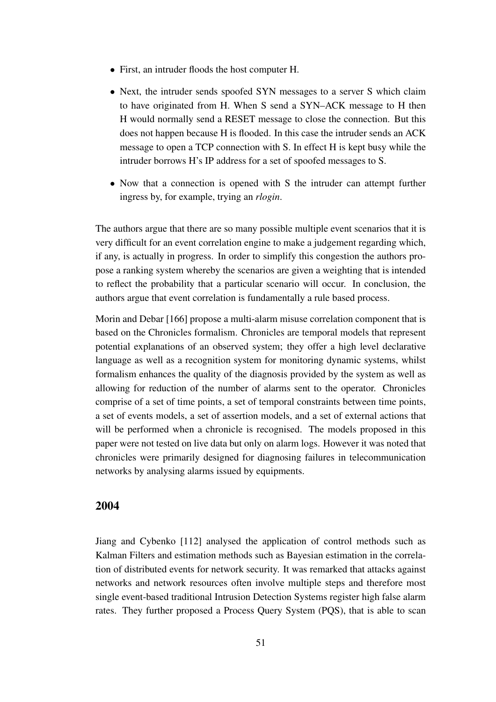- First, an intruder floods the host computer H.
- Next, the intruder sends spoofed SYN messages to a server S which claim to have originated from H. When S send a SYN–ACK message to H then H would normally send a RESET message to close the connection. But this does not happen because H is flooded. In this case the intruder sends an ACK message to open a TCP connection with S. In effect H is kept busy while the intruder borrows H's IP address for a set of spoofed messages to S.
- Now that a connection is opened with S the intruder can attempt further ingress by, for example, trying an *rlogin*.

The authors argue that there are so many possible multiple event scenarios that it is very difficult for an event correlation engine to make a judgement regarding which, if any, is actually in progress. In order to simplify this congestion the authors propose a ranking system whereby the scenarios are given a weighting that is intended to reflect the probability that a particular scenario will occur. In conclusion, the authors argue that event correlation is fundamentally a rule based process.

Morin and Debar [166] propose a multi-alarm misuse correlation component that is based on the Chronicles formalism. Chronicles are temporal models that represent potential explanations of an observed system; they offer a high level declarative language as well as a recognition system for monitoring dynamic systems, whilst formalism enhances the quality of the diagnosis provided by the system as well as allowing for reduction of the number of alarms sent to the operator. Chronicles comprise of a set of time points, a set of temporal constraints between time points, a set of events models, a set of assertion models, and a set of external actions that will be performed when a chronicle is recognised. The models proposed in this paper were not tested on live data but only on alarm logs. However it was noted that chronicles were primarily designed for diagnosing failures in telecommunication networks by analysing alarms issued by equipments.

#### **2004**

Jiang and Cybenko [112] analysed the application of control methods such as Kalman Filters and estimation methods such as Bayesian estimation in the correlation of distributed events for network security. It was remarked that attacks against networks and network resources often involve multiple steps and therefore most single event-based traditional Intrusion Detection Systems register high false alarm rates. They further proposed a Process Query System (PQS), that is able to scan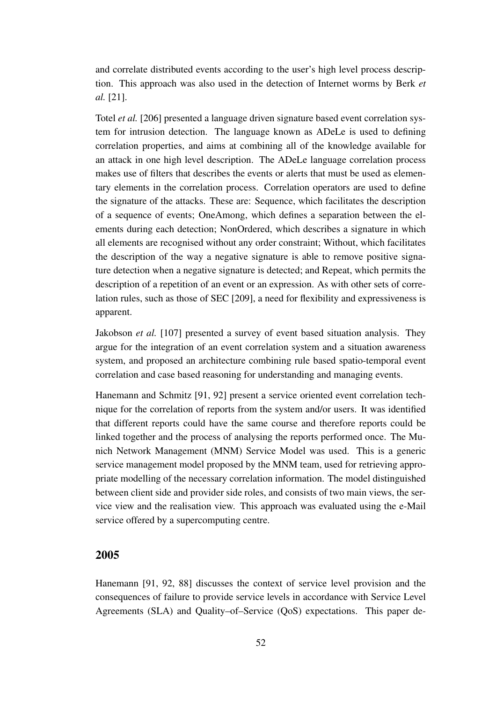and correlate distributed events according to the user's high level process description. This approach was also used in the detection of Internet worms by Berk *et al.* [21].

Totel *et al.* [206] presented a language driven signature based event correlation system for intrusion detection. The language known as ADeLe is used to defining correlation properties, and aims at combining all of the knowledge available for an attack in one high level description. The ADeLe language correlation process makes use of filters that describes the events or alerts that must be used as elementary elements in the correlation process. Correlation operators are used to define the signature of the attacks. These are: Sequence, which facilitates the description of a sequence of events; OneAmong, which defines a separation between the elements during each detection; NonOrdered, which describes a signature in which all elements are recognised without any order constraint; Without, which facilitates the description of the way a negative signature is able to remove positive signature detection when a negative signature is detected; and Repeat, which permits the description of a repetition of an event or an expression. As with other sets of correlation rules, such as those of SEC [209], a need for flexibility and expressiveness is apparent.

Jakobson *et al.* [107] presented a survey of event based situation analysis. They argue for the integration of an event correlation system and a situation awareness system, and proposed an architecture combining rule based spatio-temporal event correlation and case based reasoning for understanding and managing events.

Hanemann and Schmitz [91, 92] present a service oriented event correlation technique for the correlation of reports from the system and/or users. It was identified that different reports could have the same course and therefore reports could be linked together and the process of analysing the reports performed once. The Munich Network Management (MNM) Service Model was used. This is a generic service management model proposed by the MNM team, used for retrieving appropriate modelling of the necessary correlation information. The model distinguished between client side and provider side roles, and consists of two main views, the service view and the realisation view. This approach was evaluated using the e-Mail service offered by a supercomputing centre.

#### **2005**

Hanemann [91, 92, 88] discusses the context of service level provision and the consequences of failure to provide service levels in accordance with Service Level Agreements (SLA) and Quality–of–Service (QoS) expectations. This paper de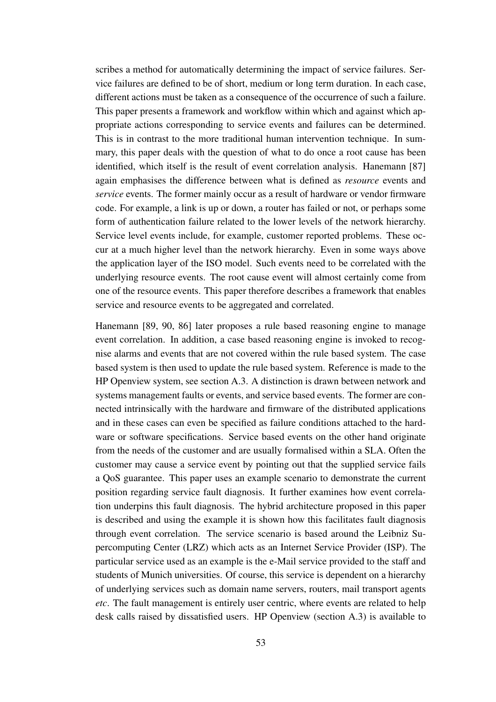scribes a method for automatically determining the impact of service failures. Service failures are defined to be of short, medium or long term duration. In each case, different actions must be taken as a consequence of the occurrence of such a failure. This paper presents a framework and workflow within which and against which appropriate actions corresponding to service events and failures can be determined. This is in contrast to the more traditional human intervention technique. In summary, this paper deals with the question of what to do once a root cause has been identified, which itself is the result of event correlation analysis. Hanemann [87] again emphasises the difference between what is defined as *resource* events and *service* events. The former mainly occur as a result of hardware or vendor firmware code. For example, a link is up or down, a router has failed or not, or perhaps some form of authentication failure related to the lower levels of the network hierarchy. Service level events include, for example, customer reported problems. These occur at a much higher level than the network hierarchy. Even in some ways above the application layer of the ISO model. Such events need to be correlated with the underlying resource events. The root cause event will almost certainly come from one of the resource events. This paper therefore describes a framework that enables service and resource events to be aggregated and correlated.

Hanemann [89, 90, 86] later proposes a rule based reasoning engine to manage event correlation. In addition, a case based reasoning engine is invoked to recognise alarms and events that are not covered within the rule based system. The case based system is then used to update the rule based system. Reference is made to the HP Openview system, see section A.3. A distinction is drawn between network and systems management faults or events, and service based events. The former are connected intrinsically with the hardware and firmware of the distributed applications and in these cases can even be specified as failure conditions attached to the hardware or software specifications. Service based events on the other hand originate from the needs of the customer and are usually formalised within a SLA. Often the customer may cause a service event by pointing out that the supplied service fails a QoS guarantee. This paper uses an example scenario to demonstrate the current position regarding service fault diagnosis. It further examines how event correlation underpins this fault diagnosis. The hybrid architecture proposed in this paper is described and using the example it is shown how this facilitates fault diagnosis through event correlation. The service scenario is based around the Leibniz Supercomputing Center (LRZ) which acts as an Internet Service Provider (ISP). The particular service used as an example is the e-Mail service provided to the staff and students of Munich universities. Of course, this service is dependent on a hierarchy of underlying services such as domain name servers, routers, mail transport agents *etc*. The fault management is entirely user centric, where events are related to help desk calls raised by dissatisfied users. HP Openview (section A.3) is available to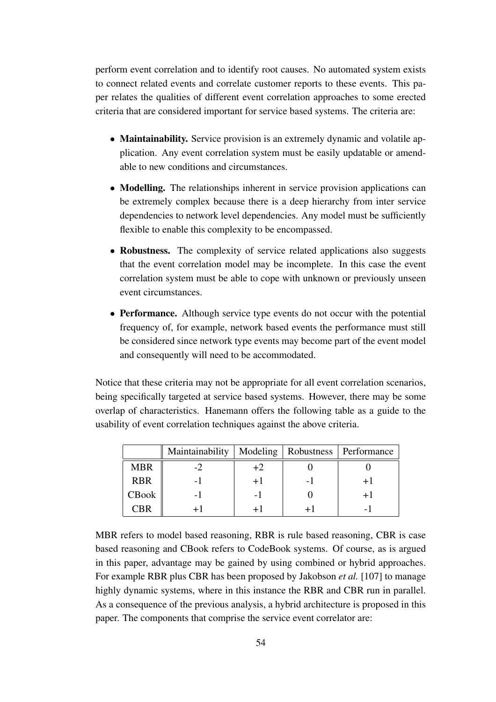perform event correlation and to identify root causes. No automated system exists to connect related events and correlate customer reports to these events. This paper relates the qualities of different event correlation approaches to some erected criteria that are considered important for service based systems. The criteria are:

- **Maintainability.** Service provision is an extremely dynamic and volatile application. Any event correlation system must be easily updatable or amendable to new conditions and circumstances.
- **Modelling.** The relationships inherent in service provision applications can be extremely complex because there is a deep hierarchy from inter service dependencies to network level dependencies. Any model must be sufficiently flexible to enable this complexity to be encompassed.
- **Robustness.** The complexity of service related applications also suggests that the event correlation model may be incomplete. In this case the event correlation system must be able to cope with unknown or previously unseen event circumstances.
- **Performance.** Although service type events do not occur with the potential frequency of, for example, network based events the performance must still be considered since network type events may become part of the event model and consequently will need to be accommodated.

Notice that these criteria may not be appropriate for all event correlation scenarios, being specifically targeted at service based systems. However, there may be some overlap of characteristics. Hanemann offers the following table as a guide to the usability of event correlation techniques against the above criteria.

|            | Maintainability |      | Modeling   Robustness   Performance |
|------------|-----------------|------|-------------------------------------|
| <b>MBR</b> |                 | $+2$ |                                     |
| <b>RBR</b> |                 | $+1$ |                                     |
| CBook      | - 1             | - 1  |                                     |
| CBR        |                 |      |                                     |

MBR refers to model based reasoning, RBR is rule based reasoning, CBR is case based reasoning and CBook refers to CodeBook systems. Of course, as is argued in this paper, advantage may be gained by using combined or hybrid approaches. For example RBR plus CBR has been proposed by Jakobson *et al.* [107] to manage highly dynamic systems, where in this instance the RBR and CBR run in parallel. As a consequence of the previous analysis, a hybrid architecture is proposed in this paper. The components that comprise the service event correlator are: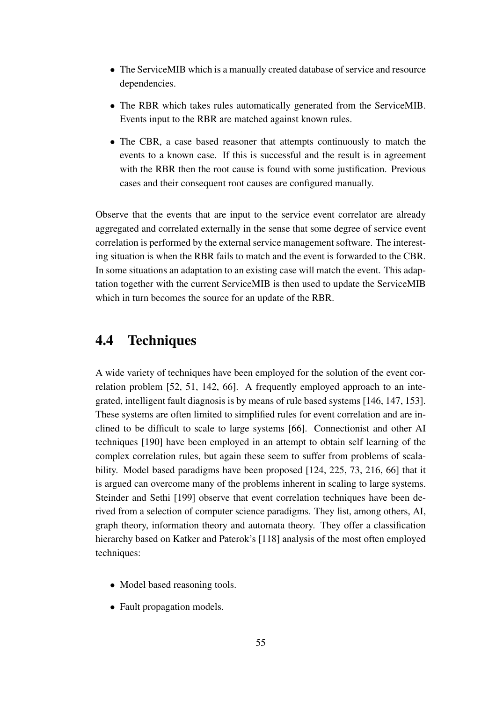- The ServiceMIB which is a manually created database of service and resource dependencies.
- The RBR which takes rules automatically generated from the ServiceMIB. Events input to the RBR are matched against known rules.
- The CBR, a case based reasoner that attempts continuously to match the events to a known case. If this is successful and the result is in agreement with the RBR then the root cause is found with some justification. Previous cases and their consequent root causes are configured manually.

Observe that the events that are input to the service event correlator are already aggregated and correlated externally in the sense that some degree of service event correlation is performed by the external service management software. The interesting situation is when the RBR fails to match and the event is forwarded to the CBR. In some situations an adaptation to an existing case will match the event. This adaptation together with the current ServiceMIB is then used to update the ServiceMIB which in turn becomes the source for an update of the RBR.

## **4.4 Techniques**

A wide variety of techniques have been employed for the solution of the event correlation problem [52, 51, 142, 66]. A frequently employed approach to an integrated, intelligent fault diagnosis is by means of rule based systems [146, 147, 153]. These systems are often limited to simplified rules for event correlation and are inclined to be difficult to scale to large systems [66]. Connectionist and other AI techniques [190] have been employed in an attempt to obtain self learning of the complex correlation rules, but again these seem to suffer from problems of scalability. Model based paradigms have been proposed [124, 225, 73, 216, 66] that it is argued can overcome many of the problems inherent in scaling to large systems. Steinder and Sethi [199] observe that event correlation techniques have been derived from a selection of computer science paradigms. They list, among others, AI, graph theory, information theory and automata theory. They offer a classification hierarchy based on Katker and Paterok's [118] analysis of the most often employed techniques:

- Model based reasoning tools.
- Fault propagation models.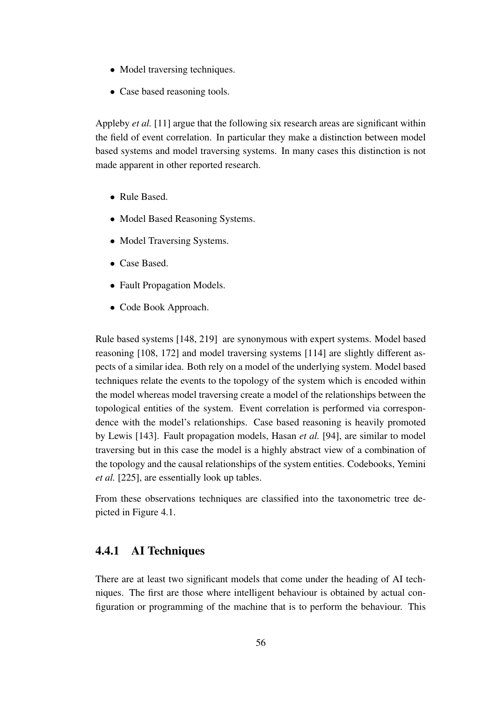- Model traversing techniques.
- Case based reasoning tools.

Appleby *et al.* [11] argue that the following six research areas are significant within the field of event correlation. In particular they make a distinction between model based systems and model traversing systems. In many cases this distinction is not made apparent in other reported research.

- Rule Based.
- Model Based Reasoning Systems.
- Model Traversing Systems.
- Case Based.
- Fault Propagation Models.
- Code Book Approach.

Rule based systems [148, 219] are synonymous with expert systems. Model based reasoning [108, 172] and model traversing systems [114] are slightly different aspects of a similar idea. Both rely on a model of the underlying system. Model based techniques relate the events to the topology of the system which is encoded within the model whereas model traversing create a model of the relationships between the topological entities of the system. Event correlation is performed via correspondence with the model's relationships. Case based reasoning is heavily promoted by Lewis [143]. Fault propagation models, Hasan *et al.* [94], are similar to model traversing but in this case the model is a highly abstract view of a combination of the topology and the causal relationships of the system entities. Codebooks, Yemini *et al.* [225], are essentially look up tables.

From these observations techniques are classified into the taxonometric tree depicted in Figure 4.1.

#### **4.4.1 AI Techniques**

There are at least two significant models that come under the heading of AI techniques. The first are those where intelligent behaviour is obtained by actual configuration or programming of the machine that is to perform the behaviour. This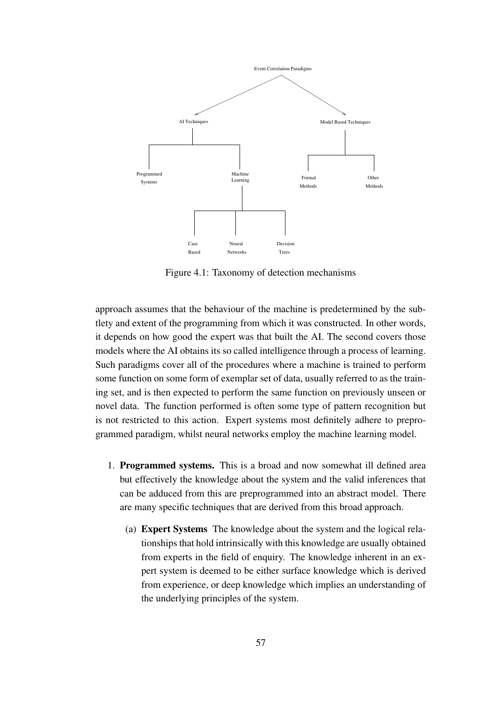

Figure 4.1: Taxonomy of detection mechanisms

approach assumes that the behaviour of the machine is predetermined by the subtlety and extent of the programming from which it was constructed. In other words, it depends on how good the expert was that built the AI. The second covers those models where the AI obtains its so called intelligence through a process of learning. Such paradigms cover all of the procedures where a machine is trained to perform some function on some form of exemplar set of data, usually referred to as the training set, and is then expected to perform the same function on previously unseen or novel data. The function performed is often some type of pattern recognition but is not restricted to this action. Expert systems most definitely adhere to preprogrammed paradigm, whilst neural networks employ the machine learning model.

- 1. **Programmed systems.** This is a broad and now somewhat ill defined area but effectively the knowledge about the system and the valid inferences that can be adduced from this are preprogrammed into an abstract model. There are many specific techniques that are derived from this broad approach.
	- (a) **Expert Systems** The knowledge about the system and the logical relationships that hold intrinsically with this knowledge are usually obtained from experts in the field of enquiry. The knowledge inherent in an expert system is deemed to be either surface knowledge which is derived from experience, or deep knowledge which implies an understanding of the underlying principles of the system.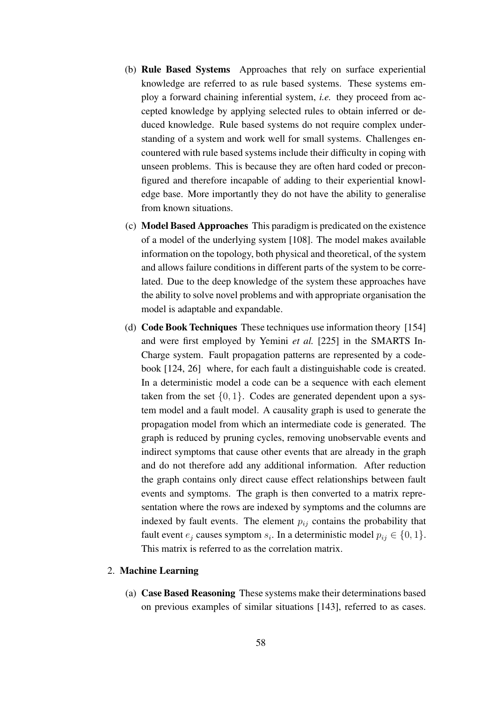- (b) **Rule Based Systems** Approaches that rely on surface experiential knowledge are referred to as rule based systems. These systems employ a forward chaining inferential system, *i.e.* they proceed from accepted knowledge by applying selected rules to obtain inferred or deduced knowledge. Rule based systems do not require complex understanding of a system and work well for small systems. Challenges encountered with rule based systems include their difficulty in coping with unseen problems. This is because they are often hard coded or preconfigured and therefore incapable of adding to their experiential knowledge base. More importantly they do not have the ability to generalise from known situations.
- (c) **Model Based Approaches** This paradigm is predicated on the existence of a model of the underlying system [108]. The model makes available information on the topology, both physical and theoretical, of the system and allows failure conditions in different parts of the system to be correlated. Due to the deep knowledge of the system these approaches have the ability to solve novel problems and with appropriate organisation the model is adaptable and expandable.
- (d) **Code Book Techniques** These techniques use information theory [154] and were first employed by Yemini *et al.* [225] in the SMARTS In-Charge system. Fault propagation patterns are represented by a codebook [124, 26] where, for each fault a distinguishable code is created. In a deterministic model a code can be a sequence with each element taken from the set  $\{0, 1\}$ . Codes are generated dependent upon a system model and a fault model. A causality graph is used to generate the propagation model from which an intermediate code is generated. The graph is reduced by pruning cycles, removing unobservable events and indirect symptoms that cause other events that are already in the graph and do not therefore add any additional information. After reduction the graph contains only direct cause effect relationships between fault events and symptoms. The graph is then converted to a matrix representation where the rows are indexed by symptoms and the columns are indexed by fault events. The element  $p_{ij}$  contains the probability that fault event  $e_j$  causes symptom  $s_i$ . In a deterministic model  $p_{ij} \in \{0, 1\}$ . This matrix is referred to as the correlation matrix.

#### 2. **Machine Learning**

(a) **Case Based Reasoning** These systems make their determinations based on previous examples of similar situations [143], referred to as cases.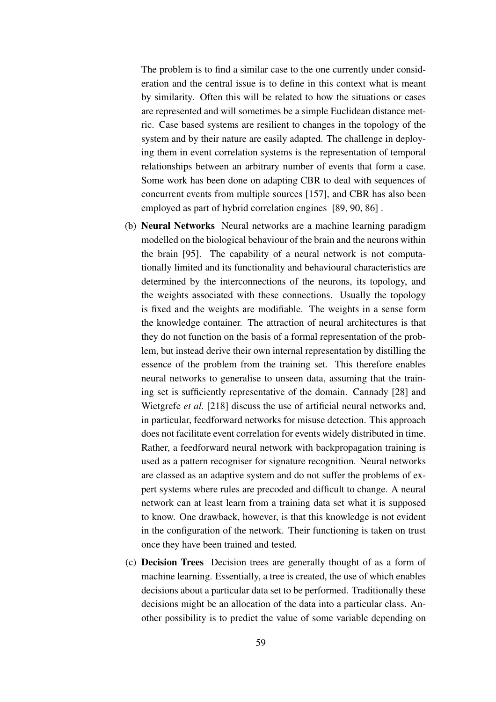The problem is to find a similar case to the one currently under consideration and the central issue is to define in this context what is meant by similarity. Often this will be related to how the situations or cases are represented and will sometimes be a simple Euclidean distance metric. Case based systems are resilient to changes in the topology of the system and by their nature are easily adapted. The challenge in deploying them in event correlation systems is the representation of temporal relationships between an arbitrary number of events that form a case. Some work has been done on adapting CBR to deal with sequences of concurrent events from multiple sources [157], and CBR has also been employed as part of hybrid correlation engines [89, 90, 86] .

- (b) **Neural Networks** Neural networks are a machine learning paradigm modelled on the biological behaviour of the brain and the neurons within the brain [95]. The capability of a neural network is not computationally limited and its functionality and behavioural characteristics are determined by the interconnections of the neurons, its topology, and the weights associated with these connections. Usually the topology is fixed and the weights are modifiable. The weights in a sense form the knowledge container. The attraction of neural architectures is that they do not function on the basis of a formal representation of the problem, but instead derive their own internal representation by distilling the essence of the problem from the training set. This therefore enables neural networks to generalise to unseen data, assuming that the training set is sufficiently representative of the domain. Cannady [28] and Wietgrefe *et al.* [218] discuss the use of artificial neural networks and, in particular, feedforward networks for misuse detection. This approach does not facilitate event correlation for events widely distributed in time. Rather, a feedforward neural network with backpropagation training is used as a pattern recogniser for signature recognition. Neural networks are classed as an adaptive system and do not suffer the problems of expert systems where rules are precoded and difficult to change. A neural network can at least learn from a training data set what it is supposed to know. One drawback, however, is that this knowledge is not evident in the configuration of the network. Their functioning is taken on trust once they have been trained and tested.
- (c) **Decision Trees** Decision trees are generally thought of as a form of machine learning. Essentially, a tree is created, the use of which enables decisions about a particular data set to be performed. Traditionally these decisions might be an allocation of the data into a particular class. Another possibility is to predict the value of some variable depending on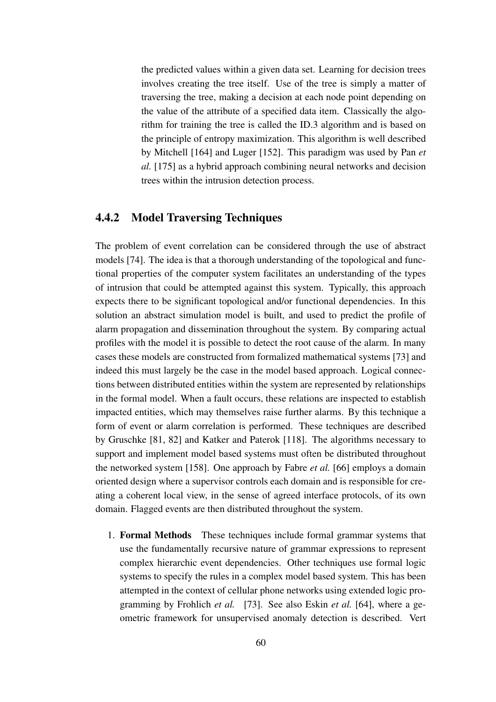the predicted values within a given data set. Learning for decision trees involves creating the tree itself. Use of the tree is simply a matter of traversing the tree, making a decision at each node point depending on the value of the attribute of a specified data item. Classically the algorithm for training the tree is called the ID.3 algorithm and is based on the principle of entropy maximization. This algorithm is well described by Mitchell [164] and Luger [152]. This paradigm was used by Pan *et al.* [175] as a hybrid approach combining neural networks and decision trees within the intrusion detection process.

#### **4.4.2 Model Traversing Techniques**

The problem of event correlation can be considered through the use of abstract models [74]. The idea is that a thorough understanding of the topological and functional properties of the computer system facilitates an understanding of the types of intrusion that could be attempted against this system. Typically, this approach expects there to be significant topological and/or functional dependencies. In this solution an abstract simulation model is built, and used to predict the profile of alarm propagation and dissemination throughout the system. By comparing actual profiles with the model it is possible to detect the root cause of the alarm. In many cases these models are constructed from formalized mathematical systems [73] and indeed this must largely be the case in the model based approach. Logical connections between distributed entities within the system are represented by relationships in the formal model. When a fault occurs, these relations are inspected to establish impacted entities, which may themselves raise further alarms. By this technique a form of event or alarm correlation is performed. These techniques are described by Gruschke [81, 82] and Katker and Paterok [118]. The algorithms necessary to support and implement model based systems must often be distributed throughout the networked system [158]. One approach by Fabre *et al.* [66] employs a domain oriented design where a supervisor controls each domain and is responsible for creating a coherent local view, in the sense of agreed interface protocols, of its own domain. Flagged events are then distributed throughout the system.

1. **Formal Methods** These techniques include formal grammar systems that use the fundamentally recursive nature of grammar expressions to represent complex hierarchic event dependencies. Other techniques use formal logic systems to specify the rules in a complex model based system. This has been attempted in the context of cellular phone networks using extended logic programming by Frohlich *et al.* [73]. See also Eskin *et al.* [64], where a geometric framework for unsupervised anomaly detection is described. Vert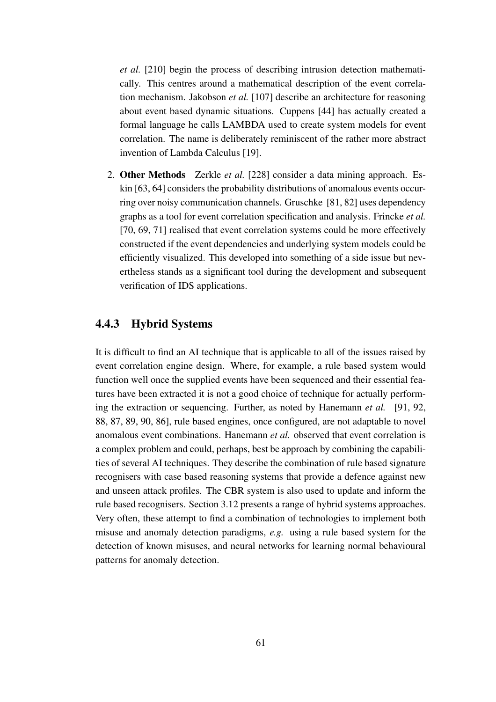*et al.* [210] begin the process of describing intrusion detection mathematically. This centres around a mathematical description of the event correlation mechanism. Jakobson *et al.* [107] describe an architecture for reasoning about event based dynamic situations. Cuppens [44] has actually created a formal language he calls LAMBDA used to create system models for event correlation. The name is deliberately reminiscent of the rather more abstract invention of Lambda Calculus [19].

2. **Other Methods** Zerkle *et al.* [228] consider a data mining approach. Eskin [63, 64] considers the probability distributions of anomalous events occurring over noisy communication channels. Gruschke [81, 82] uses dependency graphs as a tool for event correlation specification and analysis. Frincke *et al.* [70, 69, 71] realised that event correlation systems could be more effectively constructed if the event dependencies and underlying system models could be efficiently visualized. This developed into something of a side issue but nevertheless stands as a significant tool during the development and subsequent verification of IDS applications.

### **4.4.3 Hybrid Systems**

It is difficult to find an AI technique that is applicable to all of the issues raised by event correlation engine design. Where, for example, a rule based system would function well once the supplied events have been sequenced and their essential features have been extracted it is not a good choice of technique for actually performing the extraction or sequencing. Further, as noted by Hanemann *et al.* [91, 92, 88, 87, 89, 90, 86], rule based engines, once configured, are not adaptable to novel anomalous event combinations. Hanemann *et al.* observed that event correlation is a complex problem and could, perhaps, best be approach by combining the capabilities of several AI techniques. They describe the combination of rule based signature recognisers with case based reasoning systems that provide a defence against new and unseen attack profiles. The CBR system is also used to update and inform the rule based recognisers. Section 3.12 presents a range of hybrid systems approaches. Very often, these attempt to find a combination of technologies to implement both misuse and anomaly detection paradigms, *e.g.* using a rule based system for the detection of known misuses, and neural networks for learning normal behavioural patterns for anomaly detection.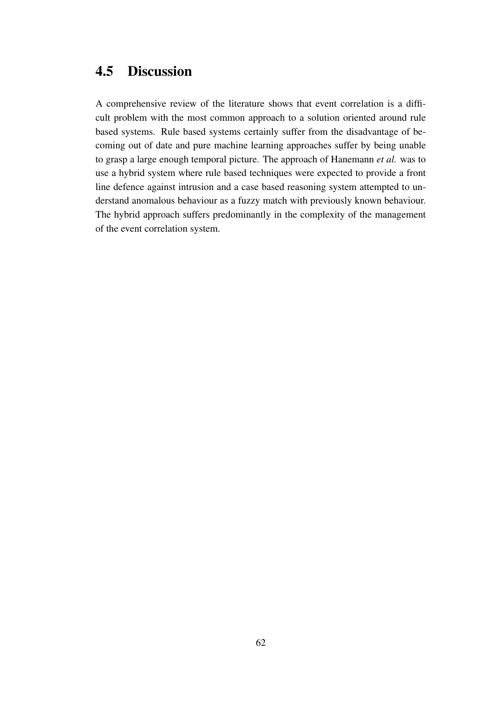## **4.5 Discussion**

A comprehensive review of the literature shows that event correlation is a difficult problem with the most common approach to a solution oriented around rule based systems. Rule based systems certainly suffer from the disadvantage of becoming out of date and pure machine learning approaches suffer by being unable to grasp a large enough temporal picture. The approach of Hanemann *et al.* was to use a hybrid system where rule based techniques were expected to provide a front line defence against intrusion and a case based reasoning system attempted to understand anomalous behaviour as a fuzzy match with previously known behaviour. The hybrid approach suffers predominantly in the complexity of the management of the event correlation system.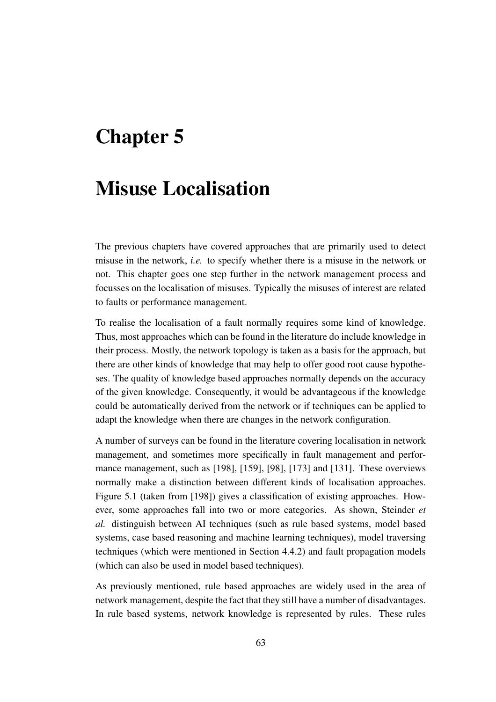# **Chapter 5**

## **Misuse Localisation**

The previous chapters have covered approaches that are primarily used to detect misuse in the network, *i.e.* to specify whether there is a misuse in the network or not. This chapter goes one step further in the network management process and focusses on the localisation of misuses. Typically the misuses of interest are related to faults or performance management.

To realise the localisation of a fault normally requires some kind of knowledge. Thus, most approaches which can be found in the literature do include knowledge in their process. Mostly, the network topology is taken as a basis for the approach, but there are other kinds of knowledge that may help to offer good root cause hypotheses. The quality of knowledge based approaches normally depends on the accuracy of the given knowledge. Consequently, it would be advantageous if the knowledge could be automatically derived from the network or if techniques can be applied to adapt the knowledge when there are changes in the network configuration.

A number of surveys can be found in the literature covering localisation in network management, and sometimes more specifically in fault management and performance management, such as [198], [159], [98], [173] and [131]. These overviews normally make a distinction between different kinds of localisation approaches. Figure 5.1 (taken from [198]) gives a classification of existing approaches. However, some approaches fall into two or more categories. As shown, Steinder *et al.* distinguish between AI techniques (such as rule based systems, model based systems, case based reasoning and machine learning techniques), model traversing techniques (which were mentioned in Section 4.4.2) and fault propagation models (which can also be used in model based techniques).

As previously mentioned, rule based approaches are widely used in the area of network management, despite the fact that they still have a number of disadvantages. In rule based systems, network knowledge is represented by rules. These rules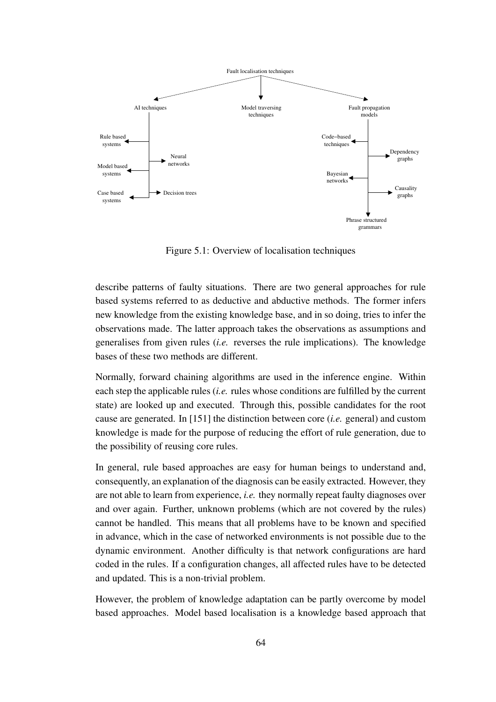

Figure 5.1: Overview of localisation techniques

describe patterns of faulty situations. There are two general approaches for rule based systems referred to as deductive and abductive methods. The former infers new knowledge from the existing knowledge base, and in so doing, tries to infer the observations made. The latter approach takes the observations as assumptions and generalises from given rules (*i.e.* reverses the rule implications). The knowledge bases of these two methods are different.

Normally, forward chaining algorithms are used in the inference engine. Within each step the applicable rules (*i.e.* rules whose conditions are fulfilled by the current state) are looked up and executed. Through this, possible candidates for the root cause are generated. In [151] the distinction between core (*i.e.* general) and custom knowledge is made for the purpose of reducing the effort of rule generation, due to the possibility of reusing core rules.

In general, rule based approaches are easy for human beings to understand and, consequently, an explanation of the diagnosis can be easily extracted. However, they are not able to learn from experience, *i.e.* they normally repeat faulty diagnoses over and over again. Further, unknown problems (which are not covered by the rules) cannot be handled. This means that all problems have to be known and specified in advance, which in the case of networked environments is not possible due to the dynamic environment. Another difficulty is that network configurations are hard coded in the rules. If a configuration changes, all affected rules have to be detected and updated. This is a non-trivial problem.

However, the problem of knowledge adaptation can be partly overcome by model based approaches. Model based localisation is a knowledge based approach that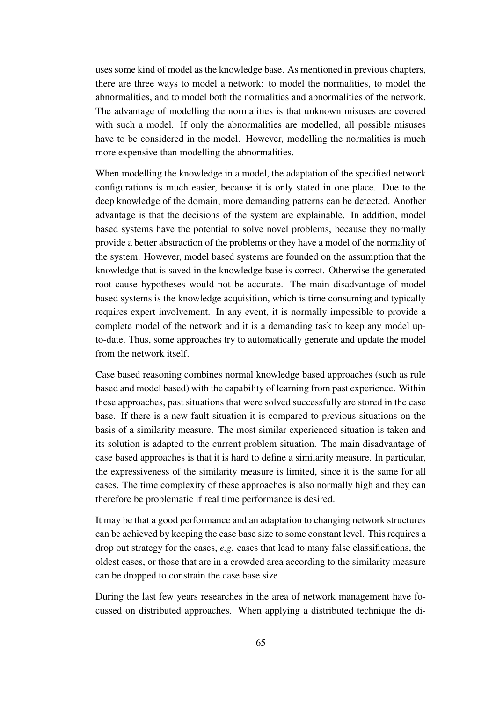uses some kind of model as the knowledge base. As mentioned in previous chapters, there are three ways to model a network: to model the normalities, to model the abnormalities, and to model both the normalities and abnormalities of the network. The advantage of modelling the normalities is that unknown misuses are covered with such a model. If only the abnormalities are modelled, all possible misuses have to be considered in the model. However, modelling the normalities is much more expensive than modelling the abnormalities.

When modelling the knowledge in a model, the adaptation of the specified network configurations is much easier, because it is only stated in one place. Due to the deep knowledge of the domain, more demanding patterns can be detected. Another advantage is that the decisions of the system are explainable. In addition, model based systems have the potential to solve novel problems, because they normally provide a better abstraction of the problems or they have a model of the normality of the system. However, model based systems are founded on the assumption that the knowledge that is saved in the knowledge base is correct. Otherwise the generated root cause hypotheses would not be accurate. The main disadvantage of model based systems is the knowledge acquisition, which is time consuming and typically requires expert involvement. In any event, it is normally impossible to provide a complete model of the network and it is a demanding task to keep any model upto-date. Thus, some approaches try to automatically generate and update the model from the network itself.

Case based reasoning combines normal knowledge based approaches (such as rule based and model based) with the capability of learning from past experience. Within these approaches, past situations that were solved successfully are stored in the case base. If there is a new fault situation it is compared to previous situations on the basis of a similarity measure. The most similar experienced situation is taken and its solution is adapted to the current problem situation. The main disadvantage of case based approaches is that it is hard to define a similarity measure. In particular, the expressiveness of the similarity measure is limited, since it is the same for all cases. The time complexity of these approaches is also normally high and they can therefore be problematic if real time performance is desired.

It may be that a good performance and an adaptation to changing network structures can be achieved by keeping the case base size to some constant level. This requires a drop out strategy for the cases, *e.g.* cases that lead to many false classifications, the oldest cases, or those that are in a crowded area according to the similarity measure can be dropped to constrain the case base size.

During the last few years researches in the area of network management have focussed on distributed approaches. When applying a distributed technique the di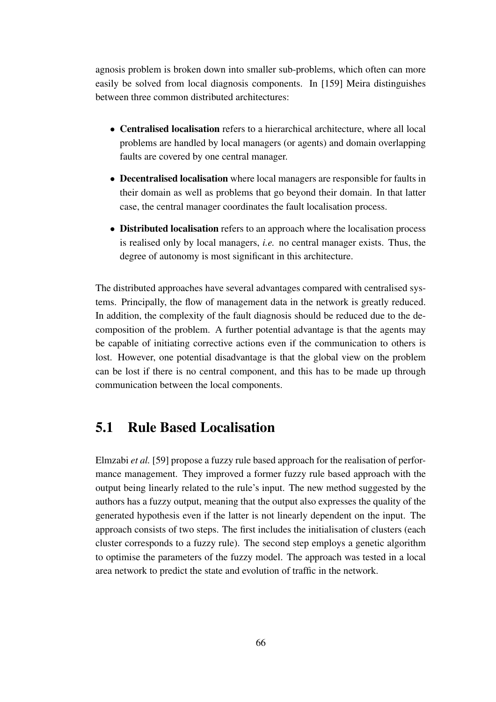agnosis problem is broken down into smaller sub-problems, which often can more easily be solved from local diagnosis components. In [159] Meira distinguishes between three common distributed architectures:

- **Centralised localisation** refers to a hierarchical architecture, where all local problems are handled by local managers (or agents) and domain overlapping faults are covered by one central manager.
- **Decentralised localisation** where local managers are responsible for faults in their domain as well as problems that go beyond their domain. In that latter case, the central manager coordinates the fault localisation process.
- **Distributed localisation** refers to an approach where the localisation process is realised only by local managers, *i.e.* no central manager exists. Thus, the degree of autonomy is most significant in this architecture.

The distributed approaches have several advantages compared with centralised systems. Principally, the flow of management data in the network is greatly reduced. In addition, the complexity of the fault diagnosis should be reduced due to the decomposition of the problem. A further potential advantage is that the agents may be capable of initiating corrective actions even if the communication to others is lost. However, one potential disadvantage is that the global view on the problem can be lost if there is no central component, and this has to be made up through communication between the local components.

## **5.1 Rule Based Localisation**

Elmzabi *et al.* [59] propose a fuzzy rule based approach for the realisation of performance management. They improved a former fuzzy rule based approach with the output being linearly related to the rule's input. The new method suggested by the authors has a fuzzy output, meaning that the output also expresses the quality of the generated hypothesis even if the latter is not linearly dependent on the input. The approach consists of two steps. The first includes the initialisation of clusters (each cluster corresponds to a fuzzy rule). The second step employs a genetic algorithm to optimise the parameters of the fuzzy model. The approach was tested in a local area network to predict the state and evolution of traffic in the network.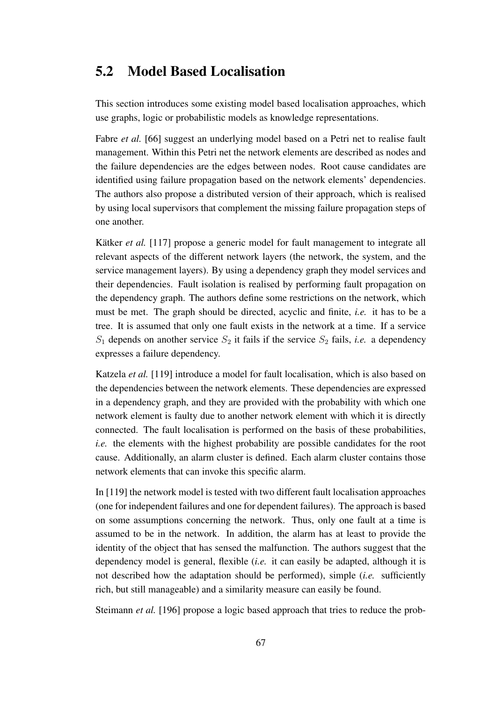## **5.2 Model Based Localisation**

This section introduces some existing model based localisation approaches, which use graphs, logic or probabilistic models as knowledge representations.

Fabre *et al.* [66] suggest an underlying model based on a Petri net to realise fault management. Within this Petri net the network elements are described as nodes and the failure dependencies are the edges between nodes. Root cause candidates are identified using failure propagation based on the network elements' dependencies. The authors also propose a distributed version of their approach, which is realised by using local supervisors that complement the missing failure propagation steps of one another.

Kätker *et al.* [117] propose a generic model for fault management to integrate all relevant aspects of the different network layers (the network, the system, and the service management layers). By using a dependency graph they model services and their dependencies. Fault isolation is realised by performing fault propagation on the dependency graph. The authors define some restrictions on the network, which must be met. The graph should be directed, acyclic and finite, *i.e.* it has to be a tree. It is assumed that only one fault exists in the network at a time. If a service  $S_1$  depends on another service  $S_2$  it fails if the service  $S_2$  fails, *i.e.* a dependency expresses a failure dependency.

Katzela *et al.* [119] introduce a model for fault localisation, which is also based on the dependencies between the network elements. These dependencies are expressed in a dependency graph, and they are provided with the probability with which one network element is faulty due to another network element with which it is directly connected. The fault localisation is performed on the basis of these probabilities, *i.e.* the elements with the highest probability are possible candidates for the root cause. Additionally, an alarm cluster is defined. Each alarm cluster contains those network elements that can invoke this specific alarm.

In [119] the network model is tested with two different fault localisation approaches (one for independent failures and one for dependent failures). The approach is based on some assumptions concerning the network. Thus, only one fault at a time is assumed to be in the network. In addition, the alarm has at least to provide the identity of the object that has sensed the malfunction. The authors suggest that the dependency model is general, flexible (*i.e.* it can easily be adapted, although it is not described how the adaptation should be performed), simple (*i.e.* sufficiently rich, but still manageable) and a similarity measure can easily be found.

Steimann *et al.* [196] propose a logic based approach that tries to reduce the prob-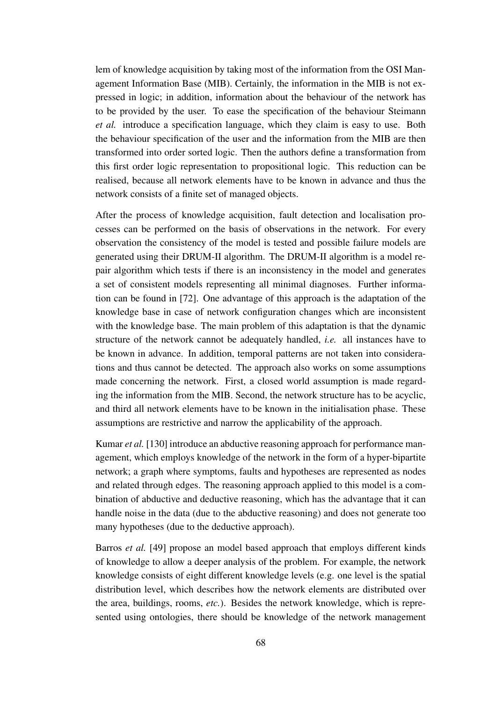lem of knowledge acquisition by taking most of the information from the OSI Management Information Base (MIB). Certainly, the information in the MIB is not expressed in logic; in addition, information about the behaviour of the network has to be provided by the user. To ease the specification of the behaviour Steimann *et al.* introduce a specification language, which they claim is easy to use. Both the behaviour specification of the user and the information from the MIB are then transformed into order sorted logic. Then the authors define a transformation from this first order logic representation to propositional logic. This reduction can be realised, because all network elements have to be known in advance and thus the network consists of a finite set of managed objects.

After the process of knowledge acquisition, fault detection and localisation processes can be performed on the basis of observations in the network. For every observation the consistency of the model is tested and possible failure models are generated using their DRUM-II algorithm. The DRUM-II algorithm is a model repair algorithm which tests if there is an inconsistency in the model and generates a set of consistent models representing all minimal diagnoses. Further information can be found in [72]. One advantage of this approach is the adaptation of the knowledge base in case of network configuration changes which are inconsistent with the knowledge base. The main problem of this adaptation is that the dynamic structure of the network cannot be adequately handled, *i.e.* all instances have to be known in advance. In addition, temporal patterns are not taken into considerations and thus cannot be detected. The approach also works on some assumptions made concerning the network. First, a closed world assumption is made regarding the information from the MIB. Second, the network structure has to be acyclic, and third all network elements have to be known in the initialisation phase. These assumptions are restrictive and narrow the applicability of the approach.

Kumar *et al.* [130] introduce an abductive reasoning approach for performance management, which employs knowledge of the network in the form of a hyper-bipartite network; a graph where symptoms, faults and hypotheses are represented as nodes and related through edges. The reasoning approach applied to this model is a combination of abductive and deductive reasoning, which has the advantage that it can handle noise in the data (due to the abductive reasoning) and does not generate too many hypotheses (due to the deductive approach).

Barros *et al.* [49] propose an model based approach that employs different kinds of knowledge to allow a deeper analysis of the problem. For example, the network knowledge consists of eight different knowledge levels (e.g. one level is the spatial distribution level, which describes how the network elements are distributed over the area, buildings, rooms, *etc.*). Besides the network knowledge, which is represented using ontologies, there should be knowledge of the network management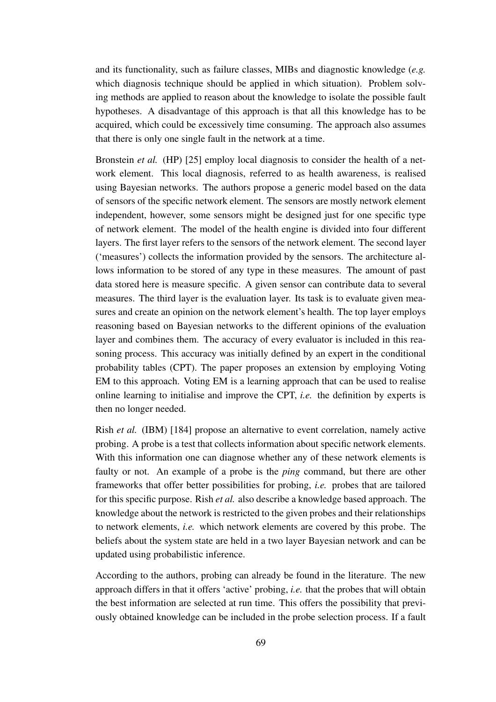and its functionality, such as failure classes, MIBs and diagnostic knowledge (*e.g.* which diagnosis technique should be applied in which situation). Problem solving methods are applied to reason about the knowledge to isolate the possible fault hypotheses. A disadvantage of this approach is that all this knowledge has to be acquired, which could be excessively time consuming. The approach also assumes that there is only one single fault in the network at a time.

Bronstein *et al.* (HP) [25] employ local diagnosis to consider the health of a network element. This local diagnosis, referred to as health awareness, is realised using Bayesian networks. The authors propose a generic model based on the data of sensors of the specific network element. The sensors are mostly network element independent, however, some sensors might be designed just for one specific type of network element. The model of the health engine is divided into four different layers. The first layer refers to the sensors of the network element. The second layer ('measures') collects the information provided by the sensors. The architecture allows information to be stored of any type in these measures. The amount of past data stored here is measure specific. A given sensor can contribute data to several measures. The third layer is the evaluation layer. Its task is to evaluate given measures and create an opinion on the network element's health. The top layer employs reasoning based on Bayesian networks to the different opinions of the evaluation layer and combines them. The accuracy of every evaluator is included in this reasoning process. This accuracy was initially defined by an expert in the conditional probability tables (CPT). The paper proposes an extension by employing Voting EM to this approach. Voting EM is a learning approach that can be used to realise online learning to initialise and improve the CPT, *i.e.* the definition by experts is then no longer needed.

Rish *et al.* (IBM) [184] propose an alternative to event correlation, namely active probing. A probe is a test that collects information about specific network elements. With this information one can diagnose whether any of these network elements is faulty or not. An example of a probe is the *ping* command, but there are other frameworks that offer better possibilities for probing, *i.e.* probes that are tailored for this specific purpose. Rish *et al.* also describe a knowledge based approach. The knowledge about the network is restricted to the given probes and their relationships to network elements, *i.e.* which network elements are covered by this probe. The beliefs about the system state are held in a two layer Bayesian network and can be updated using probabilistic inference.

According to the authors, probing can already be found in the literature. The new approach differs in that it offers 'active' probing, *i.e.* that the probes that will obtain the best information are selected at run time. This offers the possibility that previously obtained knowledge can be included in the probe selection process. If a fault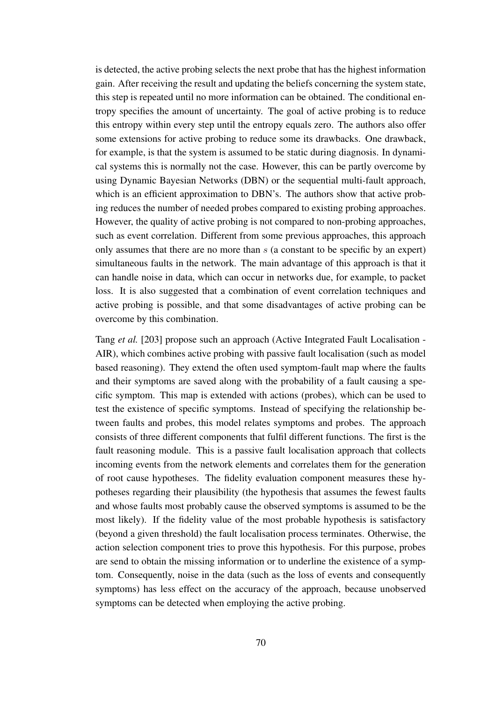is detected, the active probing selects the next probe that has the highest information gain. After receiving the result and updating the beliefs concerning the system state, this step is repeated until no more information can be obtained. The conditional entropy specifies the amount of uncertainty. The goal of active probing is to reduce this entropy within every step until the entropy equals zero. The authors also offer some extensions for active probing to reduce some its drawbacks. One drawback, for example, is that the system is assumed to be static during diagnosis. In dynamical systems this is normally not the case. However, this can be partly overcome by using Dynamic Bayesian Networks (DBN) or the sequential multi-fault approach, which is an efficient approximation to DBN's. The authors show that active probing reduces the number of needed probes compared to existing probing approaches. However, the quality of active probing is not compared to non-probing approaches, such as event correlation. Different from some previous approaches, this approach only assumes that there are no more than  $s$  (a constant to be specific by an expert) simultaneous faults in the network. The main advantage of this approach is that it can handle noise in data, which can occur in networks due, for example, to packet loss. It is also suggested that a combination of event correlation techniques and active probing is possible, and that some disadvantages of active probing can be overcome by this combination.

Tang *et al.* [203] propose such an approach (Active Integrated Fault Localisation - AIR), which combines active probing with passive fault localisation (such as model based reasoning). They extend the often used symptom-fault map where the faults and their symptoms are saved along with the probability of a fault causing a specific symptom. This map is extended with actions (probes), which can be used to test the existence of specific symptoms. Instead of specifying the relationship between faults and probes, this model relates symptoms and probes. The approach consists of three different components that fulfil different functions. The first is the fault reasoning module. This is a passive fault localisation approach that collects incoming events from the network elements and correlates them for the generation of root cause hypotheses. The fidelity evaluation component measures these hypotheses regarding their plausibility (the hypothesis that assumes the fewest faults and whose faults most probably cause the observed symptoms is assumed to be the most likely). If the fidelity value of the most probable hypothesis is satisfactory (beyond a given threshold) the fault localisation process terminates. Otherwise, the action selection component tries to prove this hypothesis. For this purpose, probes are send to obtain the missing information or to underline the existence of a symptom. Consequently, noise in the data (such as the loss of events and consequently symptoms) has less effect on the accuracy of the approach, because unobserved symptoms can be detected when employing the active probing.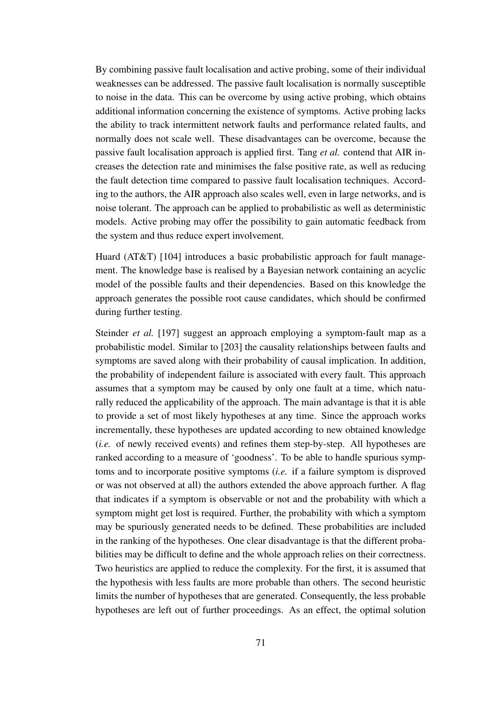By combining passive fault localisation and active probing, some of their individual weaknesses can be addressed. The passive fault localisation is normally susceptible to noise in the data. This can be overcome by using active probing, which obtains additional information concerning the existence of symptoms. Active probing lacks the ability to track intermittent network faults and performance related faults, and normally does not scale well. These disadvantages can be overcome, because the passive fault localisation approach is applied first. Tang *et al.* contend that AIR increases the detection rate and minimises the false positive rate, as well as reducing the fault detection time compared to passive fault localisation techniques. According to the authors, the AIR approach also scales well, even in large networks, and is noise tolerant. The approach can be applied to probabilistic as well as deterministic models. Active probing may offer the possibility to gain automatic feedback from the system and thus reduce expert involvement.

Huard (AT&T) [104] introduces a basic probabilistic approach for fault management. The knowledge base is realised by a Bayesian network containing an acyclic model of the possible faults and their dependencies. Based on this knowledge the approach generates the possible root cause candidates, which should be confirmed during further testing.

Steinder *et al.* [197] suggest an approach employing a symptom-fault map as a probabilistic model. Similar to [203] the causality relationships between faults and symptoms are saved along with their probability of causal implication. In addition, the probability of independent failure is associated with every fault. This approach assumes that a symptom may be caused by only one fault at a time, which naturally reduced the applicability of the approach. The main advantage is that it is able to provide a set of most likely hypotheses at any time. Since the approach works incrementally, these hypotheses are updated according to new obtained knowledge (*i.e.* of newly received events) and refines them step-by-step. All hypotheses are ranked according to a measure of 'goodness'. To be able to handle spurious symptoms and to incorporate positive symptoms (*i.e.* if a failure symptom is disproved or was not observed at all) the authors extended the above approach further. A flag that indicates if a symptom is observable or not and the probability with which a symptom might get lost is required. Further, the probability with which a symptom may be spuriously generated needs to be defined. These probabilities are included in the ranking of the hypotheses. One clear disadvantage is that the different probabilities may be difficult to define and the whole approach relies on their correctness. Two heuristics are applied to reduce the complexity. For the first, it is assumed that the hypothesis with less faults are more probable than others. The second heuristic limits the number of hypotheses that are generated. Consequently, the less probable hypotheses are left out of further proceedings. As an effect, the optimal solution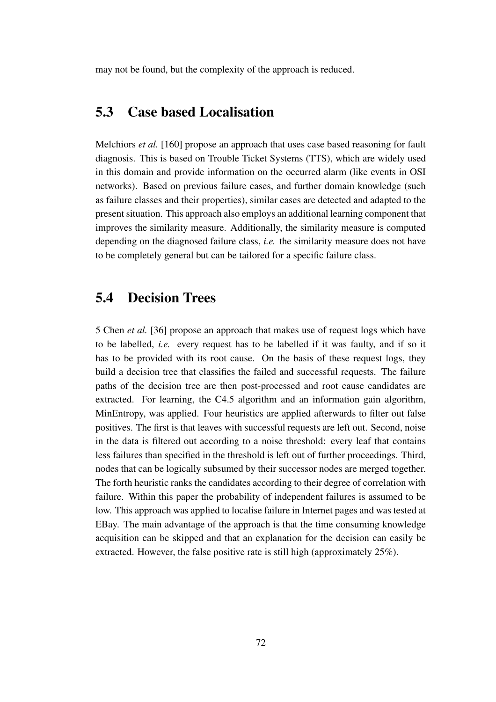may not be found, but the complexity of the approach is reduced.

#### **5.3 Case based Localisation**

Melchiors *et al.* [160] propose an approach that uses case based reasoning for fault diagnosis. This is based on Trouble Ticket Systems (TTS), which are widely used in this domain and provide information on the occurred alarm (like events in OSI networks). Based on previous failure cases, and further domain knowledge (such as failure classes and their properties), similar cases are detected and adapted to the present situation. This approach also employs an additional learning component that improves the similarity measure. Additionally, the similarity measure is computed depending on the diagnosed failure class, *i.e.* the similarity measure does not have to be completely general but can be tailored for a specific failure class.

#### **5.4 Decision Trees**

5 Chen *et al.* [36] propose an approach that makes use of request logs which have to be labelled, *i.e.* every request has to be labelled if it was faulty, and if so it has to be provided with its root cause. On the basis of these request logs, they build a decision tree that classifies the failed and successful requests. The failure paths of the decision tree are then post-processed and root cause candidates are extracted. For learning, the C4.5 algorithm and an information gain algorithm, MinEntropy, was applied. Four heuristics are applied afterwards to filter out false positives. The first is that leaves with successful requests are left out. Second, noise in the data is filtered out according to a noise threshold: every leaf that contains less failures than specified in the threshold is left out of further proceedings. Third, nodes that can be logically subsumed by their successor nodes are merged together. The forth heuristic ranks the candidates according to their degree of correlation with failure. Within this paper the probability of independent failures is assumed to be low. This approach was applied to localise failure in Internet pages and was tested at EBay. The main advantage of the approach is that the time consuming knowledge acquisition can be skipped and that an explanation for the decision can easily be extracted. However, the false positive rate is still high (approximately 25%).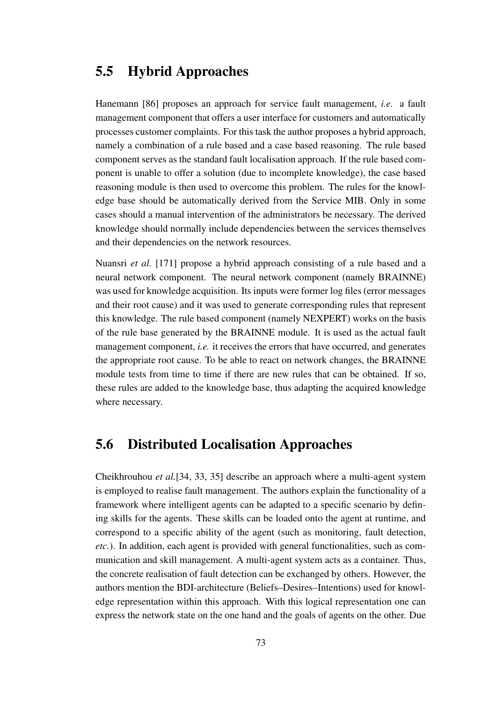#### **5.5 Hybrid Approaches**

Hanemann [86] proposes an approach for service fault management, *i.e.* a fault management component that offers a user interface for customers and automatically processes customer complaints. For this task the author proposes a hybrid approach, namely a combination of a rule based and a case based reasoning. The rule based component serves as the standard fault localisation approach. If the rule based component is unable to offer a solution (due to incomplete knowledge), the case based reasoning module is then used to overcome this problem. The rules for the knowledge base should be automatically derived from the Service MIB. Only in some cases should a manual intervention of the administrators be necessary. The derived knowledge should normally include dependencies between the services themselves and their dependencies on the network resources.

Nuansri *et al.* [171] propose a hybrid approach consisting of a rule based and a neural network component. The neural network component (namely BRAINNE) was used for knowledge acquisition. Its inputs were former log files (error messages and their root cause) and it was used to generate corresponding rules that represent this knowledge. The rule based component (namely NEXPERT) works on the basis of the rule base generated by the BRAINNE module. It is used as the actual fault management component, *i.e.* it receives the errors that have occurred, and generates the appropriate root cause. To be able to react on network changes, the BRAINNE module tests from time to time if there are new rules that can be obtained. If so, these rules are added to the knowledge base, thus adapting the acquired knowledge where necessary.

#### **5.6 Distributed Localisation Approaches**

Cheikhrouhou *et al.*[34, 33, 35] describe an approach where a multi-agent system is employed to realise fault management. The authors explain the functionality of a framework where intelligent agents can be adapted to a specific scenario by defining skills for the agents. These skills can be loaded onto the agent at runtime, and correspond to a specific ability of the agent (such as monitoring, fault detection, *etc.*). In addition, each agent is provided with general functionalities, such as communication and skill management. A multi-agent system acts as a container. Thus, the concrete realisation of fault detection can be exchanged by others. However, the authors mention the BDI-architecture (Beliefs–Desires–Intentions) used for knowledge representation within this approach. With this logical representation one can express the network state on the one hand and the goals of agents on the other. Due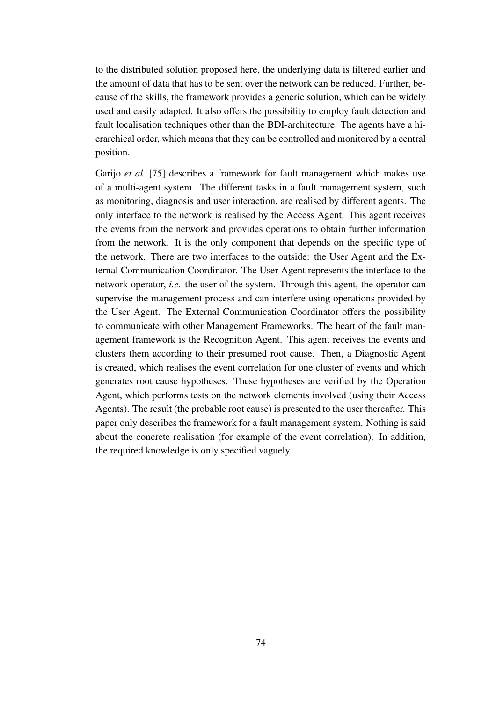to the distributed solution proposed here, the underlying data is filtered earlier and the amount of data that has to be sent over the network can be reduced. Further, because of the skills, the framework provides a generic solution, which can be widely used and easily adapted. It also offers the possibility to employ fault detection and fault localisation techniques other than the BDI-architecture. The agents have a hierarchical order, which means that they can be controlled and monitored by a central position.

Garijo *et al.* [75] describes a framework for fault management which makes use of a multi-agent system. The different tasks in a fault management system, such as monitoring, diagnosis and user interaction, are realised by different agents. The only interface to the network is realised by the Access Agent. This agent receives the events from the network and provides operations to obtain further information from the network. It is the only component that depends on the specific type of the network. There are two interfaces to the outside: the User Agent and the External Communication Coordinator. The User Agent represents the interface to the network operator, *i.e.* the user of the system. Through this agent, the operator can supervise the management process and can interfere using operations provided by the User Agent. The External Communication Coordinator offers the possibility to communicate with other Management Frameworks. The heart of the fault management framework is the Recognition Agent. This agent receives the events and clusters them according to their presumed root cause. Then, a Diagnostic Agent is created, which realises the event correlation for one cluster of events and which generates root cause hypotheses. These hypotheses are verified by the Operation Agent, which performs tests on the network elements involved (using their Access Agents). The result (the probable root cause) is presented to the user thereafter. This paper only describes the framework for a fault management system. Nothing is said about the concrete realisation (for example of the event correlation). In addition, the required knowledge is only specified vaguely.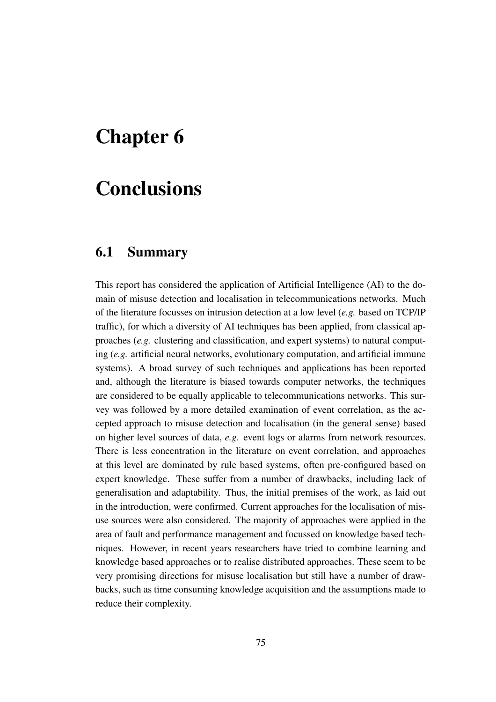### **Chapter 6**

## **Conclusions**

#### **6.1 Summary**

This report has considered the application of Artificial Intelligence (AI) to the domain of misuse detection and localisation in telecommunications networks. Much of the literature focusses on intrusion detection at a low level (*e.g.* based on TCP/IP traffic), for which a diversity of AI techniques has been applied, from classical approaches (*e.g.* clustering and classification, and expert systems) to natural computing (*e.g.* artificial neural networks, evolutionary computation, and artificial immune systems). A broad survey of such techniques and applications has been reported and, although the literature is biased towards computer networks, the techniques are considered to be equally applicable to telecommunications networks. This survey was followed by a more detailed examination of event correlation, as the accepted approach to misuse detection and localisation (in the general sense) based on higher level sources of data, *e.g.* event logs or alarms from network resources. There is less concentration in the literature on event correlation, and approaches at this level are dominated by rule based systems, often pre-configured based on expert knowledge. These suffer from a number of drawbacks, including lack of generalisation and adaptability. Thus, the initial premises of the work, as laid out in the introduction, were confirmed. Current approaches for the localisation of misuse sources were also considered. The majority of approaches were applied in the area of fault and performance management and focussed on knowledge based techniques. However, in recent years researchers have tried to combine learning and knowledge based approaches or to realise distributed approaches. These seem to be very promising directions for misuse localisation but still have a number of drawbacks, such as time consuming knowledge acquisition and the assumptions made to reduce their complexity.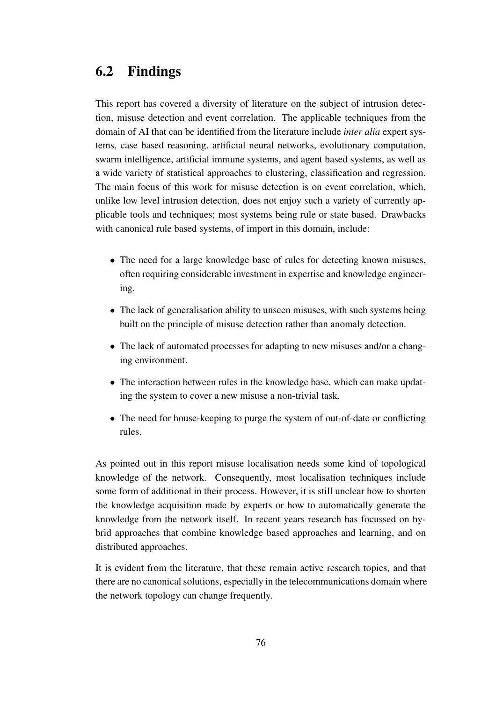#### **6.2 Findings**

This report has covered a diversity of literature on the subject of intrusion detection, misuse detection and event correlation. The applicable techniques from the domain of AI that can be identified from the literature include *inter alia* expert systems, case based reasoning, artificial neural networks, evolutionary computation, swarm intelligence, artificial immune systems, and agent based systems, as well as a wide variety of statistical approaches to clustering, classification and regression. The main focus of this work for misuse detection is on event correlation, which, unlike low level intrusion detection, does not enjoy such a variety of currently applicable tools and techniques; most systems being rule or state based. Drawbacks with canonical rule based systems, of import in this domain, include:

- The need for a large knowledge base of rules for detecting known misuses, often requiring considerable investment in expertise and knowledge engineering.
- The lack of generalisation ability to unseen misuses, with such systems being built on the principle of misuse detection rather than anomaly detection.
- The lack of automated processes for adapting to new misuses and/or a changing environment.
- The interaction between rules in the knowledge base, which can make updating the system to cover a new misuse a non-trivial task.
- The need for house-keeping to purge the system of out-of-date or conflicting rules.

As pointed out in this report misuse localisation needs some kind of topological knowledge of the network. Consequently, most localisation techniques include some form of additional in their process. However, it is still unclear how to shorten the knowledge acquisition made by experts or how to automatically generate the knowledge from the network itself. In recent years research has focussed on hybrid approaches that combine knowledge based approaches and learning, and on distributed approaches.

It is evident from the literature, that these remain active research topics, and that there are no canonical solutions, especially in the telecommunications domain where the network topology can change frequently.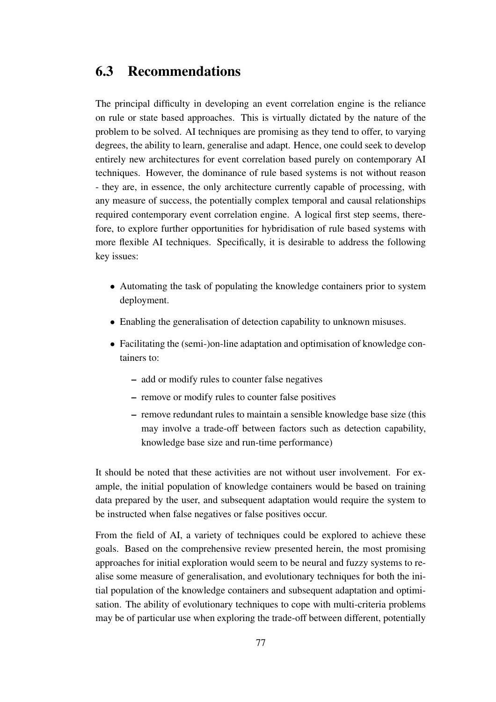#### **6.3 Recommendations**

The principal difficulty in developing an event correlation engine is the reliance on rule or state based approaches. This is virtually dictated by the nature of the problem to be solved. AI techniques are promising as they tend to offer, to varying degrees, the ability to learn, generalise and adapt. Hence, one could seek to develop entirely new architectures for event correlation based purely on contemporary AI techniques. However, the dominance of rule based systems is not without reason - they are, in essence, the only architecture currently capable of processing, with any measure of success, the potentially complex temporal and causal relationships required contemporary event correlation engine. A logical first step seems, therefore, to explore further opportunities for hybridisation of rule based systems with more flexible AI techniques. Specifically, it is desirable to address the following key issues:

- Automating the task of populating the knowledge containers prior to system deployment.
- Enabling the generalisation of detection capability to unknown misuses.
- Facilitating the (semi-)on-line adaptation and optimisation of knowledge containers to:
	- **–** add or modify rules to counter false negatives
	- **–** remove or modify rules to counter false positives
	- **–** remove redundant rules to maintain a sensible knowledge base size (this may involve a trade-off between factors such as detection capability, knowledge base size and run-time performance)

It should be noted that these activities are not without user involvement. For example, the initial population of knowledge containers would be based on training data prepared by the user, and subsequent adaptation would require the system to be instructed when false negatives or false positives occur.

From the field of AI, a variety of techniques could be explored to achieve these goals. Based on the comprehensive review presented herein, the most promising approaches for initial exploration would seem to be neural and fuzzy systems to realise some measure of generalisation, and evolutionary techniques for both the initial population of the knowledge containers and subsequent adaptation and optimisation. The ability of evolutionary techniques to cope with multi-criteria problems may be of particular use when exploring the trade-off between different, potentially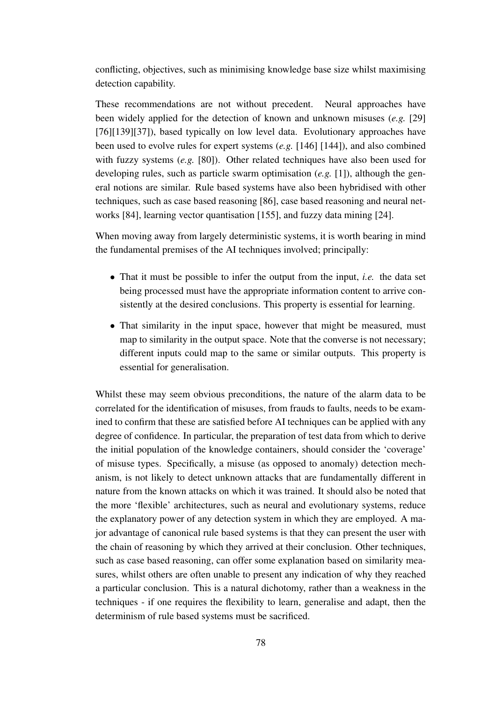conflicting, objectives, such as minimising knowledge base size whilst maximising detection capability.

These recommendations are not without precedent. Neural approaches have been widely applied for the detection of known and unknown misuses (*e.g.* [29] [76][139][37]), based typically on low level data. Evolutionary approaches have been used to evolve rules for expert systems (*e.g.* [146] [144]), and also combined with fuzzy systems (*e.g.* [80]). Other related techniques have also been used for developing rules, such as particle swarm optimisation (*e.g.* [1]), although the general notions are similar. Rule based systems have also been hybridised with other techniques, such as case based reasoning [86], case based reasoning and neural networks [84], learning vector quantisation [155], and fuzzy data mining [24].

When moving away from largely deterministic systems, it is worth bearing in mind the fundamental premises of the AI techniques involved; principally:

- That it must be possible to infer the output from the input, *i.e.* the data set being processed must have the appropriate information content to arrive consistently at the desired conclusions. This property is essential for learning.
- That similarity in the input space, however that might be measured, must map to similarity in the output space. Note that the converse is not necessary; different inputs could map to the same or similar outputs. This property is essential for generalisation.

Whilst these may seem obvious preconditions, the nature of the alarm data to be correlated for the identification of misuses, from frauds to faults, needs to be examined to confirm that these are satisfied before AI techniques can be applied with any degree of confidence. In particular, the preparation of test data from which to derive the initial population of the knowledge containers, should consider the 'coverage' of misuse types. Specifically, a misuse (as opposed to anomaly) detection mechanism, is not likely to detect unknown attacks that are fundamentally different in nature from the known attacks on which it was trained. It should also be noted that the more 'flexible' architectures, such as neural and evolutionary systems, reduce the explanatory power of any detection system in which they are employed. A major advantage of canonical rule based systems is that they can present the user with the chain of reasoning by which they arrived at their conclusion. Other techniques, such as case based reasoning, can offer some explanation based on similarity measures, whilst others are often unable to present any indication of why they reached a particular conclusion. This is a natural dichotomy, rather than a weakness in the techniques - if one requires the flexibility to learn, generalise and adapt, then the determinism of rule based systems must be sacrificed.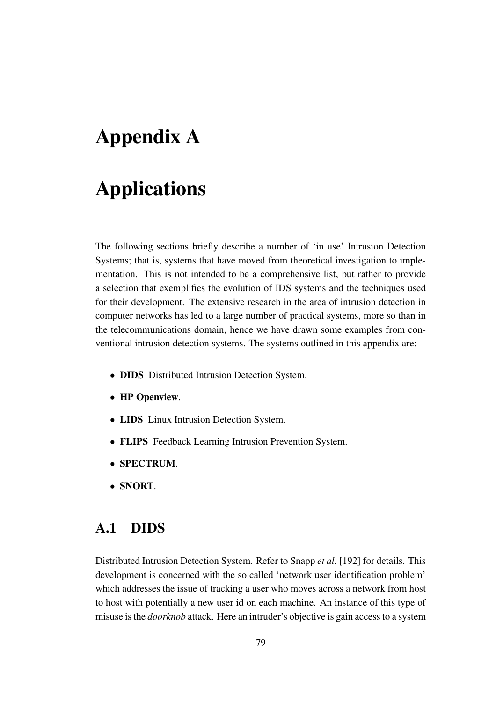# **Appendix A**

## **Applications**

The following sections briefly describe a number of 'in use' Intrusion Detection Systems; that is, systems that have moved from theoretical investigation to implementation. This is not intended to be a comprehensive list, but rather to provide a selection that exemplifies the evolution of IDS systems and the techniques used for their development. The extensive research in the area of intrusion detection in computer networks has led to a large number of practical systems, more so than in the telecommunications domain, hence we have drawn some examples from conventional intrusion detection systems. The systems outlined in this appendix are:

- **DIDS** Distributed Intrusion Detection System.
- **HP Openview**.
- **LIDS** Linux Intrusion Detection System.
- **FLIPS** Feedback Learning Intrusion Prevention System.
- **SPECTRUM**.
- **SNORT**.

#### **A.1 DIDS**

Distributed Intrusion Detection System. Refer to Snapp *et al.* [192] for details. This development is concerned with the so called 'network user identification problem' which addresses the issue of tracking a user who moves across a network from host to host with potentially a new user id on each machine. An instance of this type of misuse isthe *doorknob* attack. Here an intruder's objective is gain accessto a system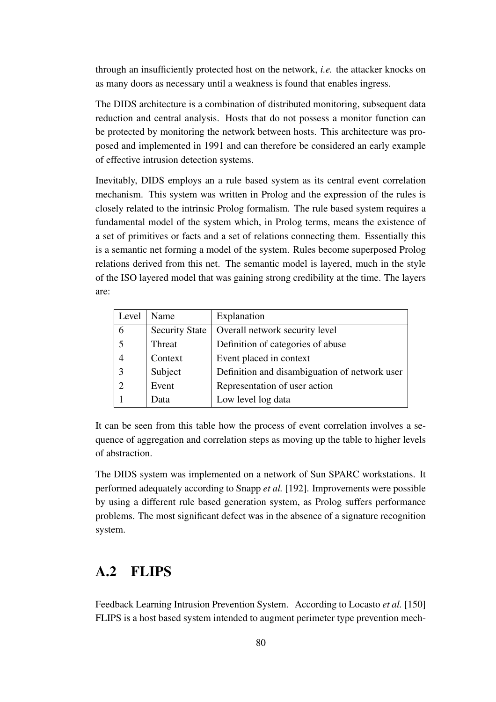through an insufficiently protected host on the network, *i.e.* the attacker knocks on as many doors as necessary until a weakness is found that enables ingress.

The DIDS architecture is a combination of distributed monitoring, subsequent data reduction and central analysis. Hosts that do not possess a monitor function can be protected by monitoring the network between hosts. This architecture was proposed and implemented in 1991 and can therefore be considered an early example of effective intrusion detection systems.

Inevitably, DIDS employs an a rule based system as its central event correlation mechanism. This system was written in Prolog and the expression of the rules is closely related to the intrinsic Prolog formalism. The rule based system requires a fundamental model of the system which, in Prolog terms, means the existence of a set of primitives or facts and a set of relations connecting them. Essentially this is a semantic net forming a model of the system. Rules become superposed Prolog relations derived from this net. The semantic model is layered, much in the style of the ISO layered model that was gaining strong credibility at the time. The layers are:

| Level          | Name                  | Explanation                                   |
|----------------|-----------------------|-----------------------------------------------|
| 6              | <b>Security State</b> | Overall network security level                |
| 5              | Threat                | Definition of categories of abuse             |
| $\overline{4}$ | Context               | Event placed in context                       |
| 3              | Subject               | Definition and disambiguation of network user |
| $\overline{2}$ | Event                 | Representation of user action                 |
|                | Data                  | Low level log data                            |

It can be seen from this table how the process of event correlation involves a sequence of aggregation and correlation steps as moving up the table to higher levels of abstraction.

The DIDS system was implemented on a network of Sun SPARC workstations. It performed adequately according to Snapp *et al.* [192]. Improvements were possible by using a different rule based generation system, as Prolog suffers performance problems. The most significant defect was in the absence of a signature recognition system.

#### **A.2 FLIPS**

Feedback Learning Intrusion Prevention System. According to Locasto *et al.* [150] FLIPS is a host based system intended to augment perimeter type prevention mech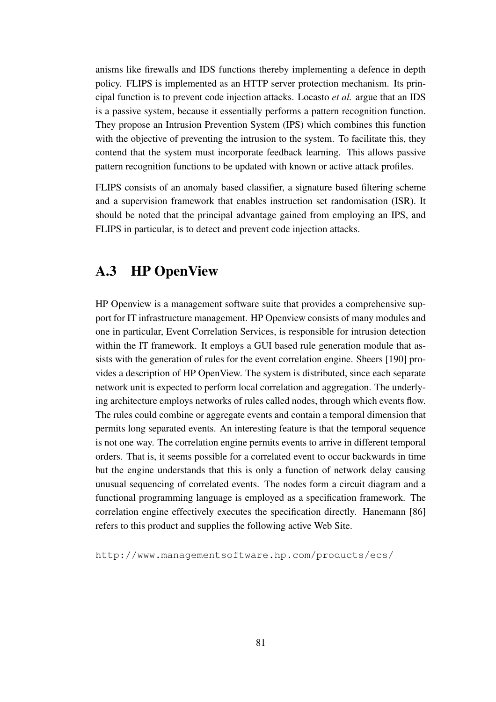anisms like firewalls and IDS functions thereby implementing a defence in depth policy. FLIPS is implemented as an HTTP server protection mechanism. Its principal function is to prevent code injection attacks. Locasto *et al.* argue that an IDS is a passive system, because it essentially performs a pattern recognition function. They propose an Intrusion Prevention System (IPS) which combines this function with the objective of preventing the intrusion to the system. To facilitate this, they contend that the system must incorporate feedback learning. This allows passive pattern recognition functions to be updated with known or active attack profiles.

FLIPS consists of an anomaly based classifier, a signature based filtering scheme and a supervision framework that enables instruction set randomisation (ISR). It should be noted that the principal advantage gained from employing an IPS, and FLIPS in particular, is to detect and prevent code injection attacks.

#### **A.3 HP OpenView**

HP Openview is a management software suite that provides a comprehensive support for IT infrastructure management. HP Openview consists of many modules and one in particular, Event Correlation Services, is responsible for intrusion detection within the IT framework. It employs a GUI based rule generation module that assists with the generation of rules for the event correlation engine. Sheers [190] provides a description of HP OpenView. The system is distributed, since each separate network unit is expected to perform local correlation and aggregation. The underlying architecture employs networks of rules called nodes, through which events flow. The rules could combine or aggregate events and contain a temporal dimension that permits long separated events. An interesting feature is that the temporal sequence is not one way. The correlation engine permits events to arrive in different temporal orders. That is, it seems possible for a correlated event to occur backwards in time but the engine understands that this is only a function of network delay causing unusual sequencing of correlated events. The nodes form a circuit diagram and a functional programming language is employed as a specification framework. The correlation engine effectively executes the specification directly. Hanemann [86] refers to this product and supplies the following active Web Site.

http://www.managementsoftware.hp.com/products/ecs/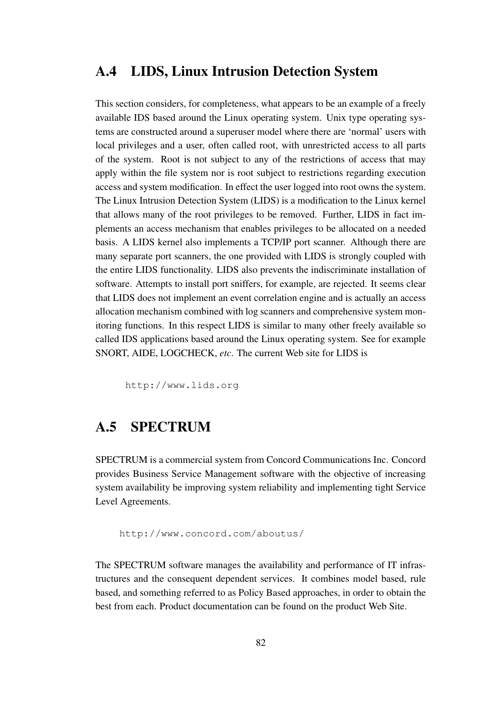#### **A.4 LIDS, Linux Intrusion Detection System**

This section considers, for completeness, what appears to be an example of a freely available IDS based around the Linux operating system. Unix type operating systems are constructed around a superuser model where there are 'normal' users with local privileges and a user, often called root, with unrestricted access to all parts of the system. Root is not subject to any of the restrictions of access that may apply within the file system nor is root subject to restrictions regarding execution access and system modification. In effect the user logged into root owns the system. The Linux Intrusion Detection System (LIDS) is a modification to the Linux kernel that allows many of the root privileges to be removed. Further, LIDS in fact implements an access mechanism that enables privileges to be allocated on a needed basis. A LIDS kernel also implements a TCP/IP port scanner. Although there are many separate port scanners, the one provided with LIDS is strongly coupled with the entire LIDS functionality. LIDS also prevents the indiscriminate installation of software. Attempts to install port sniffers, for example, are rejected. It seems clear that LIDS does not implement an event correlation engine and is actually an access allocation mechanism combined with log scanners and comprehensive system monitoring functions. In this respect LIDS is similar to many other freely available so called IDS applications based around the Linux operating system. See for example SNORT, AIDE, LOGCHECK, *etc*. The current Web site for LIDS is

http://www.lids.org

#### **A.5 SPECTRUM**

SPECTRUM is a commercial system from Concord Communications Inc. Concord provides Business Service Management software with the objective of increasing system availability be improving system reliability and implementing tight Service Level Agreements.

http://www.concord.com/aboutus/

The SPECTRUM software manages the availability and performance of IT infrastructures and the consequent dependent services. It combines model based, rule based, and something referred to as Policy Based approaches, in order to obtain the best from each. Product documentation can be found on the product Web Site.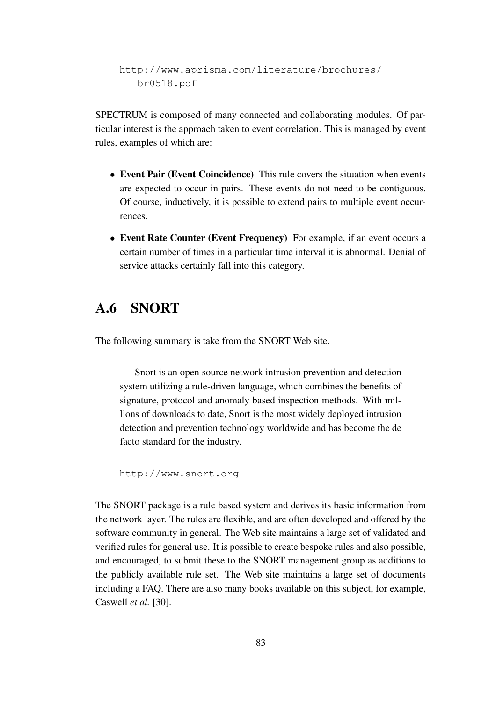http://www.aprisma.com/literature/brochures/ br0518.pdf

SPECTRUM is composed of many connected and collaborating modules. Of particular interest is the approach taken to event correlation. This is managed by event rules, examples of which are:

- **Event Pair (Event Coincidence)** This rule covers the situation when events are expected to occur in pairs. These events do not need to be contiguous. Of course, inductively, it is possible to extend pairs to multiple event occurrences.
- **Event Rate Counter (Event Frequency)** For example, if an event occurs a certain number of times in a particular time interval it is abnormal. Denial of service attacks certainly fall into this category.

#### **A.6 SNORT**

The following summary is take from the SNORT Web site.

Snort is an open source network intrusion prevention and detection system utilizing a rule-driven language, which combines the benefits of signature, protocol and anomaly based inspection methods. With millions of downloads to date, Snort is the most widely deployed intrusion detection and prevention technology worldwide and has become the de facto standard for the industry.

```
http://www.snort.org
```
The SNORT package is a rule based system and derives its basic information from the network layer. The rules are flexible, and are often developed and offered by the software community in general. The Web site maintains a large set of validated and verified rules for general use. It is possible to create bespoke rules and also possible, and encouraged, to submit these to the SNORT management group as additions to the publicly available rule set. The Web site maintains a large set of documents including a FAQ. There are also many books available on this subject, for example, Caswell *et al.* [30].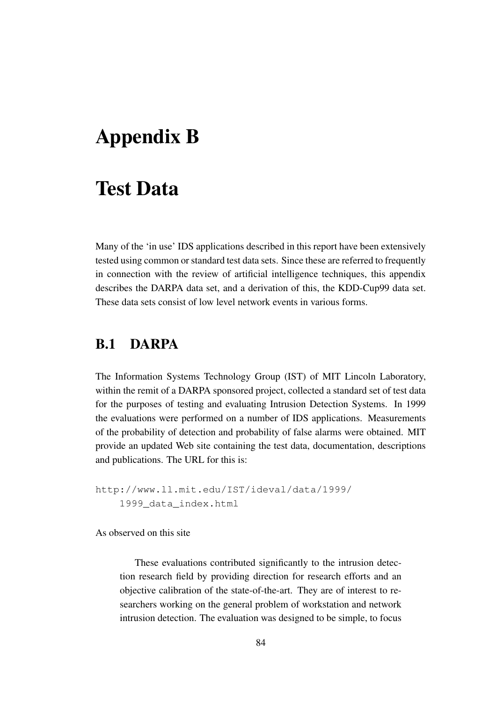## **Appendix B**

### **Test Data**

Many of the 'in use' IDS applications described in this report have been extensively tested using common or standard test data sets. Since these are referred to frequently in connection with the review of artificial intelligence techniques, this appendix describes the DARPA data set, and a derivation of this, the KDD-Cup99 data set. These data sets consist of low level network events in various forms.

#### **B.1 DARPA**

The Information Systems Technology Group (IST) of MIT Lincoln Laboratory, within the remit of a DARPA sponsored project, collected a standard set of test data for the purposes of testing and evaluating Intrusion Detection Systems. In 1999 the evaluations were performed on a number of IDS applications. Measurements of the probability of detection and probability of false alarms were obtained. MIT provide an updated Web site containing the test data, documentation, descriptions and publications. The URL for this is:

http://www.ll.mit.edu/IST/ideval/data/1999/ 1999\_data\_index.html

As observed on this site

These evaluations contributed significantly to the intrusion detection research field by providing direction for research efforts and an objective calibration of the state-of-the-art. They are of interest to researchers working on the general problem of workstation and network intrusion detection. The evaluation was designed to be simple, to focus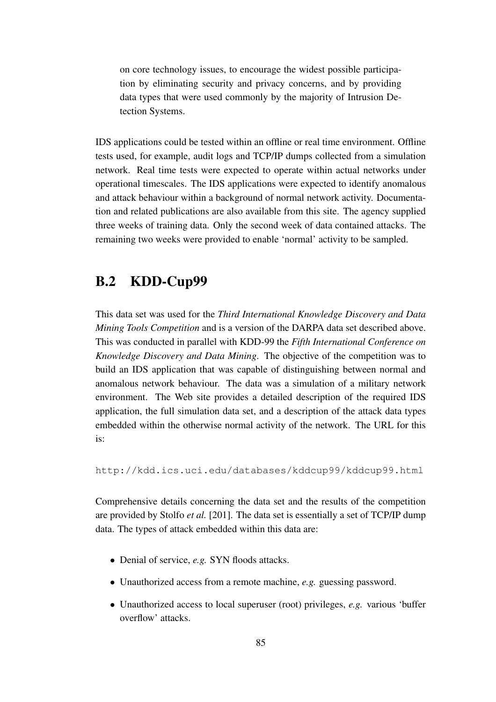on core technology issues, to encourage the widest possible participation by eliminating security and privacy concerns, and by providing data types that were used commonly by the majority of Intrusion Detection Systems.

IDS applications could be tested within an offline or real time environment. Offline tests used, for example, audit logs and TCP/IP dumps collected from a simulation network. Real time tests were expected to operate within actual networks under operational timescales. The IDS applications were expected to identify anomalous and attack behaviour within a background of normal network activity. Documentation and related publications are also available from this site. The agency supplied three weeks of training data. Only the second week of data contained attacks. The remaining two weeks were provided to enable 'normal' activity to be sampled.

#### **B.2 KDD-Cup99**

This data set was used for the *Third International Knowledge Discovery and Data Mining Tools Competition* and is a version of the DARPA data set described above. This was conducted in parallel with KDD-99 the *Fifth International Conference on Knowledge Discovery and Data Mining*. The objective of the competition was to build an IDS application that was capable of distinguishing between normal and anomalous network behaviour. The data was a simulation of a military network environment. The Web site provides a detailed description of the required IDS application, the full simulation data set, and a description of the attack data types embedded within the otherwise normal activity of the network. The URL for this is:

http://kdd.ics.uci.edu/databases/kddcup99/kddcup99.html

Comprehensive details concerning the data set and the results of the competition are provided by Stolfo *et al.* [201]. The data set is essentially a set of TCP/IP dump data. The types of attack embedded within this data are:

- Denial of service, *e.g.* SYN floods attacks.
- Unauthorized access from a remote machine, *e.g.* guessing password.
- Unauthorized access to local superuser (root) privileges, *e.g.* various 'buffer overflow' attacks.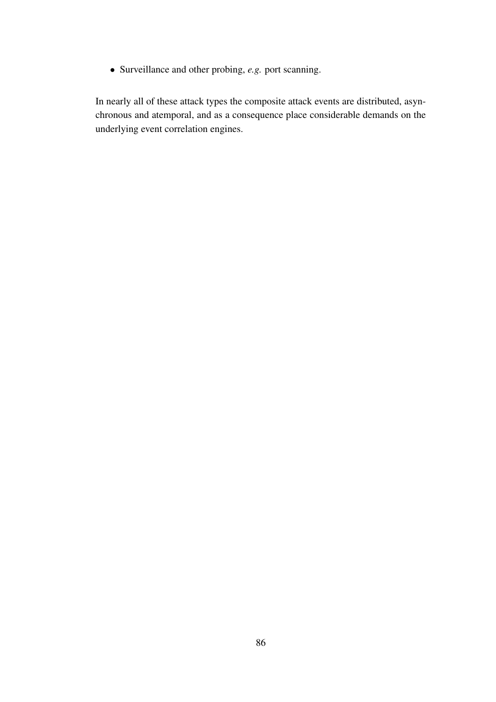• Surveillance and other probing, *e.g.* port scanning.

In nearly all of these attack types the composite attack events are distributed, asynchronous and atemporal, and as a consequence place considerable demands on the underlying event correlation engines.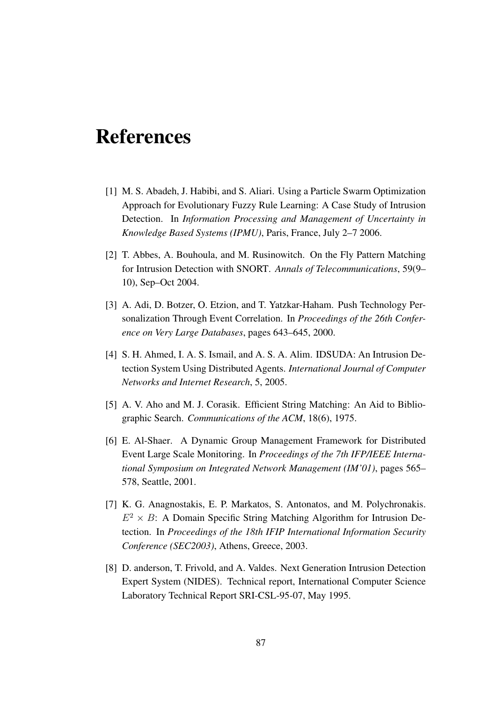# **References**

- [1] M. S. Abadeh, J. Habibi, and S. Aliari. Using a Particle Swarm Optimization Approach for Evolutionary Fuzzy Rule Learning: A Case Study of Intrusion Detection. In *Information Processing and Management of Uncertainty in Knowledge Based Systems (IPMU)*, Paris, France, July 2–7 2006.
- [2] T. Abbes, A. Bouhoula, and M. Rusinowitch. On the Fly Pattern Matching for Intrusion Detection with SNORT. *Annals of Telecommunications*, 59(9– 10), Sep–Oct 2004.
- [3] A. Adi, D. Botzer, O. Etzion, and T. Yatzkar-Haham. Push Technology Personalization Through Event Correlation. In *Proceedings of the 26th Conference on Very Large Databases*, pages 643–645, 2000.
- [4] S. H. Ahmed, I. A. S. Ismail, and A. S. A. Alim. IDSUDA: An Intrusion Detection System Using Distributed Agents. *International Journal of Computer Networks and Internet Research*, 5, 2005.
- [5] A. V. Aho and M. J. Corasik. Efficient String Matching: An Aid to Bibliographic Search. *Communications of the ACM*, 18(6), 1975.
- [6] E. Al-Shaer. A Dynamic Group Management Framework for Distributed Event Large Scale Monitoring. In *Proceedings of the 7th IFP/IEEE International Symposium on Integrated Network Management (IM'01)*, pages 565– 578, Seattle, 2001.
- [7] K. G. Anagnostakis, E. P. Markatos, S. Antonatos, and M. Polychronakis.  $E^2 \times B$ : A Domain Specific String Matching Algorithm for Intrusion Detection. In *Proceedings of the 18th IFIP International Information Security Conference (SEC2003)*, Athens, Greece, 2003.
- [8] D. anderson, T. Frivold, and A. Valdes. Next Generation Intrusion Detection Expert System (NIDES). Technical report, International Computer Science Laboratory Technical Report SRI-CSL-95-07, May 1995.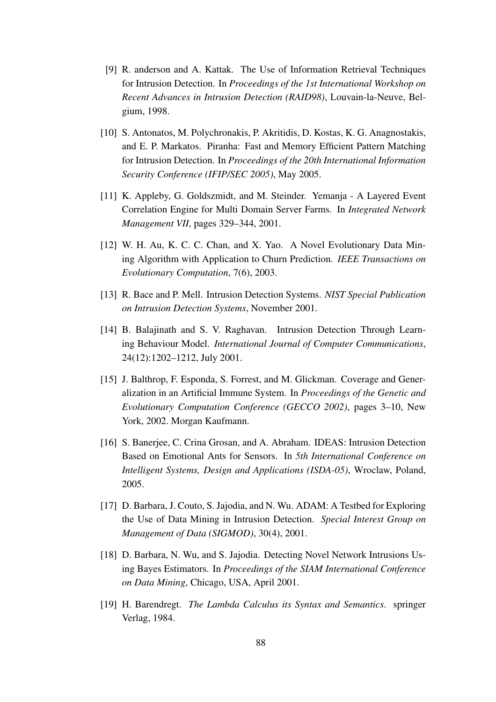- [9] R. anderson and A. Kattak. The Use of Information Retrieval Techniques for Intrusion Detection. In *Proceedings of the 1st International Workshop on Recent Advances in Intrusion Detection (RAID98)*, Louvain-la-Neuve, Belgium, 1998.
- [10] S. Antonatos, M. Polychronakis, P. Akritidis, D. Kostas, K. G. Anagnostakis, and E. P. Markatos. Piranha: Fast and Memory Efficient Pattern Matching for Intrusion Detection. In *Proceedings of the 20th International Information Security Conference (IFIP/SEC 2005)*, May 2005.
- [11] K. Appleby, G. Goldszmidt, and M. Steinder. Yemanja A Layered Event Correlation Engine for Multi Domain Server Farms. In *Integrated Network Management VII*, pages 329–344, 2001.
- [12] W. H. Au, K. C. C. Chan, and X. Yao. A Novel Evolutionary Data Mining Algorithm with Application to Churn Prediction. *IEEE Transactions on Evolutionary Computation*, 7(6), 2003.
- [13] R. Bace and P. Mell. Intrusion Detection Systems. *NIST Special Publication on Intrusion Detection Systems*, November 2001.
- [14] B. Balajinath and S. V. Raghavan. Intrusion Detection Through Learning Behaviour Model. *International Journal of Computer Communications*, 24(12):1202–1212, July 2001.
- [15] J. Balthrop, F. Esponda, S. Forrest, and M. Glickman. Coverage and Generalization in an Artificial Immune System. In *Proceedings of the Genetic and Evolutionary Computation Conference (GECCO 2002)*, pages 3–10, New York, 2002. Morgan Kaufmann.
- [16] S. Banerjee, C. Crina Grosan, and A. Abraham. IDEAS: Intrusion Detection Based on Emotional Ants for Sensors. In *5th International Conference on Intelligent Systems, Design and Applications (ISDA-05)*, Wroclaw, Poland, 2005.
- [17] D. Barbara, J. Couto, S. Jajodia, and N. Wu. ADAM: A Testbed for Exploring the Use of Data Mining in Intrusion Detection. *Special Interest Group on Management of Data (SIGMOD)*, 30(4), 2001.
- [18] D. Barbara, N. Wu, and S. Jajodia. Detecting Novel Network Intrusions Using Bayes Estimators. In *Proceedings of the SIAM International Conference on Data Mining*, Chicago, USA, April 2001.
- [19] H. Barendregt. *The Lambda Calculus its Syntax and Semantics*. springer Verlag, 1984.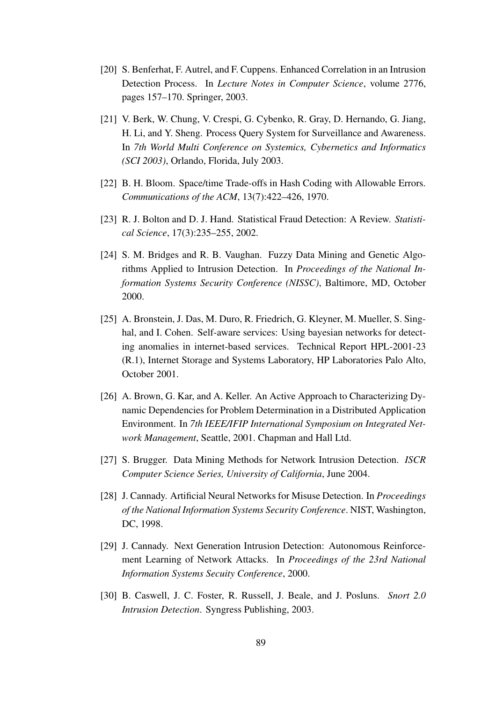- [20] S. Benferhat, F. Autrel, and F. Cuppens. Enhanced Correlation in an Intrusion Detection Process. In *Lecture Notes in Computer Science*, volume 2776, pages 157–170. Springer, 2003.
- [21] V. Berk, W. Chung, V. Crespi, G. Cybenko, R. Gray, D. Hernando, G. Jiang, H. Li, and Y. Sheng. Process Query System for Surveillance and Awareness. In *7th World Multi Conference on Systemics, Cybernetics and Informatics (SCI 2003)*, Orlando, Florida, July 2003.
- [22] B. H. Bloom. Space/time Trade-offs in Hash Coding with Allowable Errors. *Communications of the ACM*, 13(7):422–426, 1970.
- [23] R. J. Bolton and D. J. Hand. Statistical Fraud Detection: A Review. *Statistical Science*, 17(3):235–255, 2002.
- [24] S. M. Bridges and R. B. Vaughan. Fuzzy Data Mining and Genetic Algorithms Applied to Intrusion Detection. In *Proceedings of the National Information Systems Security Conference (NISSC)*, Baltimore, MD, October 2000.
- [25] A. Bronstein, J. Das, M. Duro, R. Friedrich, G. Kleyner, M. Mueller, S. Singhal, and I. Cohen. Self-aware services: Using bayesian networks for detecting anomalies in internet-based services. Technical Report HPL-2001-23 (R.1), Internet Storage and Systems Laboratory, HP Laboratories Palo Alto, October 2001.
- [26] A. Brown, G. Kar, and A. Keller. An Active Approach to Characterizing Dynamic Dependencies for Problem Determination in a Distributed Application Environment. In *7th IEEE/IFIP International Symposium on Integrated Network Management*, Seattle, 2001. Chapman and Hall Ltd.
- [27] S. Brugger. Data Mining Methods for Network Intrusion Detection. *ISCR Computer Science Series, University of California*, June 2004.
- [28] J. Cannady. Artificial Neural Networks for Misuse Detection. In *Proceedings of the National Information Systems Security Conference*. NIST, Washington, DC, 1998.
- [29] J. Cannady. Next Generation Intrusion Detection: Autonomous Reinforcement Learning of Network Attacks. In *Proceedings of the 23rd National Information Systems Secuity Conference*, 2000.
- [30] B. Caswell, J. C. Foster, R. Russell, J. Beale, and J. Posluns. *Snort 2.0 Intrusion Detection*. Syngress Publishing, 2003.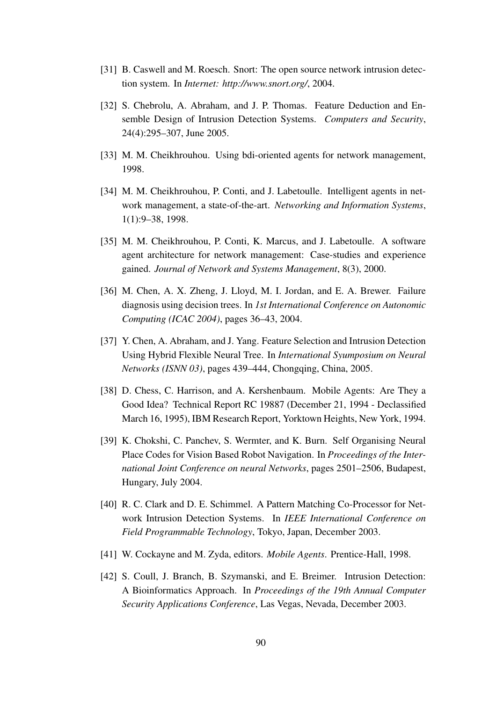- [31] B. Caswell and M. Roesch. Snort: The open source network intrusion detection system. In *Internet: http://www.snort.org/*, 2004.
- [32] S. Chebrolu, A. Abraham, and J. P. Thomas. Feature Deduction and Ensemble Design of Intrusion Detection Systems. *Computers and Security*, 24(4):295–307, June 2005.
- [33] M. M. Cheikhrouhou. Using bdi-oriented agents for network management, 1998.
- [34] M. M. Cheikhrouhou, P. Conti, and J. Labetoulle. Intelligent agents in network management, a state-of-the-art. *Networking and Information Systems*, 1(1):9–38, 1998.
- [35] M. M. Cheikhrouhou, P. Conti, K. Marcus, and J. Labetoulle. A software agent architecture for network management: Case-studies and experience gained. *Journal of Network and Systems Management*, 8(3), 2000.
- [36] M. Chen, A. X. Zheng, J. Lloyd, M. I. Jordan, and E. A. Brewer. Failure diagnosis using decision trees. In *1st International Conference on Autonomic Computing (ICAC 2004)*, pages 36–43, 2004.
- [37] Y. Chen, A. Abraham, and J. Yang. Feature Selection and Intrusion Detection Using Hybrid Flexible Neural Tree. In *International Syumposium on Neural Networks (ISNN 03)*, pages 439–444, Chongqing, China, 2005.
- [38] D. Chess, C. Harrison, and A. Kershenbaum. Mobile Agents: Are They a Good Idea? Technical Report RC 19887 (December 21, 1994 - Declassified March 16, 1995), IBM Research Report, Yorktown Heights, New York, 1994.
- [39] K. Chokshi, C. Panchev, S. Wermter, and K. Burn. Self Organising Neural Place Codes for Vision Based Robot Navigation. In *Proceedings of the International Joint Conference on neural Networks*, pages 2501–2506, Budapest, Hungary, July 2004.
- [40] R. C. Clark and D. E. Schimmel. A Pattern Matching Co-Processor for Network Intrusion Detection Systems. In *IEEE International Conference on Field Programmable Technology*, Tokyo, Japan, December 2003.
- [41] W. Cockayne and M. Zyda, editors. *Mobile Agents*. Prentice-Hall, 1998.
- [42] S. Coull, J. Branch, B. Szymanski, and E. Breimer. Intrusion Detection: A Bioinformatics Approach. In *Proceedings of the 19th Annual Computer Security Applications Conference*, Las Vegas, Nevada, December 2003.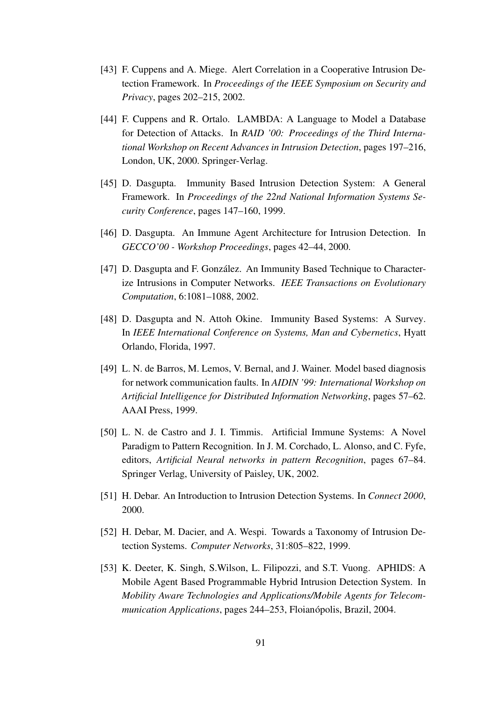- [43] F. Cuppens and A. Miege. Alert Correlation in a Cooperative Intrusion Detection Framework. In *Proceedings of the IEEE Symposium on Security and Privacy*, pages 202–215, 2002.
- [44] F. Cuppens and R. Ortalo. LAMBDA: A Language to Model a Database for Detection of Attacks. In *RAID '00: Proceedings of the Third International Workshop on Recent Advances in Intrusion Detection*, pages 197–216, London, UK, 2000. Springer-Verlag.
- [45] D. Dasgupta. Immunity Based Intrusion Detection System: A General Framework. In *Proceedings of the 22nd National Information Systems Security Conference*, pages 147–160, 1999.
- [46] D. Dasgupta. An Immune Agent Architecture for Intrusion Detection. In *GECCO'00 - Workshop Proceedings*, pages 42–44, 2000.
- [47] D. Dasgupta and F. González. An Immunity Based Technique to Characterize Intrusions in Computer Networks. *IEEE Transactions on Evolutionary Computation*, 6:1081–1088, 2002.
- [48] D. Dasgupta and N. Attoh Okine. Immunity Based Systems: A Survey. In *IEEE International Conference on Systems, Man and Cybernetics*, Hyatt Orlando, Florida, 1997.
- [49] L. N. de Barros, M. Lemos, V. Bernal, and J. Wainer. Model based diagnosis for network communication faults. In *AIDIN '99: International Workshop on Artificial Intelligence for Distributed Information Networking*, pages 57–62. AAAI Press, 1999.
- [50] L. N. de Castro and J. I. Timmis. Artificial Immune Systems: A Novel Paradigm to Pattern Recognition. In J. M. Corchado, L. Alonso, and C. Fyfe, editors, *Artificial Neural networks in pattern Recognition*, pages 67–84. Springer Verlag, University of Paisley, UK, 2002.
- [51] H. Debar. An Introduction to Intrusion Detection Systems. In *Connect 2000*, 2000.
- [52] H. Debar, M. Dacier, and A. Wespi. Towards a Taxonomy of Intrusion Detection Systems. *Computer Networks*, 31:805–822, 1999.
- [53] K. Deeter, K. Singh, S.Wilson, L. Filipozzi, and S.T. Vuong. APHIDS: A Mobile Agent Based Programmable Hybrid Intrusion Detection System. In *Mobility Aware Technologies and Applications/Mobile Agents for Telecommunication Applications*, pages 244–253, Floianópolis, Brazil, 2004.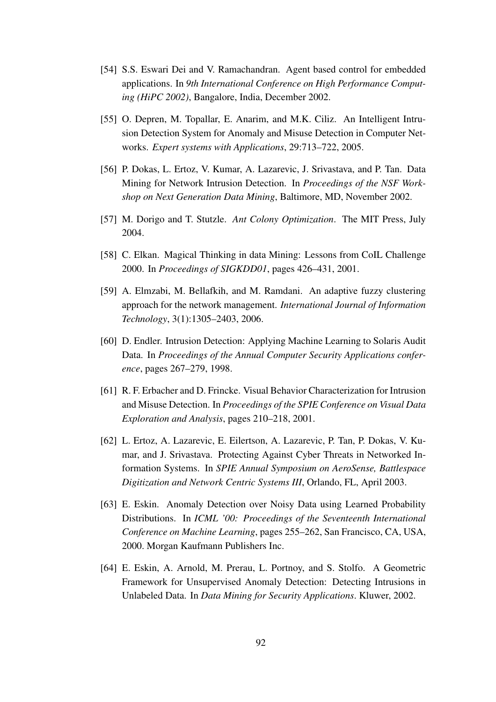- [54] S.S. Eswari Dei and V. Ramachandran. Agent based control for embedded applications. In *9th International Conference on High Performance Computing (HiPC 2002)*, Bangalore, India, December 2002.
- [55] O. Depren, M. Topallar, E. Anarim, and M.K. Ciliz. An Intelligent Intrusion Detection System for Anomaly and Misuse Detection in Computer Networks. *Expert systems with Applications*, 29:713–722, 2005.
- [56] P. Dokas, L. Ertoz, V. Kumar, A. Lazarevic, J. Srivastava, and P. Tan. Data Mining for Network Intrusion Detection. In *Proceedings of the NSF Workshop on Next Generation Data Mining*, Baltimore, MD, November 2002.
- [57] M. Dorigo and T. Stutzle. *Ant Colony Optimization*. The MIT Press, July 2004.
- [58] C. Elkan. Magical Thinking in data Mining: Lessons from CoIL Challenge 2000. In *Proceedings of SIGKDD01*, pages 426–431, 2001.
- [59] A. Elmzabi, M. Bellafkih, and M. Ramdani. An adaptive fuzzy clustering approach for the network management. *International Journal of Information Technology*, 3(1):1305–2403, 2006.
- [60] D. Endler. Intrusion Detection: Applying Machine Learning to Solaris Audit Data. In *Proceedings of the Annual Computer Security Applications conference*, pages 267–279, 1998.
- [61] R. F. Erbacher and D. Frincke. Visual Behavior Characterization for Intrusion and Misuse Detection. In *Proceedings of the SPIE Conference on Visual Data Exploration and Analysis*, pages 210–218, 2001.
- [62] L. Ertoz, A. Lazarevic, E. Eilertson, A. Lazarevic, P. Tan, P. Dokas, V. Kumar, and J. Srivastava. Protecting Against Cyber Threats in Networked Information Systems. In *SPIE Annual Symposium on AeroSense, Battlespace Digitization and Network Centric Systems III*, Orlando, FL, April 2003.
- [63] E. Eskin. Anomaly Detection over Noisy Data using Learned Probability Distributions. In *ICML '00: Proceedings of the Seventeenth International Conference on Machine Learning*, pages 255–262, San Francisco, CA, USA, 2000. Morgan Kaufmann Publishers Inc.
- [64] E. Eskin, A. Arnold, M. Prerau, L. Portnoy, and S. Stolfo. A Geometric Framework for Unsupervised Anomaly Detection: Detecting Intrusions in Unlabeled Data. In *Data Mining for Security Applications*. Kluwer, 2002.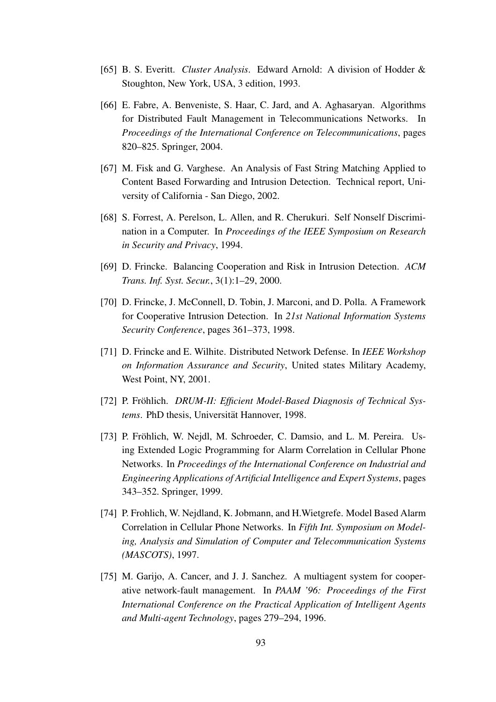- [65] B. S. Everitt. *Cluster Analysis*. Edward Arnold: A division of Hodder & Stoughton, New York, USA, 3 edition, 1993.
- [66] E. Fabre, A. Benveniste, S. Haar, C. Jard, and A. Aghasaryan. Algorithms for Distributed Fault Management in Telecommunications Networks. In *Proceedings of the International Conference on Telecommunications*, pages 820–825. Springer, 2004.
- [67] M. Fisk and G. Varghese. An Analysis of Fast String Matching Applied to Content Based Forwarding and Intrusion Detection. Technical report, University of California - San Diego, 2002.
- [68] S. Forrest, A. Perelson, L. Allen, and R. Cherukuri. Self Nonself Discrimination in a Computer. In *Proceedings of the IEEE Symposium on Research in Security and Privacy*, 1994.
- [69] D. Frincke. Balancing Cooperation and Risk in Intrusion Detection. *ACM Trans. Inf. Syst. Secur.*, 3(1):1–29, 2000.
- [70] D. Frincke, J. McConnell, D. Tobin, J. Marconi, and D. Polla. A Framework for Cooperative Intrusion Detection. In *21st National Information Systems Security Conference*, pages 361–373, 1998.
- [71] D. Frincke and E. Wilhite. Distributed Network Defense. In *IEEE Workshop on Information Assurance and Security*, United states Military Academy, West Point, NY, 2001.
- [72] P. Frohlich. ¨ *DRUM-II: Efficient Model-Based Diagnosis of Technical Sys*tems. PhD thesis, Universität Hannover, 1998.
- [73] P. Fröhlich, W. Nejdl, M. Schroeder, C. Damsio, and L. M. Pereira. Using Extended Logic Programming for Alarm Correlation in Cellular Phone Networks. In *Proceedings of the International Conference on Industrial and Engineering Applications of Artificial Intelligence and Expert Systems*, pages 343–352. Springer, 1999.
- [74] P. Frohlich, W. Nejdland, K. Jobmann, and H.Wietgrefe. Model Based Alarm Correlation in Cellular Phone Networks. In *Fifth Int. Symposium on Modeling, Analysis and Simulation of Computer and Telecommunication Systems (MASCOTS)*, 1997.
- [75] M. Garijo, A. Cancer, and J. J. Sanchez. A multiagent system for cooperative network-fault management. In *PAAM '96: Proceedings of the First International Conference on the Practical Application of Intelligent Agents and Multi-agent Technology*, pages 279–294, 1996.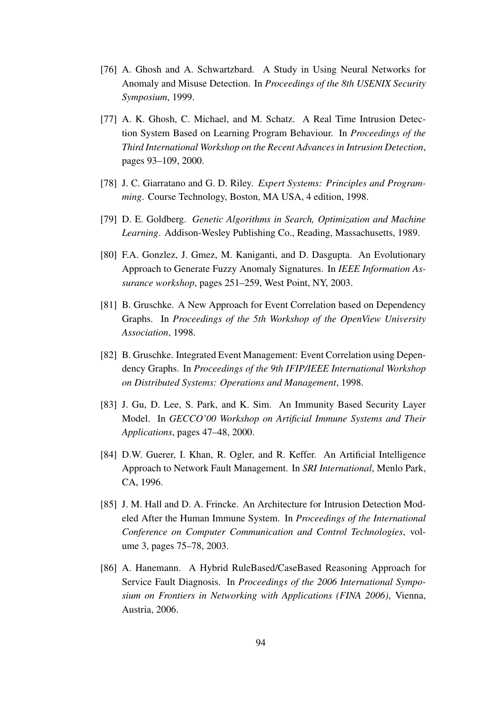- [76] A. Ghosh and A. Schwartzbard. A Study in Using Neural Networks for Anomaly and Misuse Detection. In *Proceedings of the 8th USENIX Security Symposium*, 1999.
- [77] A. K. Ghosh, C. Michael, and M. Schatz. A Real Time Intrusion Detection System Based on Learning Program Behaviour. In *Proceedings of the Third International Workshop on the Recent Advancesin Intrusion Detection*, pages 93–109, 2000.
- [78] J. C. Giarratano and G. D. Riley. *Expert Systems: Principles and Programming*. Course Technology, Boston, MA USA, 4 edition, 1998.
- [79] D. E. Goldberg. *Genetic Algorithms in Search, Optimization and Machine Learning*. Addison-Wesley Publishing Co., Reading, Massachusetts, 1989.
- [80] F.A. Gonzlez, J. Gmez, M. Kaniganti, and D. Dasgupta. An Evolutionary Approach to Generate Fuzzy Anomaly Signatures. In *IEEE Information Assurance workshop*, pages 251–259, West Point, NY, 2003.
- [81] B. Gruschke. A New Approach for Event Correlation based on Dependency Graphs. In *Proceedings of the 5th Workshop of the OpenView University Association*, 1998.
- [82] B. Gruschke. Integrated Event Management: Event Correlation using Dependency Graphs. In *Proceedings of the 9th IFIP/IEEE International Workshop on Distributed Systems: Operations and Management*, 1998.
- [83] J. Gu, D. Lee, S. Park, and K. Sim. An Immunity Based Security Layer Model. In *GECCO'00 Workshop on Artificial Immune Systems and Their Applications*, pages 47–48, 2000.
- [84] D.W. Guerer, I. Khan, R. Ogler, and R. Keffer. An Artificial Intelligence Approach to Network Fault Management. In *SRI International*, Menlo Park, CA, 1996.
- [85] J. M. Hall and D. A. Frincke. An Architecture for Intrusion Detection Modeled After the Human Immune System. In *Proceedings of the International Conference on Computer Communication and Control Technologies*, volume 3, pages 75–78, 2003.
- [86] A. Hanemann. A Hybrid RuleBased/CaseBased Reasoning Approach for Service Fault Diagnosis. In *Proceedings of the 2006 International Symposium on Frontiers in Networking with Applications (FINA 2006)*, Vienna, Austria, 2006.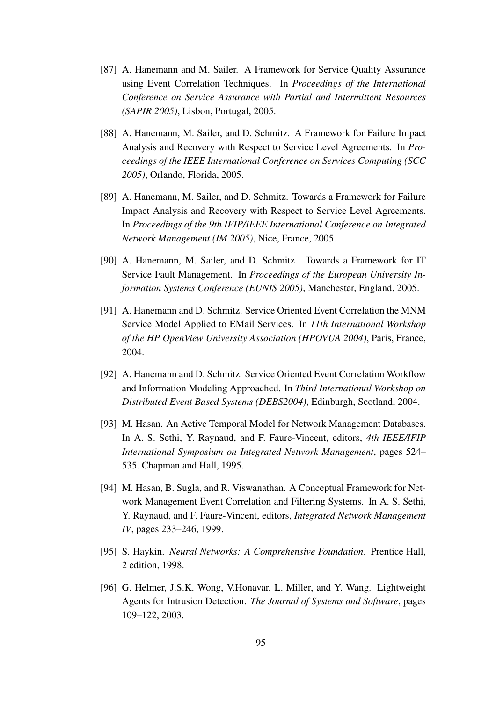- [87] A. Hanemann and M. Sailer. A Framework for Service Quality Assurance using Event Correlation Techniques. In *Proceedings of the International Conference on Service Assurance with Partial and Intermittent Resources (SAPIR 2005)*, Lisbon, Portugal, 2005.
- [88] A. Hanemann, M. Sailer, and D. Schmitz. A Framework for Failure Impact Analysis and Recovery with Respect to Service Level Agreements. In *Proceedings of the IEEE International Conference on Services Computing (SCC 2005)*, Orlando, Florida, 2005.
- [89] A. Hanemann, M. Sailer, and D. Schmitz. Towards a Framework for Failure Impact Analysis and Recovery with Respect to Service Level Agreements. In *Proceedings of the 9th IFIP/IEEE International Conference on Integrated Network Management (IM 2005)*, Nice, France, 2005.
- [90] A. Hanemann, M. Sailer, and D. Schmitz. Towards a Framework for IT Service Fault Management. In *Proceedings of the European University Information Systems Conference (EUNIS 2005)*, Manchester, England, 2005.
- [91] A. Hanemann and D. Schmitz. Service Oriented Event Correlation the MNM Service Model Applied to EMail Services. In *11th International Workshop of the HP OpenView University Association (HPOVUA 2004)*, Paris, France, 2004.
- [92] A. Hanemann and D. Schmitz. Service Oriented Event Correlation Workflow and Information Modeling Approached. In *Third International Workshop on Distributed Event Based Systems (DEBS2004)*, Edinburgh, Scotland, 2004.
- [93] M. Hasan. An Active Temporal Model for Network Management Databases. In A. S. Sethi, Y. Raynaud, and F. Faure-Vincent, editors, *4th IEEE/IFIP International Symposium on Integrated Network Management*, pages 524– 535. Chapman and Hall, 1995.
- [94] M. Hasan, B. Sugla, and R. Viswanathan. A Conceptual Framework for Network Management Event Correlation and Filtering Systems. In A. S. Sethi, Y. Raynaud, and F. Faure-Vincent, editors, *Integrated Network Management IV*, pages 233–246, 1999.
- [95] S. Haykin. *Neural Networks: A Comprehensive Foundation*. Prentice Hall, 2 edition, 1998.
- [96] G. Helmer, J.S.K. Wong, V.Honavar, L. Miller, and Y. Wang. Lightweight Agents for Intrusion Detection. *The Journal of Systems and Software*, pages 109–122, 2003.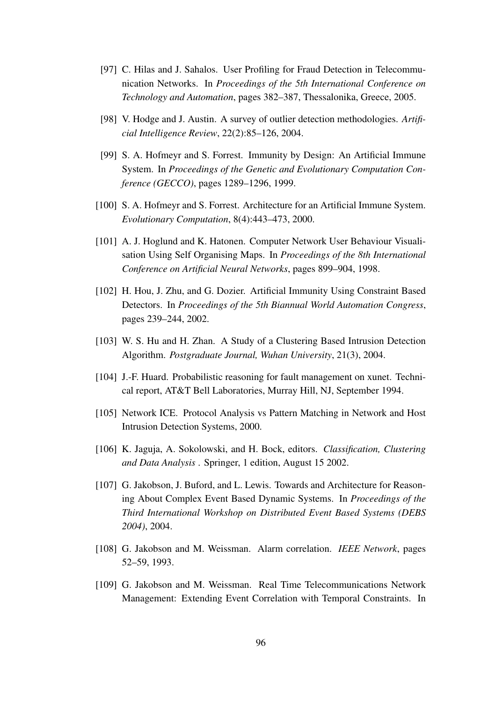- [97] C. Hilas and J. Sahalos. User Profiling for Fraud Detection in Telecommunication Networks. In *Proceedings of the 5th International Conference on Technology and Automation*, pages 382–387, Thessalonika, Greece, 2005.
- [98] V. Hodge and J. Austin. A survey of outlier detection methodologies. *Artificial Intelligence Review*, 22(2):85–126, 2004.
- [99] S. A. Hofmeyr and S. Forrest. Immunity by Design: An Artificial Immune System. In *Proceedings of the Genetic and Evolutionary Computation Conference (GECCO)*, pages 1289–1296, 1999.
- [100] S. A. Hofmeyr and S. Forrest. Architecture for an Artificial Immune System. *Evolutionary Computation*, 8(4):443–473, 2000.
- [101] A. J. Hoglund and K. Hatonen. Computer Network User Behaviour Visualisation Using Self Organising Maps. In *Proceedings of the 8th International Conference on Artificial Neural Networks*, pages 899–904, 1998.
- [102] H. Hou, J. Zhu, and G. Dozier. Artificial Immunity Using Constraint Based Detectors. In *Proceedings of the 5th Biannual World Automation Congress*, pages 239–244, 2002.
- [103] W. S. Hu and H. Zhan. A Study of a Clustering Based Intrusion Detection Algorithm. *Postgraduate Journal, Wuhan University*, 21(3), 2004.
- [104] J.-F. Huard. Probabilistic reasoning for fault management on xunet. Technical report, AT&T Bell Laboratories, Murray Hill, NJ, September 1994.
- [105] Network ICE. Protocol Analysis vs Pattern Matching in Network and Host Intrusion Detection Systems, 2000.
- [106] K. Jaguja, A. Sokolowski, and H. Bock, editors. *Classification, Clustering and Data Analysis* . Springer, 1 edition, August 15 2002.
- [107] G. Jakobson, J. Buford, and L. Lewis. Towards and Architecture for Reasoning About Complex Event Based Dynamic Systems. In *Proceedings of the Third International Workshop on Distributed Event Based Systems (DEBS 2004)*, 2004.
- [108] G. Jakobson and M. Weissman. Alarm correlation. *IEEE Network*, pages 52–59, 1993.
- [109] G. Jakobson and M. Weissman. Real Time Telecommunications Network Management: Extending Event Correlation with Temporal Constraints. In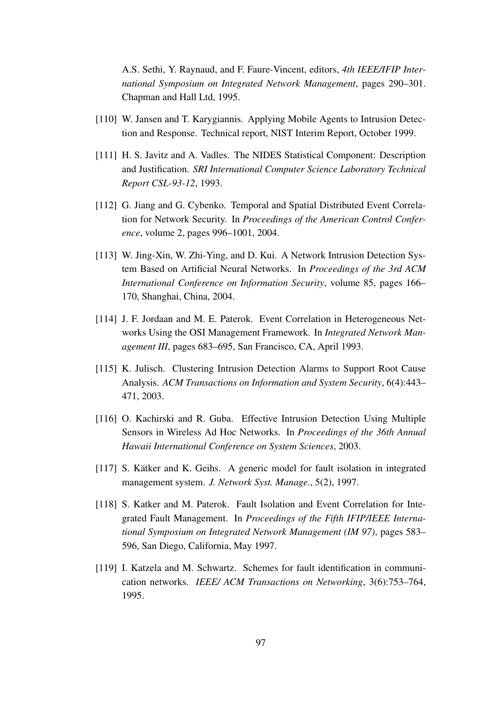A.S. Sethi, Y. Raynaud, and F. Faure-Vincent, editors, *4th IEEE/IFIP International Symposium on Integrated Network Management*, pages 290–301. Chapman and Hall Ltd, 1995.

- [110] W. Jansen and T. Karygiannis. Applying Mobile Agents to Intrusion Detection and Response. Technical report, NIST Interim Report, October 1999.
- [111] H. S. Javitz and A. Vadles. The NIDES Statistical Component: Description and Justification. *SRI International Computer Science Laboratory Technical Report CSL-93-12*, 1993.
- [112] G. Jiang and G. Cybenko. Temporal and Spatial Distributed Event Correlation for Network Security. In *Proceedings of the American Control Conference*, volume 2, pages 996–1001, 2004.
- [113] W. Jing-Xin, W. Zhi-Ying, and D. Kui. A Network Intrusion Detection System Based on Artificial Neural Networks. In *Proceedings of the 3rd ACM International Conference on Information Security*, volume 85, pages 166– 170, Shanghai, China, 2004.
- [114] J. F. Jordaan and M. E. Paterok. Event Correlation in Heterogeneous Networks Using the OSI Management Framework. In *Integrated Network Management III*, pages 683–695, San Francisco, CA, April 1993.
- [115] K. Julisch. Clustering Intrusion Detection Alarms to Support Root Cause Analysis. *ACM Transactions on Information and System Security*, 6(4):443– 471, 2003.
- [116] O. Kachirski and R. Guba. Effective Intrusion Detection Using Multiple Sensors in Wireless Ad Hoc Networks. In *Proceedings of the 36th Annual Hawaii International Conference on System Sciences*, 2003.
- $[117]$  S. Kätker and K. Geihs. A generic model for fault isolation in integrated management system. *J. Network Syst. Manage.*, 5(2), 1997.
- [118] S. Katker and M. Paterok. Fault Isolation and Event Correlation for Integrated Fault Management. In *Proceedings of the Fifth IFIP/IEEE International Symposium on Integrated Network Management (IM 97)*, pages 583– 596, San Diego, California, May 1997.
- [119] I. Katzela and M. Schwartz. Schemes for fault identification in communication networks. *IEEE/ ACM Transactions on Networking*, 3(6):753–764, 1995.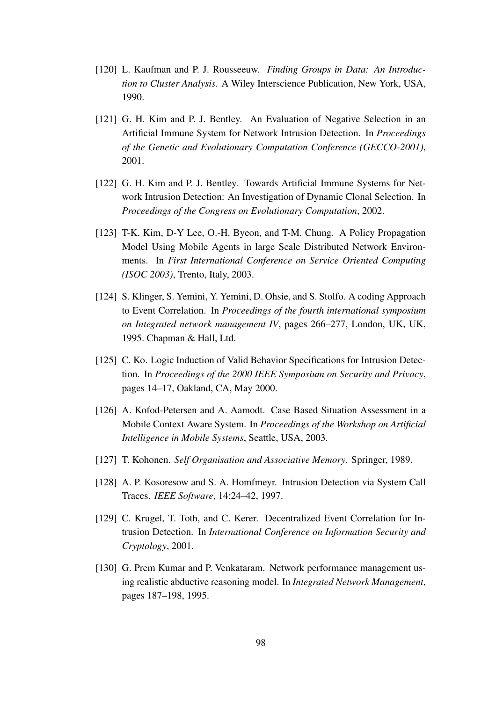- [120] L. Kaufman and P. J. Rousseeuw. *Finding Groups in Data: An Introduction to Cluster Analysis*. A Wiley Interscience Publication, New York, USA, 1990.
- [121] G. H. Kim and P. J. Bentley. An Evaluation of Negative Selection in an Artificial Immune System for Network Intrusion Detection. In *Proceedings of the Genetic and Evolutionary Computation Conference (GECCO-2001)*, 2001.
- [122] G. H. Kim and P. J. Bentley. Towards Artificial Immune Systems for Network Intrusion Detection: An Investigation of Dynamic Clonal Selection. In *Proceedings of the Congress on Evolutionary Computation*, 2002.
- [123] T-K. Kim, D-Y Lee, O.-H. Byeon, and T-M. Chung. A Policy Propagation Model Using Mobile Agents in large Scale Distributed Network Environments. In *First International Conference on Service Oriented Computing (ISOC 2003)*, Trento, Italy, 2003.
- [124] S. Klinger, S. Yemini, Y. Yemini, D. Ohsie, and S. Stolfo. A coding Approach to Event Correlation. In *Proceedings of the fourth international symposium on Integrated network management IV*, pages 266–277, London, UK, UK, 1995. Chapman & Hall, Ltd.
- [125] C. Ko. Logic Induction of Valid Behavior Specifications for Intrusion Detection. In *Proceedings of the 2000 IEEE Symposium on Security and Privacy*, pages 14–17, Oakland, CA, May 2000.
- [126] A. Kofod-Petersen and A. Aamodt. Case Based Situation Assessment in a Mobile Context Aware System. In *Proceedings of the Workshop on Artificial Intelligence in Mobile Systems*, Seattle, USA, 2003.
- [127] T. Kohonen. *Self Organisation and Associative Memory*. Springer, 1989.
- [128] A. P. Kosoresow and S. A. Homfmeyr. Intrusion Detection via System Call Traces. *IEEE Software*, 14:24–42, 1997.
- [129] C. Krugel, T. Toth, and C. Kerer. Decentralized Event Correlation for Intrusion Detection. In *International Conference on Information Security and Cryptology*, 2001.
- [130] G. Prem Kumar and P. Venkataram. Network performance management using realistic abductive reasoning model. In *Integrated Network Management*, pages 187–198, 1995.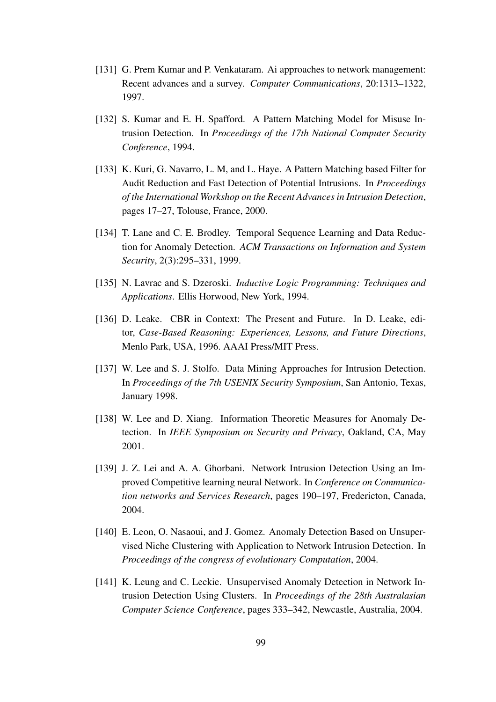- [131] G. Prem Kumar and P. Venkataram. Ai approaches to network management: Recent advances and a survey. *Computer Communications*, 20:1313–1322, 1997.
- [132] S. Kumar and E. H. Spafford. A Pattern Matching Model for Misuse Intrusion Detection. In *Proceedings of the 17th National Computer Security Conference*, 1994.
- [133] K. Kuri, G. Navarro, L. M, and L. Haye. A Pattern Matching based Filter for Audit Reduction and Fast Detection of Potential Intrusions. In *Proceedings of the International Workshop on the Recent Advancesin Intrusion Detection*, pages 17–27, Tolouse, France, 2000.
- [134] T. Lane and C. E. Brodley. Temporal Sequence Learning and Data Reduction for Anomaly Detection. *ACM Transactions on Information and System Security*, 2(3):295–331, 1999.
- [135] N. Lavrac and S. Dzeroski. *Inductive Logic Programming: Techniques and Applications*. Ellis Horwood, New York, 1994.
- [136] D. Leake. CBR in Context: The Present and Future. In D. Leake, editor, *Case-Based Reasoning: Experiences, Lessons, and Future Directions*, Menlo Park, USA, 1996. AAAI Press/MIT Press.
- [137] W. Lee and S. J. Stolfo. Data Mining Approaches for Intrusion Detection. In *Proceedings of the 7th USENIX Security Symposium*, San Antonio, Texas, January 1998.
- [138] W. Lee and D. Xiang. Information Theoretic Measures for Anomaly Detection. In *IEEE Symposium on Security and Privacy*, Oakland, CA, May 2001.
- [139] J. Z. Lei and A. A. Ghorbani. Network Intrusion Detection Using an Improved Competitive learning neural Network. In *Conference on Communication networks and Services Research*, pages 190–197, Fredericton, Canada, 2004.
- [140] E. Leon, O. Nasaoui, and J. Gomez. Anomaly Detection Based on Unsupervised Niche Clustering with Application to Network Intrusion Detection. In *Proceedings of the congress of evolutionary Computation*, 2004.
- [141] K. Leung and C. Leckie. Unsupervised Anomaly Detection in Network Intrusion Detection Using Clusters. In *Proceedings of the 28th Australasian Computer Science Conference*, pages 333–342, Newcastle, Australia, 2004.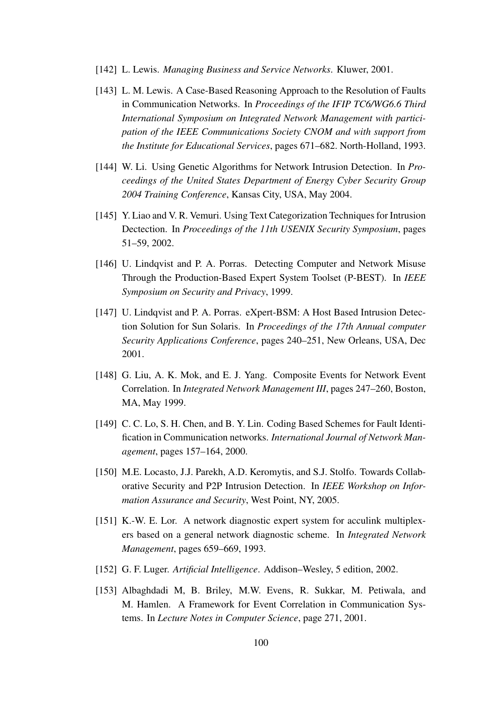- [142] L. Lewis. *Managing Business and Service Networks*. Kluwer, 2001.
- [143] L. M. Lewis. A Case-Based Reasoning Approach to the Resolution of Faults in Communication Networks. In *Proceedings of the IFIP TC6/WG6.6 Third International Symposium on Integrated Network Management with participation of the IEEE Communications Society CNOM and with support from the Institute for Educational Services*, pages 671–682. North-Holland, 1993.
- [144] W. Li. Using Genetic Algorithms for Network Intrusion Detection. In *Proceedings of the United States Department of Energy Cyber Security Group 2004 Training Conference*, Kansas City, USA, May 2004.
- [145] Y. Liao and V. R. Vemuri. Using Text Categorization Techniquesfor Intrusion Dectection. In *Proceedings of the 11th USENIX Security Symposium*, pages 51–59, 2002.
- [146] U. Lindqvist and P. A. Porras. Detecting Computer and Network Misuse Through the Production-Based Expert System Toolset (P-BEST). In *IEEE Symposium on Security and Privacy*, 1999.
- [147] U. Lindqvist and P. A. Porras. eXpert-BSM: A Host Based Intrusion Detection Solution for Sun Solaris. In *Proceedings of the 17th Annual computer Security Applications Conference*, pages 240–251, New Orleans, USA, Dec 2001.
- [148] G. Liu, A. K. Mok, and E. J. Yang. Composite Events for Network Event Correlation. In *Integrated Network Management III*, pages 247–260, Boston, MA, May 1999.
- [149] C. C. Lo, S. H. Chen, and B. Y. Lin. Coding Based Schemes for Fault Identification in Communication networks. *International Journal of Network Management*, pages 157–164, 2000.
- [150] M.E. Locasto, J.J. Parekh, A.D. Keromytis, and S.J. Stolfo. Towards Collaborative Security and P2P Intrusion Detection. In *IEEE Workshop on Information Assurance and Security*, West Point, NY, 2005.
- [151] K.-W. E. Lor. A network diagnostic expert system for acculink multiplexers based on a general network diagnostic scheme. In *Integrated Network Management*, pages 659–669, 1993.
- [152] G. F. Luger. *Artificial Intelligence*. Addison–Wesley, 5 edition, 2002.
- [153] Albaghdadi M, B. Briley, M.W. Evens, R. Sukkar, M. Petiwala, and M. Hamlen. A Framework for Event Correlation in Communication Systems. In *Lecture Notes in Computer Science*, page 271, 2001.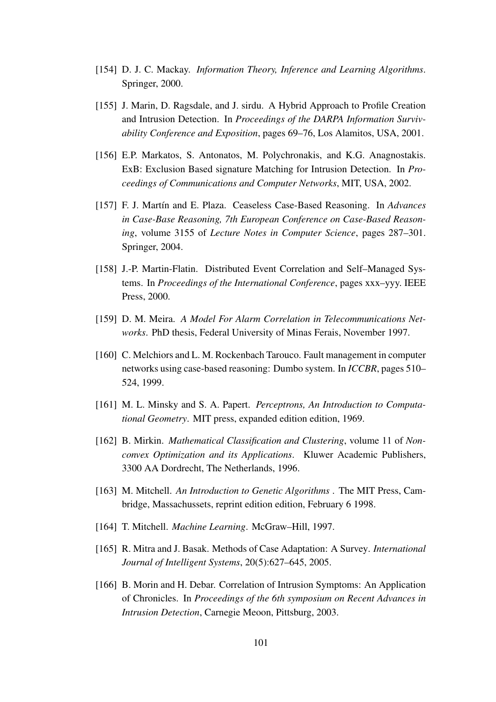- [154] D. J. C. Mackay. *Information Theory, Inference and Learning Algorithms*. Springer, 2000.
- [155] J. Marin, D. Ragsdale, and J. sirdu. A Hybrid Approach to Profile Creation and Intrusion Detection. In *Proceedings of the DARPA Information Survivability Conference and Exposition*, pages 69–76, Los Alamitos, USA, 2001.
- [156] E.P. Markatos, S. Antonatos, M. Polychronakis, and K.G. Anagnostakis. ExB: Exclusion Based signature Matching for Intrusion Detection. In *Proceedings of Communications and Computer Networks*, MIT, USA, 2002.
- [157] F. J. Martín and E. Plaza. Ceaseless Case-Based Reasoning. In *Advances in Case-Base Reasoning, 7th European Conference on Case-Based Reasoning*, volume 3155 of *Lecture Notes in Computer Science*, pages 287–301. Springer, 2004.
- [158] J.-P. Martin-Flatin. Distributed Event Correlation and Self–Managed Systems. In *Proceedings of the International Conference*, pages xxx–yyy. IEEE Press, 2000.
- [159] D. M. Meira. *A Model For Alarm Correlation in Telecommunications Networks*. PhD thesis, Federal University of Minas Ferais, November 1997.
- [160] C. Melchiors and L. M. Rockenbach Tarouco. Fault management in computer networks using case-based reasoning: Dumbo system. In *ICCBR*, pages 510– 524, 1999.
- [161] M. L. Minsky and S. A. Papert. *Perceptrons, An Introduction to Computational Geometry*. MIT press, expanded edition edition, 1969.
- [162] B. Mirkin. *Mathematical Classification and Clustering*, volume 11 of *Nonconvex Optimization and its Applications*. Kluwer Academic Publishers, 3300 AA Dordrecht, The Netherlands, 1996.
- [163] M. Mitchell. *An Introduction to Genetic Algorithms* . The MIT Press, Cambridge, Massachussets, reprint edition edition, February 6 1998.
- [164] T. Mitchell. *Machine Learning*. McGraw–Hill, 1997.
- [165] R. Mitra and J. Basak. Methods of Case Adaptation: A Survey. *International Journal of Intelligent Systems*, 20(5):627–645, 2005.
- [166] B. Morin and H. Debar. Correlation of Intrusion Symptoms: An Application of Chronicles. In *Proceedings of the 6th symposium on Recent Advances in Intrusion Detection*, Carnegie Meoon, Pittsburg, 2003.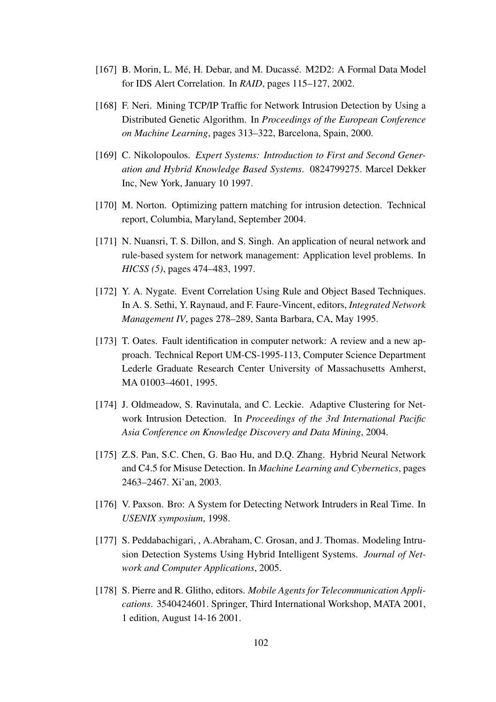- [167] B. Morin, L. Mé, H. Debar, and M. Ducassé. M2D2: A Formal Data Model for IDS Alert Correlation. In *RAID*, pages 115–127, 2002.
- [168] F. Neri. Mining TCP/IP Traffic for Network Intrusion Detection by Using a Distributed Genetic Algorithm. In *Proceedings of the European Conference on Machine Learning*, pages 313–322, Barcelona, Spain, 2000.
- [169] C. Nikolopoulos. *Expert Systems: Introduction to First and Second Generation and Hybrid Knowledge Based Systems*. 0824799275. Marcel Dekker Inc, New York, January 10 1997.
- [170] M. Norton. Optimizing pattern matching for intrusion detection. Technical report, Columbia, Maryland, September 2004.
- [171] N. Nuansri, T. S. Dillon, and S. Singh. An application of neural network and rule-based system for network management: Application level problems. In *HICSS (5)*, pages 474–483, 1997.
- [172] Y. A. Nygate. Event Correlation Using Rule and Object Based Techniques. In A. S. Sethi, Y. Raynaud, and F. Faure-Vincent, editors, *Integrated Network Management IV*, pages 278–289, Santa Barbara, CA, May 1995.
- [173] T. Oates. Fault identification in computer network: A review and a new approach. Technical Report UM-CS-1995-113, Computer Science Department Lederle Graduate Research Center University of Massachusetts Amherst, MA 01003–4601, 1995.
- [174] J. Oldmeadow, S. Ravinutala, and C. Leckie. Adaptive Clustering for Network Intrusion Detection. In *Proceedings of the 3rd International Pacific Asia Conference on Knowledge Discovery and Data Mining*, 2004.
- [175] Z.S. Pan, S.C. Chen, G. Bao Hu, and D.Q. Zhang. Hybrid Neural Network and C4.5 for Misuse Detection. In *Machine Learning and Cybernetics*, pages 2463–2467. Xi'an, 2003.
- [176] V. Paxson. Bro: A System for Detecting Network Intruders in Real Time. In *USENIX symposium*, 1998.
- [177] S. Peddabachigari, , A.Abraham, C. Grosan, and J. Thomas. Modeling Intrusion Detection Systems Using Hybrid Intelligent Systems. *Journal of Network and Computer Applications*, 2005.
- [178] S. Pierre and R. Glitho, editors. *Mobile Agents for Telecommunication Applications*. 3540424601. Springer, Third International Workshop, MATA 2001, 1 edition, August 14-16 2001.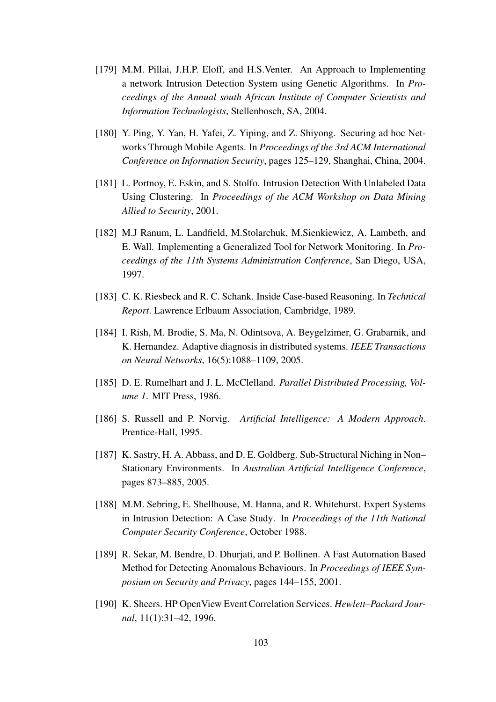- [179] M.M. Pillai, J.H.P. Eloff, and H.S.Venter. An Approach to Implementing a network Intrusion Detection System using Genetic Algorithms. In *Proceedings of the Annual south African Institute of Computer Scientists and Information Technologists*, Stellenbosch, SA, 2004.
- [180] Y. Ping, Y. Yan, H. Yafei, Z. Yiping, and Z. Shiyong. Securing ad hoc Networks Through Mobile Agents. In *Proceedings of the 3rd ACM International Conference on Information Security*, pages 125–129, Shanghai, China, 2004.
- [181] L. Portnoy, E. Eskin, and S. Stolfo. Intrusion Detection With Unlabeled Data Using Clustering. In *Proceedings of the ACM Workshop on Data Mining Allied to Security*, 2001.
- [182] M.J Ranum, L. Landfield, M.Stolarchuk, M.Sienkiewicz, A. Lambeth, and E. Wall. Implementing a Generalized Tool for Network Monitoring. In *Proceedings of the 11th Systems Administration Conference*, San Diego, USA, 1997.
- [183] C. K. Riesbeck and R. C. Schank. Inside Case-based Reasoning. In *Technical Report*. Lawrence Erlbaum Association, Cambridge, 1989.
- [184] I. Rish, M. Brodie, S. Ma, N. Odintsova, A. Beygelzimer, G. Grabarnik, and K. Hernandez. Adaptive diagnosis in distributed systems. *IEEE Transactions on Neural Networks*, 16(5):1088–1109, 2005.
- [185] D. E. Rumelhart and J. L. McClelland. *Parallel Distributed Processing, Volume 1*. MIT Press, 1986.
- [186] S. Russell and P. Norvig. *Artificial Intelligence: A Modern Approach*. Prentice-Hall, 1995.
- [187] K. Sastry, H. A. Abbass, and D. E. Goldberg. Sub-Structural Niching in Non– Stationary Environments. In *Australian Artificial Intelligence Conference*, pages 873–885, 2005.
- [188] M.M. Sebring, E. Shellhouse, M. Hanna, and R. Whitehurst. Expert Systems in Intrusion Detection: A Case Study. In *Proceedings of the 11th National Computer Security Conference*, October 1988.
- [189] R. Sekar, M. Bendre, D. Dhurjati, and P. Bollinen. A Fast Automation Based Method for Detecting Anomalous Behaviours. In *Proceedings of IEEE Symposium on Security and Privacy*, pages 144–155, 2001.
- [190] K. Sheers. HP OpenView Event Correlation Services. *Hewlett–Packard Journal*, 11(1):31–42, 1996.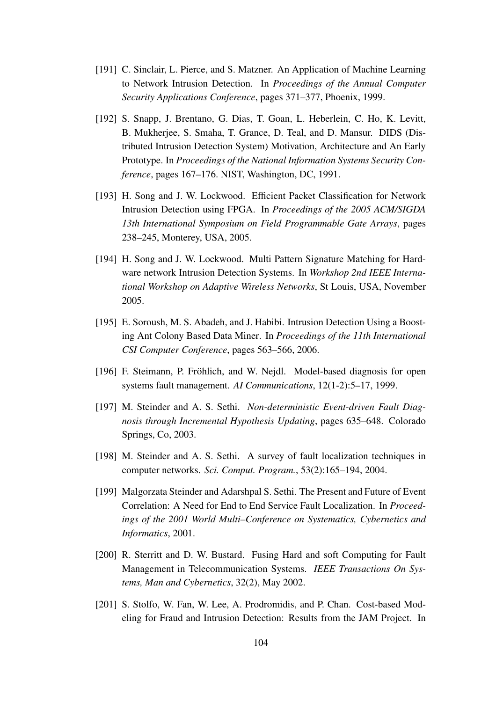- [191] C. Sinclair, L. Pierce, and S. Matzner. An Application of Machine Learning to Network Intrusion Detection. In *Proceedings of the Annual Computer Security Applications Conference*, pages 371–377, Phoenix, 1999.
- [192] S. Snapp, J. Brentano, G. Dias, T. Goan, L. Heberlein, C. Ho, K. Levitt, B. Mukherjee, S. Smaha, T. Grance, D. Teal, and D. Mansur. DIDS (Distributed Intrusion Detection System) Motivation, Architecture and An Early Prototype. In *Proceedings of the National Information Systems Security Conference*, pages 167–176. NIST, Washington, DC, 1991.
- [193] H. Song and J. W. Lockwood. Efficient Packet Classification for Network Intrusion Detection using FPGA. In *Proceedings of the 2005 ACM/SIGDA 13th International Symposium on Field Programmable Gate Arrays*, pages 238–245, Monterey, USA, 2005.
- [194] H. Song and J. W. Lockwood. Multi Pattern Signature Matching for Hardware network Intrusion Detection Systems. In *Workshop 2nd IEEE International Workshop on Adaptive Wireless Networks*, St Louis, USA, November 2005.
- [195] E. Soroush, M. S. Abadeh, and J. Habibi. Intrusion Detection Using a Boosting Ant Colony Based Data Miner. In *Proceedings of the 11th International CSI Computer Conference*, pages 563–566, 2006.
- [196] F. Steimann, P. Fröhlich, and W. Nejdl. Model-based diagnosis for open systems fault management. *AI Communications*, 12(1-2):5–17, 1999.
- [197] M. Steinder and A. S. Sethi. *Non-deterministic Event-driven Fault Diagnosis through Incremental Hypothesis Updating*, pages 635–648. Colorado Springs, Co, 2003.
- [198] M. Steinder and A. S. Sethi. A survey of fault localization techniques in computer networks. *Sci. Comput. Program.*, 53(2):165–194, 2004.
- [199] Malgorzata Steinder and Adarshpal S. Sethi. The Present and Future of Event Correlation: A Need for End to End Service Fault Localization. In *Proceedings of the 2001 World Multi–Conference on Systematics, Cybernetics and Informatics*, 2001.
- [200] R. Sterritt and D. W. Bustard. Fusing Hard and soft Computing for Fault Management in Telecommunication Systems. *IEEE Transactions On Systems, Man and Cybernetics*, 32(2), May 2002.
- [201] S. Stolfo, W. Fan, W. Lee, A. Prodromidis, and P. Chan. Cost-based Modeling for Fraud and Intrusion Detection: Results from the JAM Project. In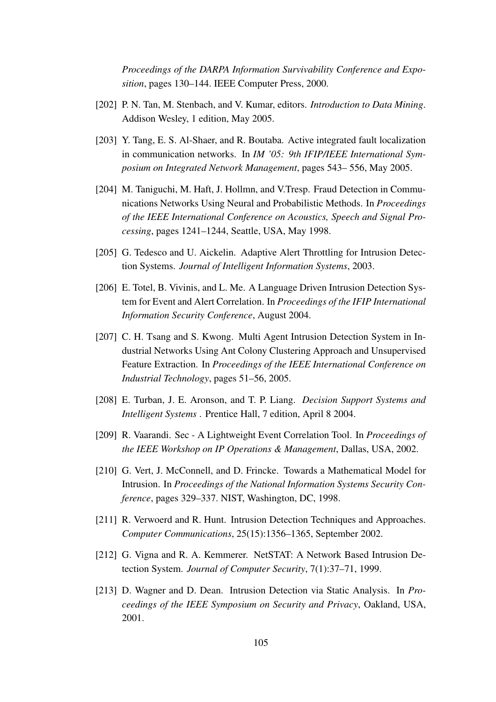*Proceedings of the DARPA Information Survivability Conference and Exposition*, pages 130–144. IEEE Computer Press, 2000.

- [202] P. N. Tan, M. Stenbach, and V. Kumar, editors. *Introduction to Data Mining*. Addison Wesley, 1 edition, May 2005.
- [203] Y. Tang, E. S. Al-Shaer, and R. Boutaba. Active integrated fault localization in communication networks. In *IM '05: 9th IFIP/IEEE International Symposium on Integrated Network Management*, pages 543– 556, May 2005.
- [204] M. Taniguchi, M. Haft, J. Hollmn, and V. Tresp. Fraud Detection in Communications Networks Using Neural and Probabilistic Methods. In *Proceedings of the IEEE International Conference on Acoustics, Speech and Signal Processing*, pages 1241–1244, Seattle, USA, May 1998.
- [205] G. Tedesco and U. Aickelin. Adaptive Alert Throttling for Intrusion Detection Systems. *Journal of Intelligent Information Systems*, 2003.
- [206] E. Totel, B. Vivinis, and L. Me. A Language Driven Intrusion Detection System for Event and Alert Correlation. In *Proceedings of the IFIP International Information Security Conference*, August 2004.
- [207] C. H. Tsang and S. Kwong. Multi Agent Intrusion Detection System in Industrial Networks Using Ant Colony Clustering Approach and Unsupervised Feature Extraction. In *Proceedings of the IEEE International Conference on Industrial Technology*, pages 51–56, 2005.
- [208] E. Turban, J. E. Aronson, and T. P. Liang. *Decision Support Systems and Intelligent Systems* . Prentice Hall, 7 edition, April 8 2004.
- [209] R. Vaarandi. Sec A Lightweight Event Correlation Tool. In *Proceedings of the IEEE Workshop on IP Operations & Management*, Dallas, USA, 2002.
- [210] G. Vert, J. McConnell, and D. Frincke. Towards a Mathematical Model for Intrusion. In *Proceedings of the National Information Systems Security Conference*, pages 329–337. NIST, Washington, DC, 1998.
- [211] R. Verwoerd and R. Hunt. Intrusion Detection Techniques and Approaches. *Computer Communications*, 25(15):1356–1365, September 2002.
- [212] G. Vigna and R. A. Kemmerer. NetSTAT: A Network Based Intrusion Detection System. *Journal of Computer Security*, 7(1):37–71, 1999.
- [213] D. Wagner and D. Dean. Intrusion Detection via Static Analysis. In *Proceedings of the IEEE Symposium on Security and Privacy*, Oakland, USA, 2001.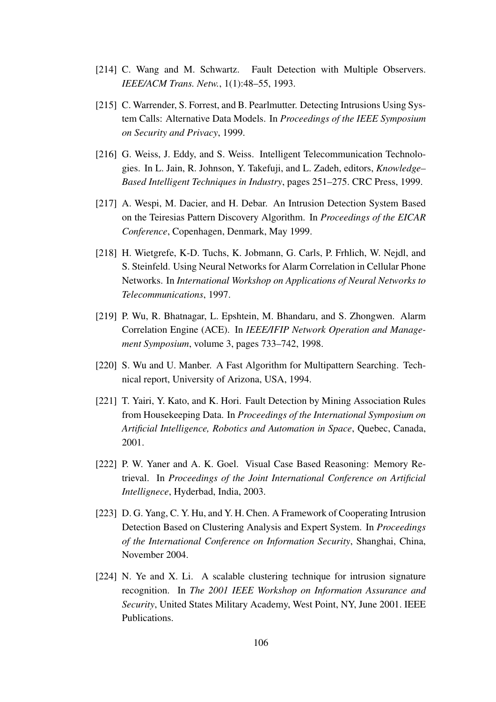- [214] C. Wang and M. Schwartz. Fault Detection with Multiple Observers. *IEEE/ACM Trans. Netw.*, 1(1):48–55, 1993.
- [215] C. Warrender, S. Forrest, and B. Pearlmutter. Detecting Intrusions Using System Calls: Alternative Data Models. In *Proceedings of the IEEE Symposium on Security and Privacy*, 1999.
- [216] G. Weiss, J. Eddy, and S. Weiss. Intelligent Telecommunication Technologies. In L. Jain, R. Johnson, Y. Takefuji, and L. Zadeh, editors, *Knowledge– Based Intelligent Techniques in Industry*, pages 251–275. CRC Press, 1999.
- [217] A. Wespi, M. Dacier, and H. Debar. An Intrusion Detection System Based on the Teiresias Pattern Discovery Algorithm. In *Proceedings of the EICAR Conference*, Copenhagen, Denmark, May 1999.
- [218] H. Wietgrefe, K-D. Tuchs, K. Jobmann, G. Carls, P. Frhlich, W. Nejdl, and S. Steinfeld. Using Neural Networks for Alarm Correlation in Cellular Phone Networks. In *International Workshop on Applications of Neural Networks to Telecommunications*, 1997.
- [219] P. Wu, R. Bhatnagar, L. Epshtein, M. Bhandaru, and S. Zhongwen. Alarm Correlation Engine (ACE). In *IEEE/IFIP Network Operation and Management Symposium*, volume 3, pages 733–742, 1998.
- [220] S. Wu and U. Manber. A Fast Algorithm for Multipattern Searching. Technical report, University of Arizona, USA, 1994.
- [221] T. Yairi, Y. Kato, and K. Hori. Fault Detection by Mining Association Rules from Housekeeping Data. In *Proceedings of the International Symposium on Artificial Intelligence, Robotics and Automation in Space*, Quebec, Canada, 2001.
- [222] P. W. Yaner and A. K. Goel. Visual Case Based Reasoning: Memory Retrieval. In *Proceedings of the Joint International Conference on Artificial Intellignece*, Hyderbad, India, 2003.
- [223] D. G. Yang, C. Y. Hu, and Y. H. Chen. A Framework of Cooperating Intrusion Detection Based on Clustering Analysis and Expert System. In *Proceedings of the International Conference on Information Security*, Shanghai, China, November 2004.
- [224] N. Ye and X. Li. A scalable clustering technique for intrusion signature recognition. In *The 2001 IEEE Workshop on Information Assurance and Security*, United States Military Academy, West Point, NY, June 2001. IEEE Publications.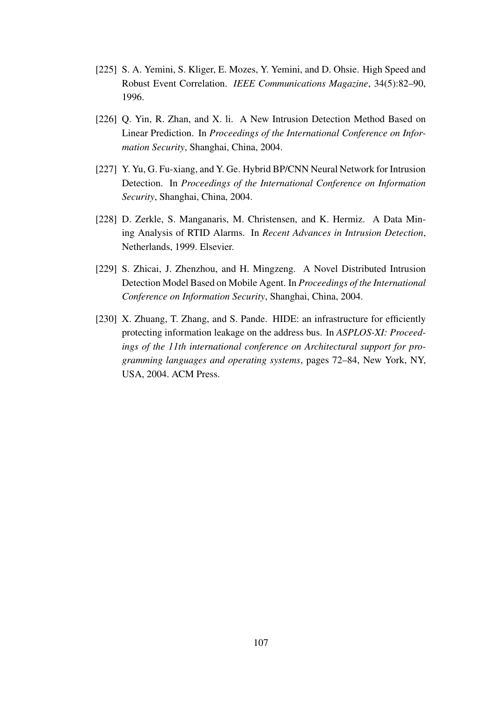- [225] S. A. Yemini, S. Kliger, E. Mozes, Y. Yemini, and D. Ohsie. High Speed and Robust Event Correlation. *IEEE Communications Magazine*, 34(5):82–90, 1996.
- [226] Q. Yin, R. Zhan, and X. li. A New Intrusion Detection Method Based on Linear Prediction. In *Proceedings of the International Conference on Information Security*, Shanghai, China, 2004.
- [227] Y. Yu, G. Fu-xiang, and Y. Ge. Hybrid BP/CNN Neural Network for Intrusion Detection. In *Proceedings of the International Conference on Information Security*, Shanghai, China, 2004.
- [228] D. Zerkle, S. Manganaris, M. Christensen, and K. Hermiz. A Data Mining Analysis of RTID Alarms. In *Recent Advances in Intrusion Detection*, Netherlands, 1999. Elsevier.
- [229] S. Zhicai, J. Zhenzhou, and H. Mingzeng. A Novel Distributed Intrusion Detection Model Based on Mobile Agent. In *Proceedings of the International Conference on Information Security*, Shanghai, China, 2004.
- [230] X. Zhuang, T. Zhang, and S. Pande. HIDE: an infrastructure for efficiently protecting information leakage on the address bus. In *ASPLOS-XI: Proceedings of the 11th international conference on Architectural support for programming languages and operating systems*, pages 72–84, New York, NY, USA, 2004. ACM Press.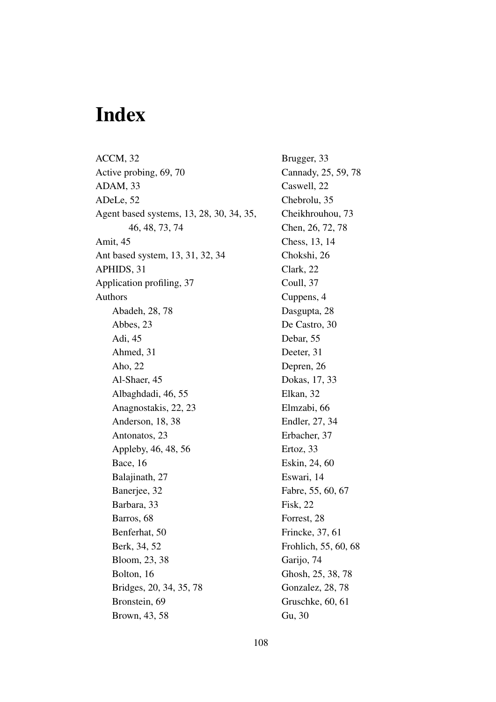## **Index**

ACCM, 32 Active probing, 69, 70 ADAM, 33 ADeLe, 52 Agent based systems, 13, 28, 30, 34, 35, 46, 48, 73, 74 Amit, 45 Ant based system, 13, 31, 32, 34 APHIDS, 31 Application profiling, 37 Authors Abadeh, 28, 78 Abbes, 23 Adi, 45 Ahmed, 31 Aho, 22 Al-Shaer, 45 Albaghdadi, 46, 55 Anagnostakis, 22, 23 Anderson, 18, 38 Antonatos, 23 Appleby, 46, 48, 56 Bace, 16 Balajinath, 27 Banerjee, 32 Barbara, 33 Barros, 68 Benferhat, 50 Berk, 34, 52 Bloom, 23, 38 Bolton, 16 Bridges, 20, 34, 35, 78 Bronstein, 69 Brown, 43, 58

Brugger, 33 Cannady, 25, 59, 78 Caswell, 22 Chebrolu, 35 Cheikhrouhou, 73 Chen, 26, 72, 78 Chess, 13, 14 Chokshi, 26 Clark, 22 Coull, 37 Cuppens, 4 Dasgupta, 28 De Castro, 30 Debar, 55 Deeter, 31 Depren, 26 Dokas, 17, 33 Elkan, 32 Elmzabi, 66 Endler, 27, 34 Erbacher, 37 Ertoz, 33 Eskin, 24, 60 Eswari, 14 Fabre, 55, 60, 67 Fisk, 22 Forrest, 28 Frincke, 37, 61 Frohlich, 55, 60, 68 Garijo, 74 Ghosh, 25, 38, 78 Gonzalez, 28, 78 Gruschke, 60, 61 Gu, 30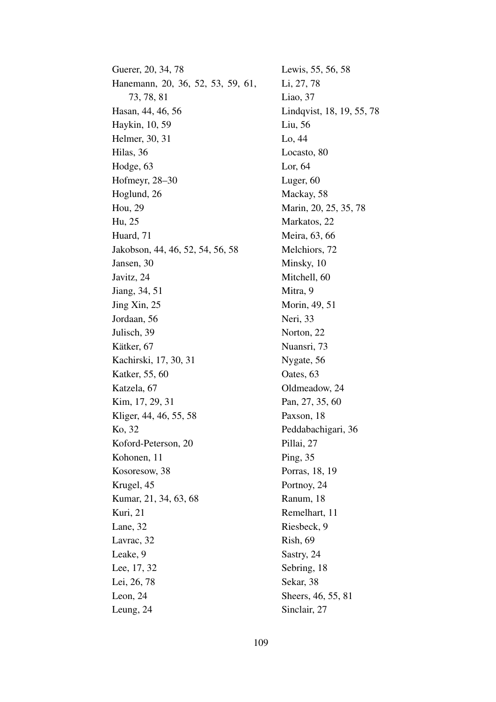Guerer, 20, 34, 78 Hanemann, 20, 36, 52, 53, 59, 61, 73, 78, 81 Hasan, 44, 46, 56 Haykin, 10, 59 Helmer, 30, 31 Hilas, 36 Hodge, 63 Hofmeyr, 28–30 Hoglund, 26 Hou, 29 Hu, 25 Huard, 71 Jakobson, 44, 46, 52, 54, 56, 58 Jansen, 30 Javitz, 24 Jiang, 34, 51 Jing Xin, 25 Jordaan, 56 Julisch, 39 Kätker, 67 Kachirski, 17, 30, 31 Katker, 55, 60 Katzela, 67 Kim, 17, 29, 31 Kliger, 44, 46, 55, 58 Ko, 32 Koford-Peterson, 20 Kohonen, 11 Kosoresow, 38 Krugel, 45 Kumar, 21, 34, 63, 68 Kuri, 21 Lane, 32 Lavrac, 32 Leake, 9 Lee, 17, 32 Lei, 26, 78 Leon, 24 Leung, 24

Lewis, 55, 56, 58 Li, 27, 78 Liao, 37 Lindqvist, 18, 19, 55, 78 Liu, 56 Lo, 44 Locasto, 80 Lor, 64 Luger, 60 Mackay, 58 Marin, 20, 25, 35, 78 Markatos, 22 Meira, 63, 66 Melchiors, 72 Minsky, 10 Mitchell, 60 Mitra, 9 Morin, 49, 51 Neri, 33 Norton, 22 Nuansri, 73 Nygate, 56 Oates, 63 Oldmeadow, 24 Pan, 27, 35, 60 Paxson, 18 Peddabachigari, 36 Pillai, 27 Ping, 35 Porras, 18, 19 Portnoy, 24 Ranum, 18 Remelhart, 11 Riesbeck, 9 Rish, 69 Sastry, 24 Sebring, 18 Sekar, 38 Sheers, 46, 55, 81 Sinclair, 27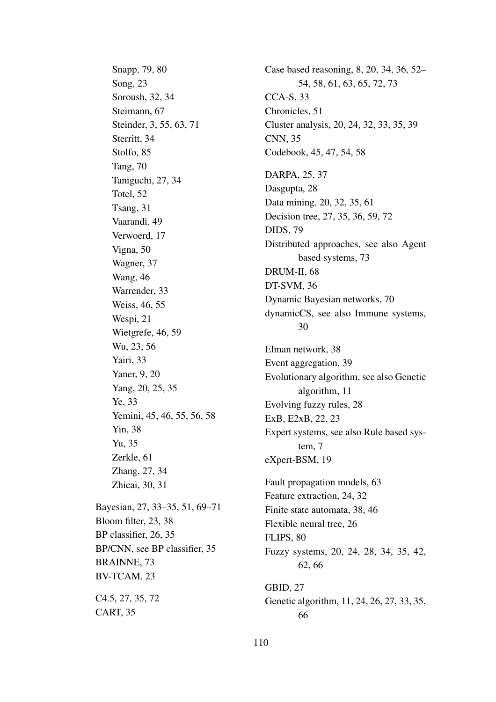Snapp, 79, 80 Song, 23 Soroush, 32, 34 Steimann, 67 Steinder, 3, 55, 63, 71 Sterritt, 34 Stolfo, 85 Tang, 70 Taniguchi, 27, 34 Totel, 52 Tsang, 31 Vaarandi, 49 Verwoerd, 17 Vigna, 50 Wagner, 37 Wang, 46 Warrender, 33 Weiss, 46, 55 Wespi, 21 Wietgrefe, 46, 59 Wu, 23, 56 Yairi, 33 Yaner, 9, 20 Yang, 20, 25, 35 Ye, 33 Yemini, 45, 46, 55, 56, 58 Yin, 38 Yu, 35 Zerkle, 61 Zhang, 27, 34 Zhicai, 30, 31 Bayesian, 27, 33–35, 51, 69–71 Bloom filter, 23, 38 BP classifier, 26, 35 BP/CNN, see BP classifier, 35 BRAINNE, 73 BV-TCAM, 23 C4.5, 27, 35, 72 CART, 35

Case based reasoning, 8, 20, 34, 36, 52– 54, 58, 61, 63, 65, 72, 73 CCA-S, 33 Chronicles, 51 Cluster analysis, 20, 24, 32, 33, 35, 39 CNN, 35 Codebook, 45, 47, 54, 58 DARPA, 25, 37 Dasgupta, 28 Data mining, 20, 32, 35, 61 Decision tree, 27, 35, 36, 59, 72 DIDS, 79 Distributed approaches, see also Agent based systems, 73 DRUM-II, 68 DT-SVM, 36 Dynamic Bayesian networks, 70 dynamicCS, see also Immune systems, 30 Elman network, 38 Event aggregation, 39 Evolutionary algorithm, see also Genetic algorithm, 11 Evolving fuzzy rules, 28 ExB, E2xB, 22, 23 Expert systems, see also Rule based system, 7 eXpert-BSM, 19 Fault propagation models, 63 Feature extraction, 24, 32 Finite state automata, 38, 46 Flexible neural tree, 26 FLIPS, 80 Fuzzy systems, 20, 24, 28, 34, 35, 42, 62, 66 GBID, 27 Genetic algorithm, 11, 24, 26, 27, 33, 35, 66